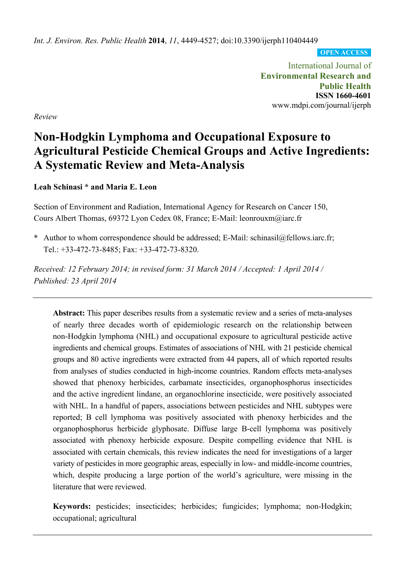*Int. J. Environ. Res. Public Health* **2014**, *11*, 4449-4527; doi:10.3390/ijerph110404449

**OPEN ACCESS**

International Journal of **Environmental Research and Public Health ISSN 1660-4601**  www.mdpi.com/journal/ijerph

*Review* 

# **Non-Hodgkin Lymphoma and Occupational Exposure to Agricultural Pesticide Chemical Groups and Active Ingredients: A Systematic Review and Meta-Analysis**

**Leah Schinasi \* and Maria E. Leon** 

Section of Environment and Radiation, International Agency for Research on Cancer 150, Cours Albert Thomas, 69372 Lyon Cedex 08, France; E-Mail: leonrouxm@iarc.fr

**\*** Author to whom correspondence should be addressed; E-Mail: schinasil@fellows.iarc.fr; Tel.: +33-472-73-8485; Fax: +33-472-73-8320.

*Received: 12 February 2014; in revised form: 31 March 2014 / Accepted: 1 April 2014 / Published: 23 April 2014* 

**Abstract:** This paper describes results from a systematic review and a series of meta-analyses of nearly three decades worth of epidemiologic research on the relationship between non-Hodgkin lymphoma (NHL) and occupational exposure to agricultural pesticide active ingredients and chemical groups. Estimates of associations of NHL with 21 pesticide chemical groups and 80 active ingredients were extracted from 44 papers, all of which reported results from analyses of studies conducted in high-income countries. Random effects meta-analyses showed that phenoxy herbicides, carbamate insecticides, organophosphorus insecticides and the active ingredient lindane, an organochlorine insecticide, were positively associated with NHL. In a handful of papers, associations between pesticides and NHL subtypes were reported; B cell lymphoma was positively associated with phenoxy herbicides and the organophosphorus herbicide glyphosate. Diffuse large B-cell lymphoma was positively associated with phenoxy herbicide exposure. Despite compelling evidence that NHL is associated with certain chemicals, this review indicates the need for investigations of a larger variety of pesticides in more geographic areas, especially in low- and middle-income countries, which, despite producing a large portion of the world's agriculture, were missing in the literature that were reviewed.

**Keywords:** pesticides; insecticides; herbicides; fungicides; lymphoma; non-Hodgkin; occupational; agricultural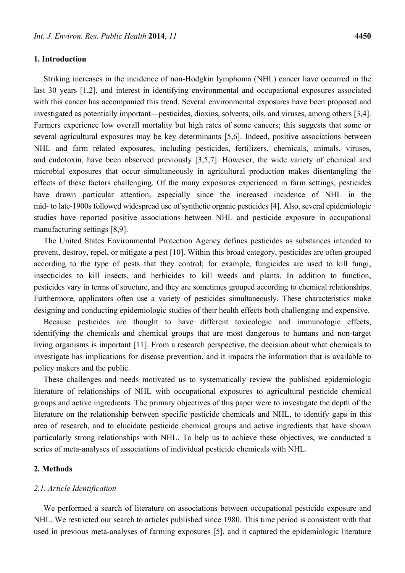### **1. Introduction**

Striking increases in the incidence of non-Hodgkin lymphoma (NHL) cancer have occurred in the last 30 years [1,2], and interest in identifying environmental and occupational exposures associated with this cancer has accompanied this trend. Several environmental exposures have been proposed and investigated as potentially important—pesticides, dioxins, solvents, oils, and viruses, among others [3,4]. Farmers experience low overall mortality but high rates of some cancers; this suggests that some or several agricultural exposures may be key determinants [5,6]. Indeed, positive associations between NHL and farm related exposures, including pesticides, fertilizers, chemicals, animals, viruses, and endotoxin, have been observed previously [3,5,7]. However, the wide variety of chemical and microbial exposures that occur simultaneously in agricultural production makes disentangling the effects of these factors challenging. Of the many exposures experienced in farm settings, pesticides have drawn particular attention, especially since the increased incidence of NHL in the mid- to late-1900s followed widespread use of synthetic organic pesticides [4]. Also, several epidemiologic studies have reported positive associations between NHL and pesticide exposure in occupational manufacturing settings [8,9].

The United States Environmental Protection Agency defines pesticides as substances intended to prevent, destroy, repel, or mitigate a pest [10]. Within this broad category, pesticides are often grouped according to the type of pests that they control; for example, fungicides are used to kill fungi, insecticides to kill insects, and herbicides to kill weeds and plants. In addition to function, pesticides vary in terms of structure, and they are sometimes grouped according to chemical relationships. Furthermore, applicators often use a variety of pesticides simultaneously. These characteristics make designing and conducting epidemiologic studies of their health effects both challenging and expensive.

Because pesticides are thought to have different toxicologic and immunologic effects, identifying the chemicals and chemical groups that are most dangerous to humans and non-target living organisms is important [11]. From a research perspective, the decision about what chemicals to investigate has implications for disease prevention, and it impacts the information that is available to policy makers and the public.

These challenges and needs motivated us to systematically review the published epidemiologic literature of relationships of NHL with occupational exposures to agricultural pesticide chemical groups and active ingredients. The primary objectives of this paper were to investigate the depth of the literature on the relationship between specific pesticide chemicals and NHL, to identify gaps in this area of research, and to elucidate pesticide chemical groups and active ingredients that have shown particularly strong relationships with NHL. To help us to achieve these objectives, we conducted a series of meta-analyses of associations of individual pesticide chemicals with NHL.

# **2. Methods**

### *2.1. Article Identification*

We performed a search of literature on associations between occupational pesticide exposure and NHL. We restricted our search to articles published since 1980. This time period is consistent with that used in previous meta-analyses of farming exposures [5], and it captured the epidemiologic literature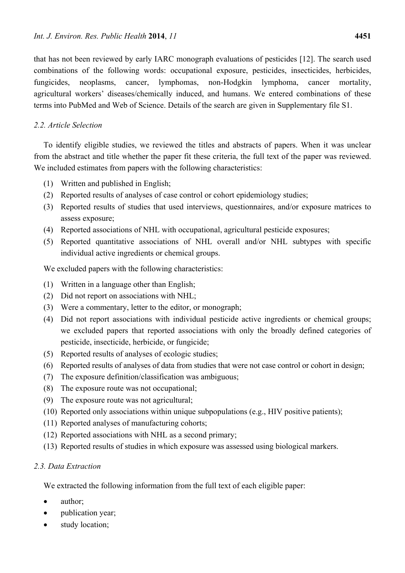that has not been reviewed by early IARC monograph evaluations of pesticides [12]. The search used combinations of the following words: occupational exposure, pesticides, insecticides, herbicides, fungicides, neoplasms, cancer, lymphomas, non-Hodgkin lymphoma, cancer mortality, agricultural workers' diseases/chemically induced, and humans. We entered combinations of these terms into PubMed and Web of Science. Details of the search are given in Supplementary file S1.

# *2.2. Article Selection*

To identify eligible studies, we reviewed the titles and abstracts of papers. When it was unclear from the abstract and title whether the paper fit these criteria, the full text of the paper was reviewed. We included estimates from papers with the following characteristics:

- (1) Written and published in English;
- (2) Reported results of analyses of case control or cohort epidemiology studies;
- (3) Reported results of studies that used interviews, questionnaires, and/or exposure matrices to assess exposure;
- (4) Reported associations of NHL with occupational, agricultural pesticide exposures;
- (5) Reported quantitative associations of NHL overall and/or NHL subtypes with specific individual active ingredients or chemical groups.

We excluded papers with the following characteristics:

- (1) Written in a language other than English;
- (2) Did not report on associations with NHL;
- (3) Were a commentary, letter to the editor, or monograph;
- (4) Did not report associations with individual pesticide active ingredients or chemical groups; we excluded papers that reported associations with only the broadly defined categories of pesticide, insecticide, herbicide, or fungicide;
- (5) Reported results of analyses of ecologic studies;
- (6) Reported results of analyses of data from studies that were not case control or cohort in design;
- (7) The exposure definition/classification was ambiguous;
- (8) The exposure route was not occupational;
- (9) The exposure route was not agricultural;
- (10) Reported only associations within unique subpopulations (e.g., HIV positive patients);
- (11) Reported analyses of manufacturing cohorts;
- (12) Reported associations with NHL as a second primary;
- (13) Reported results of studies in which exposure was assessed using biological markers.

# *2.3. Data Extraction*

We extracted the following information from the full text of each eligible paper:

- author;
- publication year;
- study location;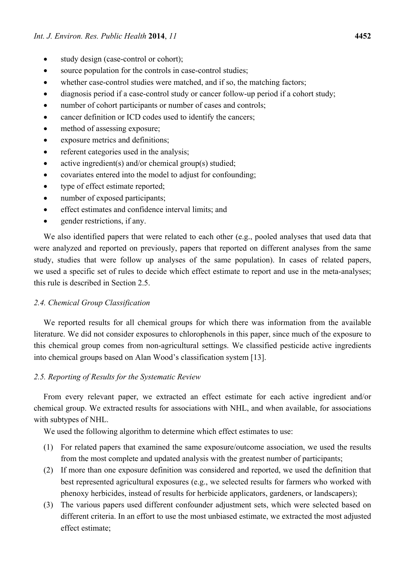- study design (case-control or cohort);
- source population for the controls in case-control studies;
- whether case-control studies were matched, and if so, the matching factors;
- diagnosis period if a case-control study or cancer follow-up period if a cohort study;
- number of cohort participants or number of cases and controls;
- cancer definition or ICD codes used to identify the cancers:
- method of assessing exposure;
- exposure metrics and definitions;
- referent categories used in the analysis;
- active ingredient(s) and/or chemical group(s) studied;
- covariates entered into the model to adjust for confounding;
- type of effect estimate reported;
- number of exposed participants;
- effect estimates and confidence interval limits; and
- gender restrictions, if any.

We also identified papers that were related to each other (e.g., pooled analyses that used data that were analyzed and reported on previously, papers that reported on different analyses from the same study, studies that were follow up analyses of the same population). In cases of related papers, we used a specific set of rules to decide which effect estimate to report and use in the meta-analyses; this rule is described in Section 2.5.

# *2.4. Chemical Group Classification*

We reported results for all chemical groups for which there was information from the available literature. We did not consider exposures to chlorophenols in this paper, since much of the exposure to this chemical group comes from non-agricultural settings. We classified pesticide active ingredients into chemical groups based on Alan Wood's classification system [13].

# *2.5. Reporting of Results for the Systematic Review*

From every relevant paper, we extracted an effect estimate for each active ingredient and/or chemical group. We extracted results for associations with NHL, and when available, for associations with subtypes of NHL.

We used the following algorithm to determine which effect estimates to use:

- (1) For related papers that examined the same exposure/outcome association, we used the results from the most complete and updated analysis with the greatest number of participants;
- (2) If more than one exposure definition was considered and reported, we used the definition that best represented agricultural exposures (e.g., we selected results for farmers who worked with phenoxy herbicides, instead of results for herbicide applicators, gardeners, or landscapers);
- (3) The various papers used different confounder adjustment sets, which were selected based on different criteria. In an effort to use the most unbiased estimate, we extracted the most adjusted effect estimate;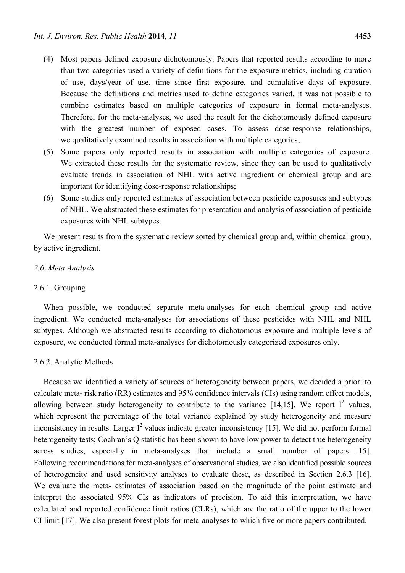- (4) Most papers defined exposure dichotomously. Papers that reported results according to more than two categories used a variety of definitions for the exposure metrics, including duration of use, days/year of use, time since first exposure, and cumulative days of exposure. Because the definitions and metrics used to define categories varied, it was not possible to combine estimates based on multiple categories of exposure in formal meta-analyses. Therefore, for the meta-analyses, we used the result for the dichotomously defined exposure with the greatest number of exposed cases. To assess dose-response relationships, we qualitatively examined results in association with multiple categories;
- (5) Some papers only reported results in association with multiple categories of exposure. We extracted these results for the systematic review, since they can be used to qualitatively evaluate trends in association of NHL with active ingredient or chemical group and are important for identifying dose-response relationships;
- (6) Some studies only reported estimates of association between pesticide exposures and subtypes of NHL. We abstracted these estimates for presentation and analysis of association of pesticide exposures with NHL subtypes.

We present results from the systematic review sorted by chemical group and, within chemical group, by active ingredient.

### *2.6. Meta Analysis*

# 2.6.1. Grouping

When possible, we conducted separate meta-analyses for each chemical group and active ingredient. We conducted meta-analyses for associations of these pesticides with NHL and NHL subtypes. Although we abstracted results according to dichotomous exposure and multiple levels of exposure, we conducted formal meta-analyses for dichotomously categorized exposures only.

# 2.6.2. Analytic Methods

Because we identified a variety of sources of heterogeneity between papers, we decided a priori to calculate meta- risk ratio (RR) estimates and 95% confidence intervals (CIs) using random effect models, allowing between study heterogeneity to contribute to the variance [14,15]. We report  $I^2$  values, which represent the percentage of the total variance explained by study heterogeneity and measure inconsistency in results. Larger  $I^2$  values indicate greater inconsistency [15]. We did not perform formal heterogeneity tests; Cochran's Q statistic has been shown to have low power to detect true heterogeneity across studies, especially in meta-analyses that include a small number of papers [15]. Following recommendations for meta-analyses of observational studies, we also identified possible sources of heterogeneity and used sensitivity analyses to evaluate these, as described in Section 2.6.3 [16]. We evaluate the meta- estimates of association based on the magnitude of the point estimate and interpret the associated 95% CIs as indicators of precision. To aid this interpretation, we have calculated and reported confidence limit ratios (CLRs), which are the ratio of the upper to the lower CI limit [17]. We also present forest plots for meta-analyses to which five or more papers contributed.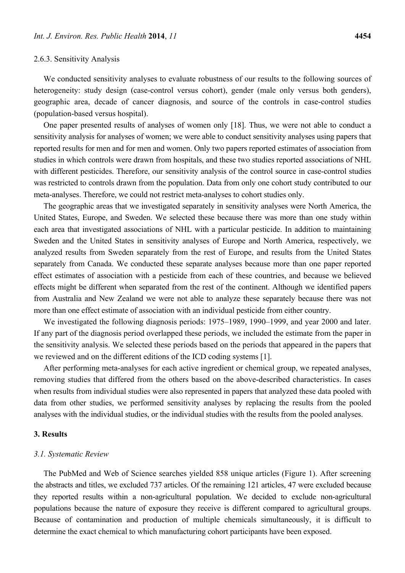#### 2.6.3. Sensitivity Analysis

We conducted sensitivity analyses to evaluate robustness of our results to the following sources of heterogeneity: study design (case-control versus cohort), gender (male only versus both genders), geographic area, decade of cancer diagnosis, and source of the controls in case-control studies (population-based versus hospital).

One paper presented results of analyses of women only [18]. Thus, we were not able to conduct a sensitivity analysis for analyses of women; we were able to conduct sensitivity analyses using papers that reported results for men and for men and women. Only two papers reported estimates of association from studies in which controls were drawn from hospitals, and these two studies reported associations of NHL with different pesticides. Therefore, our sensitivity analysis of the control source in case-control studies was restricted to controls drawn from the population. Data from only one cohort study contributed to our meta-analyses. Therefore, we could not restrict meta-analyses to cohort studies only.

The geographic areas that we investigated separately in sensitivity analyses were North America, the United States, Europe, and Sweden. We selected these because there was more than one study within each area that investigated associations of NHL with a particular pesticide. In addition to maintaining Sweden and the United States in sensitivity analyses of Europe and North America, respectively, we analyzed results from Sweden separately from the rest of Europe, and results from the United States separately from Canada. We conducted these separate analyses because more than one paper reported effect estimates of association with a pesticide from each of these countries, and because we believed effects might be different when separated from the rest of the continent. Although we identified papers from Australia and New Zealand we were not able to analyze these separately because there was not more than one effect estimate of association with an individual pesticide from either country.

We investigated the following diagnosis periods: 1975–1989, 1990–1999, and year 2000 and later. If any part of the diagnosis period overlapped these periods, we included the estimate from the paper in the sensitivity analysis. We selected these periods based on the periods that appeared in the papers that we reviewed and on the different editions of the ICD coding systems [1].

After performing meta-analyses for each active ingredient or chemical group, we repeated analyses, removing studies that differed from the others based on the above-described characteristics. In cases when results from individual studies were also represented in papers that analyzed these data pooled with data from other studies, we performed sensitivity analyses by replacing the results from the pooled analyses with the individual studies, or the individual studies with the results from the pooled analyses.

### **3. Results**

#### *3.1. Systematic Review*

The PubMed and Web of Science searches yielded 858 unique articles (Figure 1). After screening the abstracts and titles, we excluded 737 articles. Of the remaining 121 articles, 47 were excluded because they reported results within a non-agricultural population. We decided to exclude non-agricultural populations because the nature of exposure they receive is different compared to agricultural groups. Because of contamination and production of multiple chemicals simultaneously, it is difficult to determine the exact chemical to which manufacturing cohort participants have been exposed.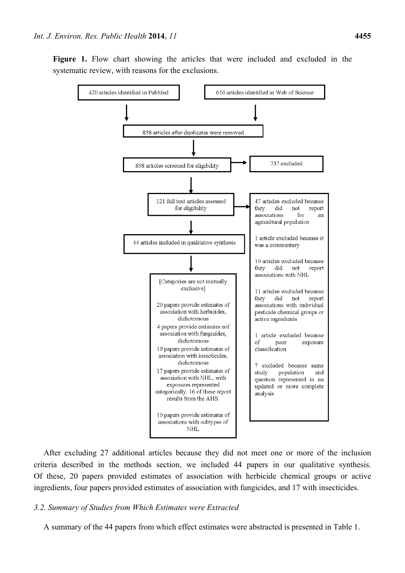**Figure 1.** Flow chart showing the articles that were included and excluded in the systematic review, with reasons for the exclusions.



After excluding 27 additional articles because they did not meet one or more of the inclusion criteria described in the methods section, we included 44 papers in our qualitative synthesis. Of these, 20 papers provided estimates of association with herbicide chemical groups or active ingredients, four papers provided estimates of association with fungicides, and 17 with insecticides.

#### *3.2. Summary of Studies from Which Estimates were Extracted*

A summary of the 44 papers from which effect estimates were abstracted is presented in Table 1.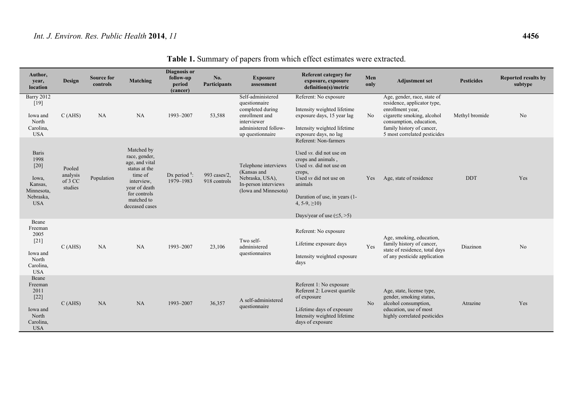| Author,<br>year,<br>location                                                                | Design                                   | <b>Source for</b><br>controls | <b>Matching</b>                                                                                                                                          | Diagnosis or<br>follow-up<br>period<br>(cancer) | No.<br><b>Participants</b>   | <b>Exposure</b><br>assessment                                                                                                       | <b>Referent category for</b><br>exposure, exposure<br>definition(s)/metric                                                                                                                                                                        | Men<br>only    | <b>Adjustment set</b>                                                                                                                                                                                | <b>Pesticides</b> | <b>Reported results by</b><br>subtype |
|---------------------------------------------------------------------------------------------|------------------------------------------|-------------------------------|----------------------------------------------------------------------------------------------------------------------------------------------------------|-------------------------------------------------|------------------------------|-------------------------------------------------------------------------------------------------------------------------------------|---------------------------------------------------------------------------------------------------------------------------------------------------------------------------------------------------------------------------------------------------|----------------|------------------------------------------------------------------------------------------------------------------------------------------------------------------------------------------------------|-------------------|---------------------------------------|
| <b>Barry 2012</b><br>$[19]$<br>Iowa and<br>North<br>Carolina,<br><b>USA</b>                 | C(AHS)                                   | NA                            | <b>NA</b>                                                                                                                                                | 1993-2007                                       | 53,588                       | Self-administered<br>questionnaire<br>completed during<br>enrollment and<br>interviewer<br>administered follow-<br>up questionnaire | Referent: No exposure<br>Intensity weighted lifetime<br>exposure days, 15 year lag<br>Intensity weighted lifetime<br>exposure days, no lag                                                                                                        | N <sub>o</sub> | Age, gender, race, state of<br>residence, applicator type,<br>enrollment year,<br>cigarette smoking, alcohol<br>consumption, education,<br>family history of cancer,<br>5 most correlated pesticides | Methyl bromide    | N <sub>o</sub>                        |
| <b>Baris</b><br>1998<br>$[20]$<br>Iowa,<br>Kansas,<br>Minnesota,<br>Nebraska,<br><b>USA</b> | Pooled<br>analysis<br>of 3 CC<br>studies | Population                    | Matched by<br>race, gender,<br>age, and vital<br>status at the<br>time of<br>interview.<br>vear of death<br>for controls<br>matched to<br>deceased cases | Dx period $1$ :<br>1979-1983                    | 993 cases/2,<br>918 controls | Telephone interviews<br>(Kansas and<br>Nebraska, USA),<br>In-person interviews<br>(Iowa and Minnesota)                              | Referent: Non-farmers<br>Used <i>vs</i> . did not use on<br>crops and animals,<br>Used vs. did not use on<br>crops,<br>Used vs did not use on<br>animals<br>Duration of use, in years (1-<br>$4, 5-9, \geq 10$<br>Days/year of use $(\leq 5, >5)$ | Yes            | Age, state of residence                                                                                                                                                                              | <b>DDT</b>        | Yes                                   |
| Beane<br>Freeman<br>2005<br>$[21]$<br>Iowa and<br>North<br>Carolina,<br><b>USA</b>          | C(AHS)                                   | NA                            | <b>NA</b>                                                                                                                                                | 1993-2007                                       | 23,106                       | Two self-<br>administered<br>questionnaires                                                                                         | Referent: No exposure<br>Lifetime exposure days<br>Intensity weighted exposure<br>days                                                                                                                                                            | Yes            | Age, smoking, education,<br>family history of cancer,<br>state of residence, total days<br>of any pesticide application                                                                              | Diazinon          | N <sub>0</sub>                        |
| Beane<br>Freeman<br>2011<br>$[22]$<br>Iowa and<br>North<br>Carolina,<br><b>USA</b>          | C(AHS)                                   | <b>NA</b>                     | <b>NA</b>                                                                                                                                                | 1993-2007                                       | 36,357                       | A self-administered<br>questionnaire                                                                                                | Referent 1: No exposure<br>Referent 2: Lowest quartile<br>of exposure<br>Lifetime days of exposure<br>Intensity weighted lifetime<br>days of exposure                                                                                             | N <sub>o</sub> | Age, state, license type,<br>gender, smoking status,<br>alcohol consumption,<br>education, use of most<br>highly correlated pesticides                                                               | Atrazine          | Yes                                   |

**Table 1.** Summary of papers from which effect estimates were extracted.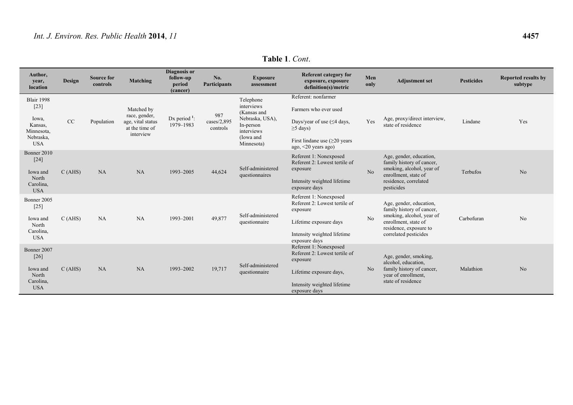| Author,<br>year,<br>location                                                      | Design   | <b>Source for</b><br>controls | Matching                                                                        | <b>Diagnosis</b> or<br>follow-up<br>period<br>(cancer) | No.<br>Participants            | <b>Exposure</b><br>assessment                                                                                   | <b>Referent category for</b><br>exposure, exposure<br>definition(s)/metric                                                                                            | Men<br>only   | <b>Adjustment set</b>                                                                                                                                        | <b>Pesticides</b> | <b>Reported results by</b><br>subtype |
|-----------------------------------------------------------------------------------|----------|-------------------------------|---------------------------------------------------------------------------------|--------------------------------------------------------|--------------------------------|-----------------------------------------------------------------------------------------------------------------|-----------------------------------------------------------------------------------------------------------------------------------------------------------------------|---------------|--------------------------------------------------------------------------------------------------------------------------------------------------------------|-------------------|---------------------------------------|
| Blair 1998<br>$[23]$<br>Iowa,<br>Kansas.<br>Minnesota,<br>Nebraska,<br><b>USA</b> | $\rm CC$ | Population                    | Matched by<br>race, gender,<br>age, vital status<br>at the time of<br>interview | Dx period $1$ :<br>1979-1983                           | 987<br>cases/2,895<br>controls | Telephone<br>interviews<br>(Kansas and<br>Nebraska, USA),<br>In-person<br>interviews<br>(Iowa and<br>Minnesota) | Referent: nonfarmer<br>Farmers who ever used<br>Days/year of use $(\leq 4$ days,<br>$\geq$ 5 days)<br>First lindane use $(\geq 20$ years<br>ago, $\leq$ 20 years ago) | Yes           | Age, proxy/direct interview,<br>state of residence                                                                                                           | Lindane           | Yes                                   |
| Bonner 2010<br>$[24]$<br>Iowa and<br>North<br>Carolina,<br><b>USA</b>             | C(AHS)   | NA                            | NA                                                                              | 1993-2005                                              | 44,624                         | Self-administered<br>questionnaires                                                                             | Referent 1: Nonexposed<br>Referent 2: Lowest tertile of<br>exposure<br>Intensity weighted lifetime<br>exposure days                                                   | No            | Age, gender, education,<br>family history of cancer,<br>smoking, alcohol, year of<br>enrollment, state of<br>residence, correlated<br>pesticides             | Terbufos          | No                                    |
| Bonner 2005<br>$[25]$<br>Iowa and<br>North<br>Carolina,<br><b>USA</b>             | C(AHS)   | NA                            | NA                                                                              | 1993-2001                                              | 49,877                         | Self-administered<br>questionnaire                                                                              | Referent 1: Nonexposed<br>Referent 2: Lowest tertile of<br>exposure<br>Lifetime exposure days<br>Intensity weighted lifetime<br>exposure days                         | No            | Age, gender, education,<br>family history of cancer,<br>smoking, alcohol, year of<br>enrollment, state of<br>residence, exposure to<br>correlated pesticides | Carbofuran        | No                                    |
| Bonner 2007<br>$[26]$<br>Iowa and<br>North<br>Carolina,<br><b>USA</b>             | C(AHS)   | <b>NA</b>                     | NA                                                                              | 1993-2002                                              | 19,717                         | Self-administered<br>questionnaire                                                                              | Referent 1: Nonexposed<br>Referent 2: Lowest tertile of<br>exposure<br>Lifetime exposure days,<br>Intensity weighted lifetime<br>exposure days                        | <sub>No</sub> | Age, gender, smoking,<br>alcohol, education,<br>family history of cancer,<br>year of enrollment.<br>state of residence                                       | Malathion         | No                                    |

**Table 1**. *Cont*.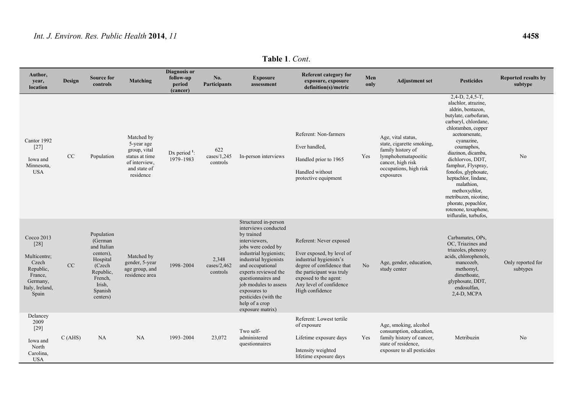| Author,<br>year,<br>location                                                                                  | Design   | <b>Source for</b><br>controls                                                                                                     | Matching                                                                                                 | <b>Diagnosis</b> or<br>follow-up<br>period<br>(cancer) | No.<br>Participants              | <b>Exposure</b><br>assessment                                                                                                                                                                                                                                                                                                 | <b>Referent category for</b><br>exposure, exposure<br>definition(s)/metric                                                                                                                                       | Men<br>only    | <b>Adjustment set</b>                                                                                                                                   | <b>Pesticides</b>                                                                                                                                                                                                                                                                                                                                                                                                                   | <b>Reported results by</b><br>subtype |
|---------------------------------------------------------------------------------------------------------------|----------|-----------------------------------------------------------------------------------------------------------------------------------|----------------------------------------------------------------------------------------------------------|--------------------------------------------------------|----------------------------------|-------------------------------------------------------------------------------------------------------------------------------------------------------------------------------------------------------------------------------------------------------------------------------------------------------------------------------|------------------------------------------------------------------------------------------------------------------------------------------------------------------------------------------------------------------|----------------|---------------------------------------------------------------------------------------------------------------------------------------------------------|-------------------------------------------------------------------------------------------------------------------------------------------------------------------------------------------------------------------------------------------------------------------------------------------------------------------------------------------------------------------------------------------------------------------------------------|---------------------------------------|
| Cantor 1992<br>$[27]$<br>Iowa and<br>Minnesota,<br><b>USA</b>                                                 | $\rm CC$ | Population                                                                                                                        | Matched by<br>5-year age<br>group, vital<br>status at time<br>of interview.<br>and state of<br>residence | Dx period $1$ :<br>1979-1983                           | 622<br>cases/1,245<br>controls   | In-person interviews                                                                                                                                                                                                                                                                                                          | Referent: Non-farmers<br>Ever handled,<br>Handled prior to 1965<br>Handled without<br>protective equipment                                                                                                       | Yes            | Age, vital status,<br>state, cigarette smoking,<br>family history of<br>lymphohematapoeitic<br>cancer, high risk<br>occupations, high risk<br>exposures | $2,4-D, 2,4,5-T,$<br>alachlor, atrazine,<br>aldrin, bentazon,<br>butylate, carbofuran,<br>carbaryl, chlordane,<br>chloramben, copper<br>acetoarsenate.<br>cyanazine,<br>coumaphos,<br>diazinon, dicamba,<br>dichlorvos, DDT,<br>famphur, Flyspray,<br>fonofos, glyphosate,<br>heptachlor, lindane,<br>malathion,<br>methoxychlor,<br>metribuzen, nicotine,<br>phorate, popachlor,<br>rotenone, toxaphene,<br>trifluralin, turbufos, | No                                    |
| Cocco 2013<br>$[28]$<br>Multicentre;<br>Czech<br>Republic,<br>France,<br>Germany,<br>Italy, Ireland,<br>Spain | CC       | Population<br>(German)<br>and Italian<br>centers),<br>Hospital<br>(Czech<br>Republic,<br>French,<br>Irish,<br>Spanish<br>centers) | Matched by<br>gender, 5-year<br>age group, and<br>residence area                                         | 1998-2004                                              | 2,348<br>cases/2,462<br>controls | Structured in-person<br>interviews conducted<br>by trained<br>interviewers,<br>jobs were coded by<br>industrial hygienists;<br>industrial hygienists<br>and occupational<br>experts reviewed the<br>questionnaires and<br>job modules to assess<br>exposures to<br>pesticides (with the<br>help of a crop<br>exposure matrix) | Referent: Never exposed<br>Ever exposed, by level of<br>industrial hygienists's<br>degree of confidence that<br>the participant was truly<br>exposed to the agent:<br>Any level of confidence<br>High confidence | N <sub>o</sub> | Age, gender, education,<br>study center                                                                                                                 | Carbamates, OPs,<br>OC, Triazines and<br>triazoles, phenoxy<br>acids, chlorophenols,<br>mancozeb,<br>methomyl.<br>dimethoate,<br>glyphosate, DDT,<br>endosulfan,<br>$2,4$ -D, MCPA                                                                                                                                                                                                                                                  | Only reported for<br>subtypes         |
| Delancey<br>2009<br>$[29]$<br>Iowa and<br>North<br>Carolina,<br><b>USA</b>                                    | C(AHS)   | <b>NA</b>                                                                                                                         | <b>NA</b>                                                                                                | 1993-2004                                              | 23,072                           | Two self-<br>administered<br>questionnaires                                                                                                                                                                                                                                                                                   | Referent: Lowest tertile<br>of exposure<br>Lifetime exposure days<br>Intensity weighted<br>lifetime exposure days                                                                                                | Yes            | Age, smoking, alcohol<br>consumption, education,<br>family history of cancer,<br>state of residence.<br>exposure to all pesticides                      | Metribuzin                                                                                                                                                                                                                                                                                                                                                                                                                          | No                                    |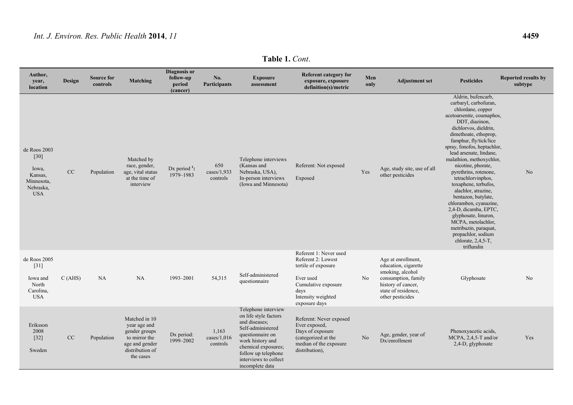|                                                                                     |          |                               |                                                                                 |                                                 |                                   | <b>Table 1.</b> Cont.                                                                                  |                                                                                                                                       |             |                                                                                                                                                        |                                                                                                                                                                                                                                                                                                                                                                                                                                                                                                                                                                                                                      |                                       |
|-------------------------------------------------------------------------------------|----------|-------------------------------|---------------------------------------------------------------------------------|-------------------------------------------------|-----------------------------------|--------------------------------------------------------------------------------------------------------|---------------------------------------------------------------------------------------------------------------------------------------|-------------|--------------------------------------------------------------------------------------------------------------------------------------------------------|----------------------------------------------------------------------------------------------------------------------------------------------------------------------------------------------------------------------------------------------------------------------------------------------------------------------------------------------------------------------------------------------------------------------------------------------------------------------------------------------------------------------------------------------------------------------------------------------------------------------|---------------------------------------|
| Author,<br>year,<br>location                                                        | Design   | <b>Source for</b><br>controls | Matching                                                                        | Diagnosis or<br>follow-up<br>period<br>(cancer) | No.<br>Participants               | <b>Exposure</b><br>assessment                                                                          | <b>Referent category for</b><br>exposure, exposure<br>definition(s)/metric                                                            | Men<br>only | <b>Adjustment set</b>                                                                                                                                  | <b>Pesticides</b>                                                                                                                                                                                                                                                                                                                                                                                                                                                                                                                                                                                                    | <b>Reported results by</b><br>subtype |
| de Roos 2003<br>$[30]$<br>Iowa,<br>Kansas,<br>Minnesota,<br>Nebraska,<br><b>USA</b> | $\rm CC$ | Population                    | Matched by<br>race, gender,<br>age, vital status<br>at the time of<br>interview | Dx period $\frac{1}{2}$ :<br>1979-1983          | 650<br>cases/ $1,933$<br>controls | Telephone interviews<br>(Kansas and<br>Nebraska, USA),<br>In-person interviews<br>(Iowa and Minnesota) | Referent: Not exposed<br>Exposed                                                                                                      | Yes         | Age, study site, use of all<br>other pesticides                                                                                                        | Aldrin, bufencarb,<br>carbaryl, carbofuran,<br>chlordane, copper<br>acetoarsenite, coumaphos,<br>DDT, diazinon,<br>dichlorvos, dieldrin,<br>dimethoate, ethoprop,<br>famphur, fly/tick/lice<br>spray, fonofos, heptachlor,<br>lead arsenate, lindane,<br>malathion, methoxychlor,<br>nicotine, phorate,<br>pyrethrins, rotenone,<br>tetrachlorvinphos,<br>toxaphene, terbufos,<br>alachlor, atrazine,<br>bentazon, butylate,<br>chloramben, cyanazine,<br>2,4-D, dicamba, EPTC,<br>glyphosate, linuron,<br>MCPA, metolachlor,<br>metribuzin, paraquat,<br>propachlor, sodium<br>chlorate, $2,4,5$ -T,<br>trifluralin | N <sub>o</sub>                        |
| de Roos 2005<br>$[31]$<br>Iowa and<br>North<br>Carolina,<br><b>USA</b>              | C(AHS)   | <b>NA</b>                     | <b>NA</b>                                                                       | 1993-2001                                       | 54,315                            | Self-administered<br>questionnaire                                                                     | Referent 1: Never used<br>Referent 2: Lowest<br>tertile of exposure<br>Ever used<br>Cumulative exposure<br>days<br>Intensity weighted | No          | Age at enrollment,<br>education, cigarette<br>smoking, alcohol<br>consumption, family<br>history of cancer,<br>state of residence,<br>other pesticides | Glyphosate                                                                                                                                                                                                                                                                                                                                                                                                                                                                                                                                                                                                           | No                                    |

| on life style factors<br>Matched in 10<br>Referent: Never exposed<br>and diseases;<br>Eriksson<br>Ever exposed,<br>year age and<br>Self-administered<br>1,163<br>2008<br>Phenoxyacetic acids,<br>Days of exposure<br>gender groups<br>Dx period:<br>Age, gender, year of<br>questionnaire on<br>CC<br>N <sub>o</sub><br>cases/ $1,016$<br>$[32]$<br>Yes<br>(categorized at the<br>MCPA, $2,4,5$ -T and/or<br>Population<br>to mirror the<br>1999-2002<br>Dx/enrollment<br>work history and<br>controls<br>2,4-D, glyphosate<br>age and gender<br>median of the exposure<br>chemical exposures;<br>Sweden<br>distribution of<br>distribution),<br>follow up telephone<br>the cases<br>interviews to collect<br>incomplete data | de Roos 2005<br>$[31]$<br>Iowa and<br>North<br>Carolina,<br><b>USA</b> | C(AHS) | <b>NA</b> | <b>NA</b> | 1993-2001 | 54,315 | Self-administered<br>questionnaire | REIGIEIL 1. INEVEL USEU<br>Referent 2: Lowest<br>tertile of exposure<br>Ever used<br>Cumulative exposure<br>days<br>Intensity weighted<br>exposure days | No | Age at enrollment,<br>education, cigarette<br>smoking, alcohol<br>consumption, family<br>history of cancer,<br>state of residence.<br>other pesticides | Glyphosate | N <sub>o</sub> |
|-------------------------------------------------------------------------------------------------------------------------------------------------------------------------------------------------------------------------------------------------------------------------------------------------------------------------------------------------------------------------------------------------------------------------------------------------------------------------------------------------------------------------------------------------------------------------------------------------------------------------------------------------------------------------------------------------------------------------------|------------------------------------------------------------------------|--------|-----------|-----------|-----------|--------|------------------------------------|---------------------------------------------------------------------------------------------------------------------------------------------------------|----|--------------------------------------------------------------------------------------------------------------------------------------------------------|------------|----------------|
|                                                                                                                                                                                                                                                                                                                                                                                                                                                                                                                                                                                                                                                                                                                               |                                                                        |        |           |           |           |        | Telephone interview                |                                                                                                                                                         |    |                                                                                                                                                        |            |                |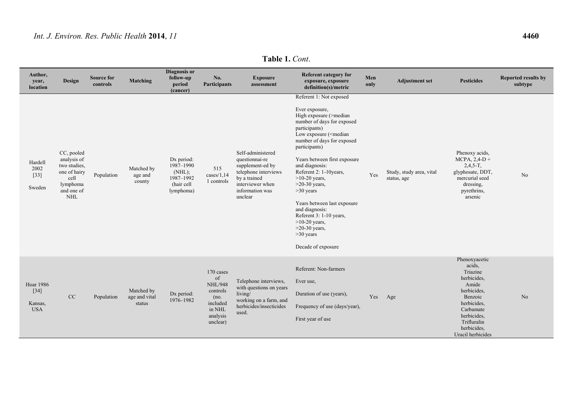included in NHL analysis unclear)

herbicides/insecticides

used.

USA

| Author,<br>year,<br>location        | Design                                                                                                    | <b>Source for</b><br>controls | <b>Matching</b>                       | Diagnosis or<br>follow-up<br>period<br>(cancer)                           | No.<br>Participants                                               | <b>Exposure</b><br>assessment                                                                                                                     | <b>Referent category for</b><br>exposure, exposure<br>definition(s)/metric                                                                                                                                                                                                                                                                                                                                                                                                                                                                                                                         | Men<br>only | <b>Adjustment set</b>                   | <b>Pesticides</b>                                                                                                              | <b>Reported results by</b><br>subtype |  |
|-------------------------------------|-----------------------------------------------------------------------------------------------------------|-------------------------------|---------------------------------------|---------------------------------------------------------------------------|-------------------------------------------------------------------|---------------------------------------------------------------------------------------------------------------------------------------------------|----------------------------------------------------------------------------------------------------------------------------------------------------------------------------------------------------------------------------------------------------------------------------------------------------------------------------------------------------------------------------------------------------------------------------------------------------------------------------------------------------------------------------------------------------------------------------------------------------|-------------|-----------------------------------------|--------------------------------------------------------------------------------------------------------------------------------|---------------------------------------|--|
| Hardell<br>2002<br>$[33]$<br>Sweden | CC, pooled<br>analysis of<br>two studies,<br>one of hairy<br>cell<br>lymphoma<br>and one of<br><b>NHL</b> | Population                    | Matched by<br>age and<br>county       | Dx period:<br>1987-1990<br>(NHL);<br>1987-1992<br>(hair cell<br>lymphoma) | 515<br>cases/1,14<br>1 controls                                   | Self-administered<br>questionnai-re<br>supplement-ed by<br>telephone interviews<br>by a trained<br>interviewer when<br>information was<br>unclear | Referent 1: Not exposed<br>Ever exposure,<br>High exposure (>median<br>number of days for exposed<br>participants)<br>Low exposure ( <median<br>number of days for exposed<br/>participants)<br/>Years between first exposure<br/>and diagnosis:<br/>Referent 2: 1-10 years,<br/><math>&gt;10-20</math> years,<br/><math>&gt;20-30</math> years,<br/><math>&gt;30</math> years<br/>Years between last exposure<br/>and diagnosis:<br/>Referent 3: 1-10 years,<br/><math>&gt;10-20</math> years,<br/><math>&gt;20-30</math> years,<br/><math>&gt;30</math> years<br/>Decade of exposure</median<br> | Yes         | Study, study area, vital<br>status, age | Phenoxy acids.<br>$MCPA$ , 2,4-D +<br>$2,4,5-T$ ,<br>glyphosate, DDT,<br>mercurial seed<br>dressing,<br>pyrethrins,<br>arsenic | N <sub>o</sub>                        |  |
| Hoar 1986<br>$[34]$<br>Kansas,      | CC                                                                                                        | Population                    | Matched by<br>age and vital<br>status | Dx period:<br>1976-1982                                                   | 170 cases<br>of<br><b>NHL/948</b><br>controls<br>(no.<br>included | Telephone interviews,<br>with questions on years<br>living/<br>working on a farm, and<br>$1 \t1 \t1 \t1 \t1 \t1$                                  | Referent: Non-farmers<br>Ever use,<br>Duration of use (years),<br>$\Gamma$ $\Gamma$ $\Gamma$ $\Gamma$ $\Gamma$ $\Gamma$                                                                                                                                                                                                                                                                                                                                                                                                                                                                            | Yes         | Age                                     | Phenoxyacetic<br>acids,<br>Triazine<br>herbicides.<br>Amide<br>herbicides,<br>Benzoic<br>herbicides.                           | N <sub>o</sub>                        |  |

Frequency of use (days/year),

First year of use

**Table 1.** *Cont*.

Carbamate herbicides, Trifluralin herbicides, Uracil herbicides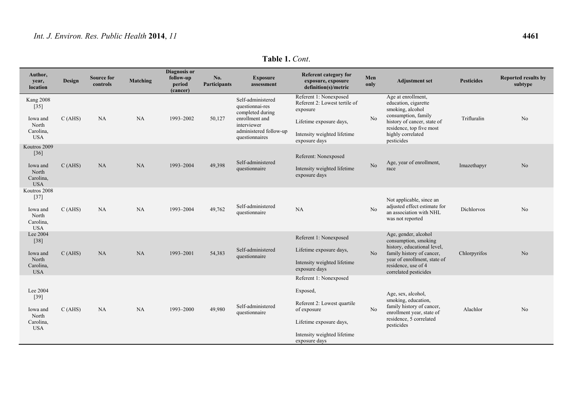| Author,<br>year,<br>location                                               | <b>Design</b> | <b>Source for</b><br>controls | Matching  | Diagnosis or<br>follow-up<br>period<br>(cancer) | No.<br>Participants | <b>Exposure</b><br>assessment                                                                                                         | <b>Referent category for</b><br>exposure, exposure<br>definition(s)/metric                                                                                  | Men<br>only    | <b>Adjustment set</b>                                                                                                                                                                    | <b>Pesticides</b> | <b>Reported results by</b><br>subtype |
|----------------------------------------------------------------------------|---------------|-------------------------------|-----------|-------------------------------------------------|---------------------|---------------------------------------------------------------------------------------------------------------------------------------|-------------------------------------------------------------------------------------------------------------------------------------------------------------|----------------|------------------------------------------------------------------------------------------------------------------------------------------------------------------------------------------|-------------------|---------------------------------------|
| <b>Kang 2008</b><br>$[35]$<br>lowa and<br>North<br>Carolina,<br><b>USA</b> | C(AHS)        | NA                            | <b>NA</b> | 1993-2002                                       | 50,127              | Self-administered<br>questionnai-res<br>completed during<br>enrollment and<br>interviewer<br>administered follow-up<br>questionnaires | Referent 1: Nonexposed<br>Referent 2: Lowest tertile of<br>exposure<br>Lifetime exposure days,<br>Intensity weighted lifetime<br>exposure days              | No             | Age at enrollment,<br>education, cigarette<br>smoking, alcohol<br>consumption, family<br>history of cancer, state of<br>residence, top five most<br>highly correlated<br>pesticides      | Trifluralin       | No                                    |
| Koutros 2009<br>$[36]$<br>Iowa and<br>North<br>Carolina,<br><b>USA</b>     | C(AHS)        | <b>NA</b>                     | <b>NA</b> | 1993-2004                                       | 49,398              | Self-administered<br>questionnaire                                                                                                    | Referent: Nonexposed<br>Intensity weighted lifetime<br>exposure days                                                                                        | N <sub>o</sub> | Age, year of enrollment,<br>race                                                                                                                                                         | Imazethapyr       | N <sub>o</sub>                        |
| Koutros 2008<br>$[37]$<br>Iowa and<br>North<br>Carolina,<br><b>USA</b>     | C(AHS)        | <b>NA</b>                     | NA        | 1993-2004                                       | 49,762              | Self-administered<br>questionnaire                                                                                                    | NA                                                                                                                                                          | No             | Not applicable, since an<br>adjusted effect estimate for<br>an association with NHL<br>was not reported                                                                                  | <b>Dichlorvos</b> | No                                    |
| Lee 2004<br>$[38]$<br>Iowa and<br>North<br>Carolina,<br><b>USA</b>         | C(AHS)        | NA                            | <b>NA</b> | 1993-2001                                       | 54,383              | Self-administered<br>questionnaire                                                                                                    | Referent 1: Nonexposed<br>Lifetime exposure days,<br>Intensity weighted lifetime<br>exposure days                                                           | No             | Age, gender, alcohol<br>consumption, smoking<br>history, educational level,<br>family history of cancer,<br>year of enrollment, state of<br>residence, use of 4<br>correlated pesticides | Chlorpyrifos      | N <sub>o</sub>                        |
| Lee 2004<br>$[39]$<br>Iowa and<br>North<br>Carolina,<br><b>USA</b>         | C(AHS)        | NA                            | <b>NA</b> | 1993-2000                                       | 49,980              | Self-administered<br>questionnaire                                                                                                    | Referent 1: Nonexposed<br>Exposed,<br>Referent 2: Lowest quartile<br>of exposure<br>Lifetime exposure days,<br>Intensity weighted lifetime<br>exposure days | No             | Age, sex, alcohol,<br>smoking, education,<br>family history of cancer,<br>enrollment year, state of<br>residence, 5 correlated<br>pesticides                                             | Alachlor          | N <sub>0</sub>                        |

**Table 1.** *Cont*.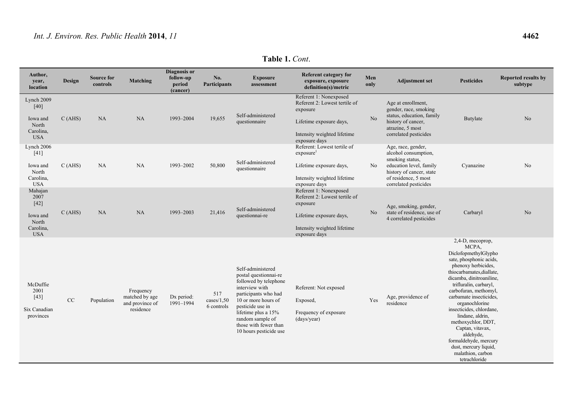| Author,<br>year,<br>location                                              | <b>Design</b> | <b>Source for</b><br>controls | Matching                                                    | Diagnosis or<br>follow-up<br>period<br>(cancer) | No.<br><b>Participants</b>         | <b>Exposure</b><br>assessment                                                                                                                                                                                                                          | <b>Referent category for</b><br>exposure, exposure<br>definition(s)/metric                                                                     | Men<br>only    | <b>Adjustment set</b>                                                                                                                                                 | <b>Pesticides</b>                                                                                                                                                                                                                                                                                                                                                                                                                                           | <b>Reported results by</b><br>subtype |
|---------------------------------------------------------------------------|---------------|-------------------------------|-------------------------------------------------------------|-------------------------------------------------|------------------------------------|--------------------------------------------------------------------------------------------------------------------------------------------------------------------------------------------------------------------------------------------------------|------------------------------------------------------------------------------------------------------------------------------------------------|----------------|-----------------------------------------------------------------------------------------------------------------------------------------------------------------------|-------------------------------------------------------------------------------------------------------------------------------------------------------------------------------------------------------------------------------------------------------------------------------------------------------------------------------------------------------------------------------------------------------------------------------------------------------------|---------------------------------------|
| Lynch 2009<br>$[40]$<br>Iowa and<br>North<br>Carolina,<br><b>USA</b>      | C(AHS)        | NA                            | <b>NA</b>                                                   | 1993-2004                                       | 19,655                             | Self-administered<br>questionnaire                                                                                                                                                                                                                     | Referent 1: Nonexposed<br>Referent 2: Lowest tertile of<br>exposure<br>Lifetime exposure days,<br>Intensity weighted lifetime<br>exposure days | N <sub>o</sub> | Age at enrollment.<br>gender, race, smoking<br>status, education, family<br>history of cancer,<br>atrazine, 5 most<br>correlated pesticides                           | Butylate                                                                                                                                                                                                                                                                                                                                                                                                                                                    | N <sub>o</sub>                        |
| Lynch 2006<br>$[41]$<br>Iowa and<br>North<br>Carolina.<br><b>USA</b>      | C(AHS)        | <b>NA</b>                     | <b>NA</b>                                                   | 1993-2002                                       | 50,800                             | Self-administered<br>questionnaire                                                                                                                                                                                                                     | Referent: Lowest tertile of<br>exposure <sup>1</sup><br>Lifetime exposure days,<br>Intensity weighted lifetime<br>exposure days                | No             | Age, race, gender,<br>alcohol consumption.<br>smoking status,<br>education level, family<br>history of cancer, state<br>of residence, 5 most<br>correlated pesticides | Cyanazine                                                                                                                                                                                                                                                                                                                                                                                                                                                   | No                                    |
| Mahajan<br>2007<br>$[42]$<br>Iowa and<br>North<br>Carolina,<br><b>USA</b> | C(AHS)        | <b>NA</b>                     | <b>NA</b>                                                   | 1993-2003                                       | 21,416                             | Self-administered<br>questionnai-re                                                                                                                                                                                                                    | Referent 1: Nonexposed<br>Referent 2: Lowest tertile of<br>exposure<br>Lifetime exposure days,<br>Intensity weighted lifetime<br>exposure days | N <sub>o</sub> | Age, smoking, gender,<br>state of residence, use of<br>4 correlated pesticides                                                                                        | Carbaryl                                                                                                                                                                                                                                                                                                                                                                                                                                                    | No                                    |
| McDuffie<br>2001<br>$[43]$<br>Six Canadian<br>provinces                   | $\rm CC$      | Population                    | Frequency<br>matched by age<br>and province of<br>residence | Dx period:<br>1991-1994                         | 517<br>cases/ $1,50$<br>6 controls | Self-administered<br>postal questionnai-re<br>followed by telephone<br>interview with<br>participants who had<br>10 or more hours of<br>pesticide use in<br>lifetime plus a 15%<br>random sample of<br>those with fewer than<br>10 hours pesticide use | Referent: Not exposed<br>Exposed,<br>Frequency of exposure<br>(days/year)                                                                      | Yes            | Age, providence of<br>residence                                                                                                                                       | 2,4-D, mecoprop,<br>MCPA,<br>DiclofopmethylGlypho<br>sate, phosphonic acids,<br>phenoxy herbicides,<br>thiocarbamates, diallate,<br>dicamba, dinitroaniline,<br>trifluralin, carbaryl,<br>carbofuran, methomyl,<br>carbamate insecticides,<br>organochlorine<br>insecticides, chlordane,<br>lindane, aldrin,<br>methoxychlor, DDT,<br>Captan, vitavax,<br>aldehyde,<br>formaldehyde, mercury<br>dust, mercury liquid,<br>malathion, carbon<br>tetrachloride |                                       |

**Table 1.** *Cont*.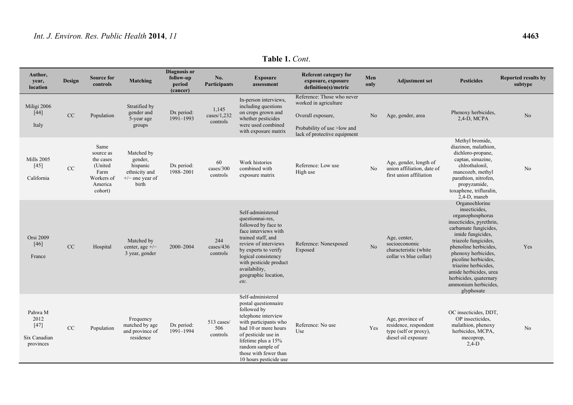| Author,<br>year,<br>location                           | Design | <b>Source for</b><br>controls                                                         | Matching                                                                             | <b>Diagnosis</b> or<br>follow-up<br>period<br>(cancer) | No.<br><b>Participants</b>    | <b>Exposure</b><br>assessment                                                                                                                                                                                                                                | <b>Referent category for</b><br>exposure, exposure<br>definition(s)/metric        | Men<br>only    | <b>Adjustment set</b>                                                                     | <b>Pesticides</b>                                                                                                                                                                                                                                                                                                                               | <b>Reported results by</b><br>subtype |
|--------------------------------------------------------|--------|---------------------------------------------------------------------------------------|--------------------------------------------------------------------------------------|--------------------------------------------------------|-------------------------------|--------------------------------------------------------------------------------------------------------------------------------------------------------------------------------------------------------------------------------------------------------------|-----------------------------------------------------------------------------------|----------------|-------------------------------------------------------------------------------------------|-------------------------------------------------------------------------------------------------------------------------------------------------------------------------------------------------------------------------------------------------------------------------------------------------------------------------------------------------|---------------------------------------|
| Miligi 2006<br>$[44]$                                  |        |                                                                                       | Stratified by<br>gender and                                                          | Dx period:                                             | 1,145                         | In-person interviews,<br>including questions<br>on crops grown and                                                                                                                                                                                           | Reference: Those who never<br>worked in agriculture                               |                |                                                                                           | Phenoxy herbicides,                                                                                                                                                                                                                                                                                                                             |                                       |
| Italy                                                  | CC     | Population                                                                            | 5-year age<br>groups                                                                 | 1991-1993                                              | cases/1,232<br>controls       | whether pesticides<br>were used combined<br>with exposure matrix                                                                                                                                                                                             | Overall exposure,<br>Probability of use > low and<br>lack of protective equipment | N <sub>0</sub> | Age, gender, area                                                                         | 2,4-D, MCPA                                                                                                                                                                                                                                                                                                                                     | No                                    |
| Mills 2005<br>$[45]$<br>California                     | CC     | Same<br>source as<br>the cases<br>(United<br>Farm<br>Workers of<br>America<br>cohort) | Matched by<br>gender,<br>hispanic<br>ethnicity and<br>$+\prime$ one year of<br>birth | Dx period:<br>1988-2001                                | 60<br>cases/300<br>controls   | Work histories<br>combined with<br>exposure matrix                                                                                                                                                                                                           | Reference: Low use<br>High use                                                    | No             | Age, gender, length of<br>union affiliation, date of<br>first union affiliation           | Methyl bromide,<br>diazinon, malathion,<br>dichloro-propane,<br>captan, simazine,<br>chlrothalonil,<br>mancozeb, methyl<br>parathion, nitrofen,<br>propyzamide,<br>toxaphene, trifluralin,<br>$2,4$ -D, maneb                                                                                                                                   | No                                    |
| <b>Orsi 2009</b><br>[46]<br>France                     | CC     | Hospital                                                                              | Matched by<br>center, age $+/-$<br>3 year, gender                                    | 2000-2004                                              | 244<br>cases/436<br>controls  | Self-administered<br>questionnai-res,<br>followed by face to<br>face interviews with<br>trained staff, and<br>review of interviews<br>by experts to verify<br>logical consistency<br>with pesticide product<br>availability,<br>geographic location,<br>etc. | Reference: Nonexposed<br>Exposed                                                  | No             | Age, center,<br>socioeconomic<br>characteristic (white<br>collar vs blue collar)          | Organochlorine<br>insecticides,<br>organophosphorus<br>insecticides, pyrethrin,<br>carbamate fungicides,<br>imide fungicides,<br>triazole fungicides,<br>phenoline herbicides,<br>phenoxy herbicides,<br>picoline herbicides,<br>triazine herbicides.<br>amide herbicides, urea<br>herbicides, quaternary<br>ammonium herbicides,<br>glyphosate | Yes                                   |
| Pahwa M<br>2012<br>$[47]$<br>Six Canadian<br>provinces | CC     | Population                                                                            | Frequency<br>matched by age<br>and province of<br>residence                          | Dx period:<br>1991-1994                                | 513 cases/<br>506<br>controls | Self-administered<br>postal questionnaire<br>followed by<br>telephone interview<br>with participants who<br>had 10 or more hours<br>of pesticide use in<br>lifetime plus a 15%<br>random sample of<br>those with fewer than<br>10 hours pesticide use        | Reference: No use<br>Use                                                          | Yes            | Age, province of<br>residence, respondent<br>type (self or proxy),<br>diesel oil exposure | OC insecticides, DDT,<br>OP insecticides.<br>malathion, phenoxy<br>herbicides, MCPA,<br>mecoprop,<br>$2,4-D$                                                                                                                                                                                                                                    | N <sub>o</sub>                        |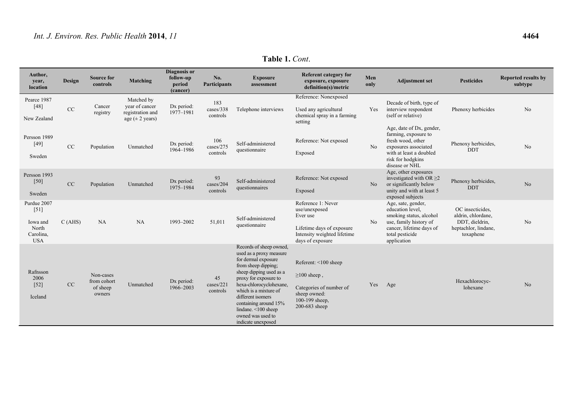| Author,<br>year,<br>location                                          | Design   | <b>Source for</b><br>controls                  | <b>Matching</b>                                                                 | <b>Diagnosis</b> or<br>follow-up<br>period<br>(cancer) | No.<br>Participants          | <b>Exposure</b><br>assessment                                                                                                                                                                                                                                                                                                  | <b>Referent category for</b><br>exposure, exposure<br>definition(s)/metric                                                      | Men<br>only    | <b>Adjustment set</b>                                                                                                                                           | <b>Pesticides</b>                                                                             | <b>Reported results by</b><br>subtype |
|-----------------------------------------------------------------------|----------|------------------------------------------------|---------------------------------------------------------------------------------|--------------------------------------------------------|------------------------------|--------------------------------------------------------------------------------------------------------------------------------------------------------------------------------------------------------------------------------------------------------------------------------------------------------------------------------|---------------------------------------------------------------------------------------------------------------------------------|----------------|-----------------------------------------------------------------------------------------------------------------------------------------------------------------|-----------------------------------------------------------------------------------------------|---------------------------------------|
| Pearce 1987<br>$[48]$<br>New Zealand                                  | CC       | Cancer<br>registry                             | Matched by<br>year of cancer<br>registration and<br>age $(\pm 2 \text{ years})$ | Dx period:<br>1977-1981                                | 183<br>cases/338<br>controls | Telephone interviews                                                                                                                                                                                                                                                                                                           | Reference: Nonexposed<br>Used any agricultural<br>chemical spray in a farming                                                   | Yes            | Decade of birth, type of<br>interview respondent<br>(self or relative)                                                                                          | Phenoxy herbicides                                                                            | No                                    |
| Persson 1989<br>$[49]$<br>Sweden                                      | $\rm CC$ | Population                                     | Unmatched                                                                       | Dx period:<br>1964-1986                                | 106<br>cases/275<br>controls | Self-administered<br>questionnaire                                                                                                                                                                                                                                                                                             | setting<br>Reference: Not exposed<br>Exposed                                                                                    | N <sub>0</sub> | Age, date of Dx, gender,<br>farming, exposure to<br>fresh wood, other<br>exposures associated<br>with at least a doubled<br>risk for hodgkins<br>disease or NHL | Phenoxy herbicides,<br><b>DDT</b>                                                             | N <sub>0</sub>                        |
| Persson 1993<br>$[50]$<br>Sweden                                      | CC       | Population                                     | Unmatched                                                                       | Dx period:<br>1975-1984                                | 93<br>cases/204<br>controls  | Self-administered<br>questionnaires                                                                                                                                                                                                                                                                                            | Reference: Not exposed<br>Exposed                                                                                               | No             | Age, other exposures<br>investigated with OR $\geq$ 2<br>or significantly below<br>unity and with at least 5<br>exposed subjects                                | Phenoxy herbicides,<br><b>DDT</b>                                                             | N <sub>o</sub>                        |
| Purdue 2007<br>$[51]$<br>Iowa and<br>North<br>Carolina,<br><b>USA</b> | C(AHS)   | <b>NA</b>                                      | <b>NA</b>                                                                       | 1993-2002                                              | 51,011                       | Self-administered<br>questionnaire                                                                                                                                                                                                                                                                                             | Reference 1: Never<br>use/unexposed<br>Ever use<br>Lifetime days of exposure<br>Intensity weighted lifetime<br>days of exposure | N <sub>0</sub> | Age, sate, gender,<br>education level.<br>smoking status, alcohol<br>use, family history of<br>cancer, lifetime days of<br>total pesticide<br>application       | OC insecticides.<br>aldrin, chlordane,<br>DDT, dieldrin,<br>heptachlor, lindane,<br>toxaphene | N <sub>0</sub>                        |
| Rafnsson<br>2006<br>$[52]$<br>Iceland                                 | CC       | Non-cases<br>from cohort<br>of sheep<br>owners | Unmatched                                                                       | Dx period:<br>1966-2003                                | 45<br>cases/221<br>controls  | Records of sheep owned,<br>used as a proxy measure<br>for dermal exposure<br>from sheep dipping;<br>sheep dipping used as a<br>proxy for exposure to<br>hexa-chlorocyclohexane,<br>which is a mixture of<br>different isomers<br>containing around 15%<br>lindane. $\leq 100$ sheep<br>owned was used to<br>indicate unexposed | Referent: <100 sheep<br>$\geq$ 100 sheep,<br>Categories of number of<br>sheep owned:<br>100-199 sheep.<br>200-683 sheep         | Yes            | Age                                                                                                                                                             | Hexachlorocyc-<br>lohexane                                                                    | No                                    |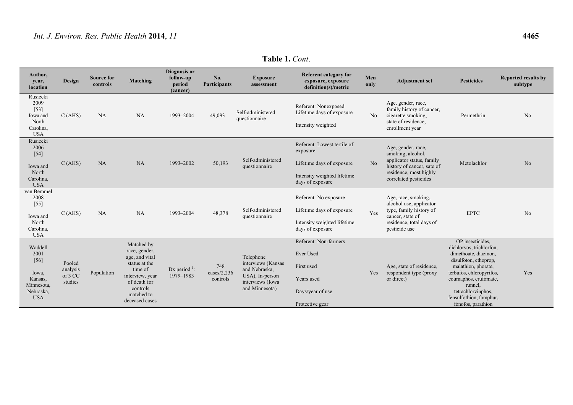| Author,<br>year,<br>location                                                           | <b>Design</b>                            | <b>Source for</b><br>controls | Matching                                                                                                                                                 | Diagnosis or<br>follow-up<br>period<br>(cancer) | No.<br><b>Participants</b>     | <b>Exposure</b><br>assessment                                                                                | <b>Referent category for</b><br>exposure, exposure<br>definition(s)/metric                                              | Men<br>only    | <b>Adjustment set</b>                                                                                                                                 | <b>Pesticides</b>                                                                                                                                                                                                                                            | <b>Reported results by</b><br>subtype |
|----------------------------------------------------------------------------------------|------------------------------------------|-------------------------------|----------------------------------------------------------------------------------------------------------------------------------------------------------|-------------------------------------------------|--------------------------------|--------------------------------------------------------------------------------------------------------------|-------------------------------------------------------------------------------------------------------------------------|----------------|-------------------------------------------------------------------------------------------------------------------------------------------------------|--------------------------------------------------------------------------------------------------------------------------------------------------------------------------------------------------------------------------------------------------------------|---------------------------------------|
| Rusiecki<br>2009<br>$[53]$<br>Iowa and<br>North<br>Carolina,<br><b>USA</b>             | C(AHS)                                   | NA                            | <b>NA</b>                                                                                                                                                | 1993-2004                                       | 49,093                         | Self-administered<br>questionnaire                                                                           | Referent: Nonexposed<br>Lifetime days of exposure<br>Intensity weighted                                                 | No             | Age, gender, race,<br>family history of cancer,<br>cigarette smoking,<br>state of residence.<br>enrollment year                                       | Permethrin                                                                                                                                                                                                                                                   | No                                    |
| Rusiecki<br>2006<br>$[54]$<br>Iowa and<br>North<br>Carolina,<br><b>USA</b>             | C(AHS)                                   | <b>NA</b>                     | <b>NA</b>                                                                                                                                                | 1993-2002                                       | 50,193                         | Self-administered<br>questionnaire                                                                           | Referent: Lowest tertile of<br>exposure<br>Lifetime days of exposure<br>Intensity weighted lifetime<br>days of exposure | N <sub>o</sub> | Age, gender, race,<br>smoking, alcohol,<br>applicator status, family<br>history of cancer, sate of<br>residence, most highly<br>correlated pesticides | Metolachlor                                                                                                                                                                                                                                                  | N <sub>o</sub>                        |
| van Bemmel<br>2008<br>$[55]$<br>Iowa and<br>North<br>Carolina,<br><b>USA</b>           | C(AHS)                                   | <b>NA</b>                     | <b>NA</b>                                                                                                                                                | 1993-2004                                       | 48,378                         | Self-administered<br>questionnaire                                                                           | Referent: No exposure<br>Lifetime days of exposure<br>Intensity weighted lifetime<br>days of exposure                   | Yes            | Age, race, smoking,<br>alcohol use, applicator<br>type, family history of<br>cancer, state of<br>residence, total days of<br>pesticide use            | <b>EPTC</b>                                                                                                                                                                                                                                                  | No                                    |
| Waddell<br>2001<br>$[56]$<br>Iowa,<br>Kansas,<br>Minnesota,<br>Nebraska,<br><b>USA</b> | Pooled<br>analysis<br>of 3 CC<br>studies | Population                    | Matched by<br>race, gender,<br>age, and vital<br>status at the<br>time of<br>interview, year<br>of death for<br>controls<br>matched to<br>deceased cases | Dx period $\frac{1}{2}$ :<br>1979-1983          | 748<br>cases/2,236<br>controls | Telephone<br>interviews (Kansas<br>and Nebraska,<br>$USA$ ), In-person<br>interviews (Iowa<br>and Minnesota) | Referent: Non-farmers<br>Ever Used<br>First used<br>Years used<br>Days/year of use<br>Protective gear                   | Yes            | Age, state of residence,<br>respondent type (proxy<br>or direct)                                                                                      | OP insecticides.<br>dichlorvos, trichlorfon,<br>dimethoate, diazinon,<br>disulfoton, ethoprop,<br>malathion, phorate,<br>terbufos, chloropyrifos,<br>coumaphos, crufomate,<br>runnel.<br>tetrachlorvinphos.<br>fensulfothion, famphur,<br>fonofos, parathion | Yes                                   |

**Table 1.** *Cont*.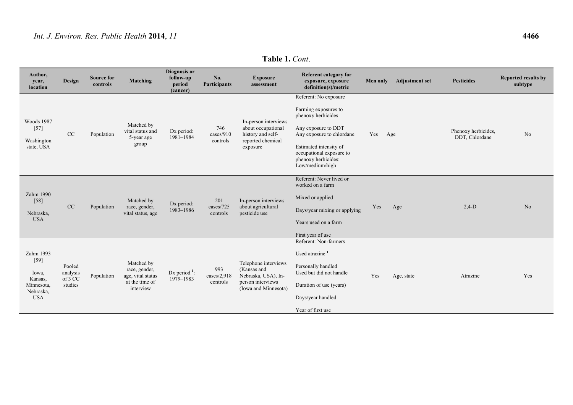| Author,<br>year,<br>location                                                     | <b>Design</b>                            | <b>Source for</b><br>controls | Matching                                                                        | <b>Diagnosis</b> or<br>follow-up<br>period<br>(cancer) | No.<br>Participants            | <b>Exposure</b><br>assessment                                                                           | <b>Referent category for</b><br>exposure, exposure<br>definition(s)/metric                                                                                                                                              | Men only | <b>Adjustment set</b> | <b>Pesticides</b>                     | <b>Reported results by</b><br>subtype |
|----------------------------------------------------------------------------------|------------------------------------------|-------------------------------|---------------------------------------------------------------------------------|--------------------------------------------------------|--------------------------------|---------------------------------------------------------------------------------------------------------|-------------------------------------------------------------------------------------------------------------------------------------------------------------------------------------------------------------------------|----------|-----------------------|---------------------------------------|---------------------------------------|
| <b>Woods 1987</b><br>$[57]$<br>Washington<br>state, USA                          | CC                                       | Population                    | Matched by<br>vital status and<br>5-year age<br>group                           | Dx period:<br>1981-1984                                | 746<br>cases/910<br>controls   | In-person interviews<br>about occupational<br>history and self-<br>reported chemical<br>exposure        | Referent: No exposure<br>Farming exposures to<br>phenoxy herbicides<br>Any exposure to DDT<br>Any exposure to chlordane<br>Estimated intensity of<br>occupational exposure to<br>phenoxy herbicides:<br>Low/medium/high | Yes      | Age                   | Phenoxy herbicides,<br>DDT, Chlordane | N <sub>o</sub>                        |
| Zahm 1990<br>$[58]$<br>Nebraska,<br><b>USA</b>                                   | CC                                       | Population                    | Matched by<br>race, gender,<br>vital status, age                                | Dx period:<br>1983-1986                                | 201<br>cases/725<br>controls   | In-person interviews<br>about agricultural<br>pesticide use                                             | Referent: Never lived or<br>worked on a farm<br>Mixed or applied<br>Days/year mixing or applying<br>Years used on a farm<br>First year of use                                                                           | Yes      | Age                   | $2,4-D$                               | No                                    |
| Zahm 1993<br>$[59]$<br>Iowa,<br>Kansas,<br>Minnesota,<br>Nebraska,<br><b>USA</b> | Pooled<br>analysis<br>of 3 CC<br>studies | Population                    | Matched by<br>race, gender,<br>age, vital status<br>at the time of<br>interview | Dx period $1$ :<br>1979-1983                           | 993<br>cases/2,918<br>controls | Telephone interviews<br>(Kansas and<br>Nebraska, USA), In-<br>person interviews<br>(Iowa and Minnesota) | Referent: Non-farmers<br>Used atrazine <sup>1</sup><br>Personally handled<br>Used but did not handle<br>Duration of use (years)<br>Days/year handled<br>Year of first use                                               | Yes      | Age, state            | Atrazine                              | Yes                                   |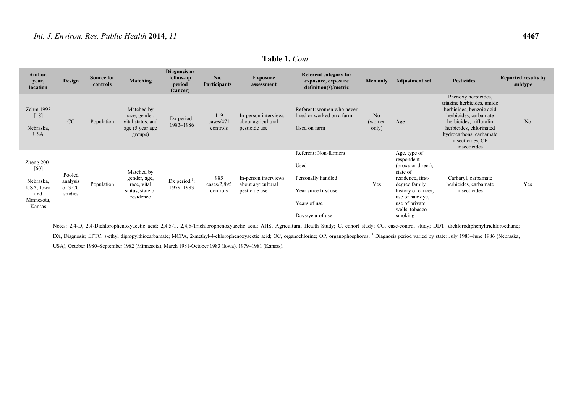| Author,<br>year,<br>location                                                  | Design                                   | Source for<br>controls | Matching                                                                       | <b>Diagnosis or</b><br>follow-up<br>period<br>(cancer) | No.<br><b>Participants</b>     | <b>Exposure</b><br>assessment                               | <b>Referent category for</b><br>exposure, exposure<br>definition(s)/metric                                      | <b>Men only</b>                    | <b>Adjustment set</b>                                                                                                                                                                       | <b>Pesticides</b>                                                                                                                                                                                                           | Reported results by<br>subtype |
|-------------------------------------------------------------------------------|------------------------------------------|------------------------|--------------------------------------------------------------------------------|--------------------------------------------------------|--------------------------------|-------------------------------------------------------------|-----------------------------------------------------------------------------------------------------------------|------------------------------------|---------------------------------------------------------------------------------------------------------------------------------------------------------------------------------------------|-----------------------------------------------------------------------------------------------------------------------------------------------------------------------------------------------------------------------------|--------------------------------|
| Zahm 1993<br>$[18]$<br>Nebraska,<br><b>USA</b>                                | <sub>CC</sub>                            | Population             | Matched by<br>race, gender,<br>vital status, and<br>age (5 year age<br>groups) | Dx period:<br>1983-1986                                | 119<br>cases/471<br>controls   | In-person interviews<br>about agricultural<br>pesticide use | Referent: women who never<br>lived or worked on a farm<br>Used on farm                                          | N <sub>0</sub><br>(women)<br>only) | Age                                                                                                                                                                                         | Phenoxy herbicides,<br>triazine herbicides, amide<br>herbicides, benzoic acid<br>herbicides, carbamate<br>herbicides, trifluralin<br>herbicides, chlorinated<br>hydrocarbons, carbamate<br>insecticides, OP<br>insecticides | N <sub>o</sub>                 |
| Zheng $2001$<br>[60]<br>Nebraska,<br>USA, Iowa<br>and<br>Minnesota,<br>Kansas | Pooled<br>analysis<br>of 3 CC<br>studies | Population             | Matched by<br>gender, age,<br>race, vital<br>status, state of<br>residence     | Dx period $1$ :<br>1979-1983                           | 985<br>cases/2,895<br>controls | In-person interviews<br>about agricultural<br>pesticide use | Referent: Non-farmers<br>Used<br>Personally handled<br>Year since first use<br>Years of use<br>Days/year of use | Yes                                | Age, type of<br>respondent<br>(proxy or direct),<br>state of<br>residence, first-<br>degree family<br>history of cancer,<br>use of hair dye,<br>use of private<br>wells, tobacco<br>smoking | Carbaryl, carbamate<br>herbicides, carbamate<br>insecticides                                                                                                                                                                | Yes                            |

**Table 1.** *Cont.* 

Notes: 2,4-D, 2,4-Dichlorophenoxyacetic acid; 2,4,5-T, 2,4,5-Trichlorophenoxyacetic acid; AHS, Agricultural Health Study; C, cohort study; CC, case-control study; DDT, dichlorodiphenyltrichloroethane;

DX, Diagnosis; EPTC, s-ethyl dipropylthiocarbamate; MCPA, 2-methyl-4-chlorophenoxyacetic acid; OC, organochlorine; OP, organophosphorus; <sup>1</sup> Diagnosis period varied by state: July 1983–June 1986 (Nebraska, USA), October 1980–September 1982 (Minnesota), March 1981-October 1983 (Iowa), 1979–1981 (Kansas).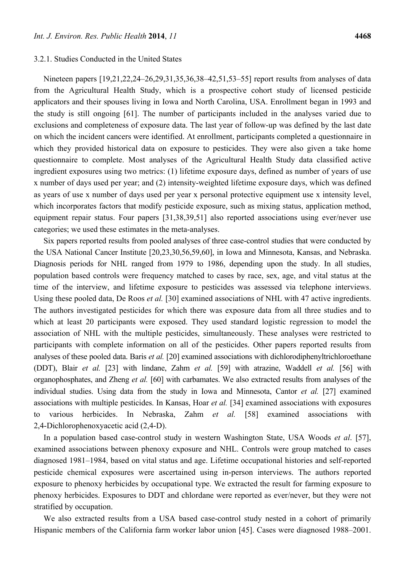#### 3.2.1. Studies Conducted in the United States

Nineteen papers [19,21,22,24–26,29,31,35,36,38–42,51,53–55] report results from analyses of data from the Agricultural Health Study, which is a prospective cohort study of licensed pesticide applicators and their spouses living in Iowa and North Carolina, USA. Enrollment began in 1993 and the study is still ongoing [61]. The number of participants included in the analyses varied due to exclusions and completeness of exposure data. The last year of follow-up was defined by the last date on which the incident cancers were identified. At enrollment, participants completed a questionnaire in which they provided historical data on exposure to pesticides. They were also given a take home questionnaire to complete. Most analyses of the Agricultural Health Study data classified active ingredient exposures using two metrics: (1) lifetime exposure days, defined as number of years of use x number of days used per year; and (2) intensity-weighted lifetime exposure days, which was defined as years of use x number of days used per year x personal protective equipment use x intensity level, which incorporates factors that modify pesticide exposure, such as mixing status, application method, equipment repair status. Four papers [31,38,39,51] also reported associations using ever/never use categories; we used these estimates in the meta-analyses.

Six papers reported results from pooled analyses of three case-control studies that were conducted by the USA National Cancer Institute [20,23,30,56,59,60], in Iowa and Minnesota, Kansas, and Nebraska. Diagnosis periods for NHL ranged from 1979 to 1986, depending upon the study. In all studies, population based controls were frequency matched to cases by race, sex, age, and vital status at the time of the interview, and lifetime exposure to pesticides was assessed via telephone interviews. Using these pooled data, De Roos *et al.* [30] examined associations of NHL with 47 active ingredients. The authors investigated pesticides for which there was exposure data from all three studies and to which at least 20 participants were exposed. They used standard logistic regression to model the association of NHL with the multiple pesticides, simultaneously. These analyses were restricted to participants with complete information on all of the pesticides. Other papers reported results from analyses of these pooled data. Baris *et al.* [20] examined associations with dichlorodiphenyltrichloroethane (DDT), Blair *et al.* [23] with lindane, Zahm *et al.* [59] with atrazine, Waddell *et al.* [56] with organophosphates, and Zheng *et al.* [60] with carbamates. We also extracted results from analyses of the individual studies. Using data from the study in Iowa and Minnesota, Cantor *et al.* [27] examined associations with multiple pesticides. In Kansas, Hoar *et al.* [34] examined associations with exposures to various herbicides. In Nebraska, Zahm *et al.* [58] examined associations with 2,4-Dichlorophenoxyacetic acid (2,4-D).

In a population based case-control study in western Washington State, USA Woods *et al*. [57], examined associations between phenoxy exposure and NHL. Controls were group matched to cases diagnosed 1981–1984, based on vital status and age. Lifetime occupational histories and self-reported pesticide chemical exposures were ascertained using in-person interviews. The authors reported exposure to phenoxy herbicides by occupational type. We extracted the result for farming exposure to phenoxy herbicides. Exposures to DDT and chlordane were reported as ever/never, but they were not stratified by occupation.

We also extracted results from a USA based case-control study nested in a cohort of primarily Hispanic members of the California farm worker labor union [45]. Cases were diagnosed 1988–2001.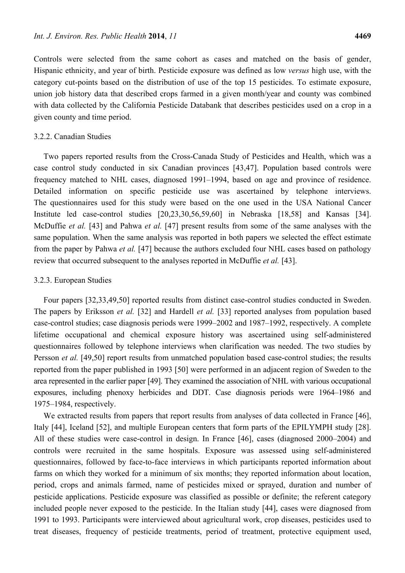Controls were selected from the same cohort as cases and matched on the basis of gender, Hispanic ethnicity, and year of birth. Pesticide exposure was defined as low *versus* high use, with the category cut-points based on the distribution of use of the top 15 pesticides. To estimate exposure, union job history data that described crops farmed in a given month/year and county was combined with data collected by the California Pesticide Databank that describes pesticides used on a crop in a given county and time period.

### 3.2.2. Canadian Studies

Two papers reported results from the Cross-Canada Study of Pesticides and Health, which was a case control study conducted in six Canadian provinces [43,47]. Population based controls were frequency matched to NHL cases, diagnosed 1991–1994, based on age and province of residence. Detailed information on specific pesticide use was ascertained by telephone interviews. The questionnaires used for this study were based on the one used in the USA National Cancer Institute led case-control studies [20,23,30,56,59,60] in Nebraska [18,58] and Kansas [34]. McDuffie *et al.* [43] and Pahwa *et al.* [47] present results from some of the same analyses with the same population. When the same analysis was reported in both papers we selected the effect estimate from the paper by Pahwa *et al.* [47] because the authors excluded four NHL cases based on pathology review that occurred subsequent to the analyses reported in McDuffie *et al.* [43].

#### 3.2.3. European Studies

Four papers [32,33,49,50] reported results from distinct case-control studies conducted in Sweden. The papers by Eriksson *et al.* [32] and Hardell *et al.* [33] reported analyses from population based case-control studies; case diagnosis periods were 1999–2002 and 1987–1992, respectively. A complete lifetime occupational and chemical exposure history was ascertained using self-administered questionnaires followed by telephone interviews when clarification was needed. The two studies by Persson *et al.* [49,50] report results from unmatched population based case-control studies; the results reported from the paper published in 1993 [50] were performed in an adjacent region of Sweden to the area represented in the earlier paper [49]. They examined the association of NHL with various occupational exposures, including phenoxy herbicides and DDT. Case diagnosis periods were 1964–1986 and 1975–1984, respectively.

We extracted results from papers that report results from analyses of data collected in France [46], Italy [44], Iceland [52], and multiple European centers that form parts of the EPILYMPH study [28]. All of these studies were case-control in design. In France [46], cases (diagnosed 2000–2004) and controls were recruited in the same hospitals. Exposure was assessed using self-administered questionnaires, followed by face-to-face interviews in which participants reported information about farms on which they worked for a minimum of six months; they reported information about location, period, crops and animals farmed, name of pesticides mixed or sprayed, duration and number of pesticide applications. Pesticide exposure was classified as possible or definite; the referent category included people never exposed to the pesticide. In the Italian study [44], cases were diagnosed from 1991 to 1993. Participants were interviewed about agricultural work, crop diseases, pesticides used to treat diseases, frequency of pesticide treatments, period of treatment, protective equipment used,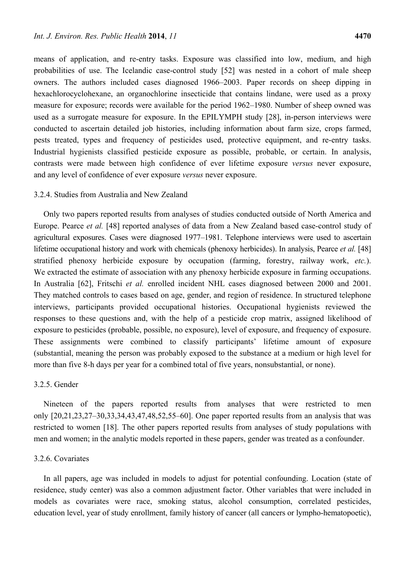means of application, and re-entry tasks. Exposure was classified into low, medium, and high probabilities of use. The Icelandic case-control study [52] was nested in a cohort of male sheep owners. The authors included cases diagnosed 1966–2003. Paper records on sheep dipping in hexachlorocyclohexane, an organochlorine insecticide that contains lindane, were used as a proxy measure for exposure; records were available for the period 1962–1980. Number of sheep owned was used as a surrogate measure for exposure. In the EPILYMPH study [28], in-person interviews were conducted to ascertain detailed job histories, including information about farm size, crops farmed, pests treated, types and frequency of pesticides used, protective equipment, and re-entry tasks. Industrial hygienists classified pesticide exposure as possible, probable, or certain. In analysis, contrasts were made between high confidence of ever lifetime exposure *versus* never exposure, and any level of confidence of ever exposure *versus* never exposure.

### 3.2.4. Studies from Australia and New Zealand

Only two papers reported results from analyses of studies conducted outside of North America and Europe. Pearce *et al.* [48] reported analyses of data from a New Zealand based case-control study of agricultural exposures. Cases were diagnosed 1977–1981. Telephone interviews were used to ascertain lifetime occupational history and work with chemicals (phenoxy herbicides). In analysis, Pearce *et al.* [48] stratified phenoxy herbicide exposure by occupation (farming, forestry, railway work, *etc.*). We extracted the estimate of association with any phenoxy herbicide exposure in farming occupations. In Australia [62], Fritschi *et al.* enrolled incident NHL cases diagnosed between 2000 and 2001. They matched controls to cases based on age, gender, and region of residence. In structured telephone interviews, participants provided occupational histories. Occupational hygienists reviewed the responses to these questions and, with the help of a pesticide crop matrix, assigned likelihood of exposure to pesticides (probable, possible, no exposure), level of exposure, and frequency of exposure. These assignments were combined to classify participants' lifetime amount of exposure (substantial, meaning the person was probably exposed to the substance at a medium or high level for more than five 8-h days per year for a combined total of five years, nonsubstantial, or none).

### 3.2.5. Gender

Nineteen of the papers reported results from analyses that were restricted to men only [20,21,23,27–30,33,34,43,47,48,52,55–60]. One paper reported results from an analysis that was restricted to women [18]. The other papers reported results from analyses of study populations with men and women; in the analytic models reported in these papers, gender was treated as a confounder.

### 3.2.6. Covariates

In all papers, age was included in models to adjust for potential confounding. Location (state of residence, study center) was also a common adjustment factor. Other variables that were included in models as covariates were race, smoking status, alcohol consumption, correlated pesticides, education level, year of study enrollment, family history of cancer (all cancers or lympho-hematopoetic),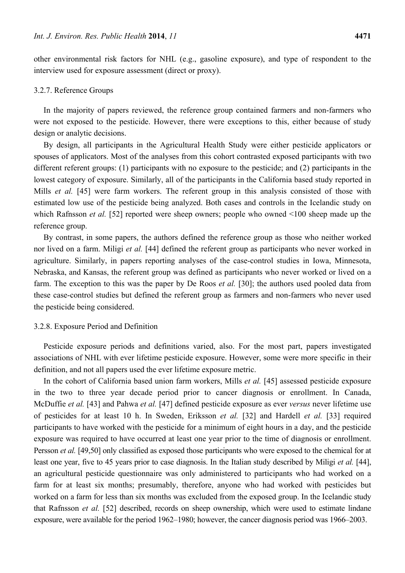other environmental risk factors for NHL (e.g., gasoline exposure), and type of respondent to the interview used for exposure assessment (direct or proxy).

### 3.2.7. Reference Groups

In the majority of papers reviewed, the reference group contained farmers and non-farmers who were not exposed to the pesticide. However, there were exceptions to this, either because of study design or analytic decisions.

By design, all participants in the Agricultural Health Study were either pesticide applicators or spouses of applicators. Most of the analyses from this cohort contrasted exposed participants with two different referent groups: (1) participants with no exposure to the pesticide; and (2) participants in the lowest category of exposure. Similarly, all of the participants in the California based study reported in Mills *et al.* [45] were farm workers. The referent group in this analysis consisted of those with estimated low use of the pesticide being analyzed. Both cases and controls in the Icelandic study on which Rafnsson *et al.* [52] reported were sheep owners; people who owned <100 sheep made up the reference group.

By contrast, in some papers, the authors defined the reference group as those who neither worked nor lived on a farm. Miligi *et al.* [44] defined the referent group as participants who never worked in agriculture. Similarly, in papers reporting analyses of the case-control studies in Iowa, Minnesota, Nebraska, and Kansas, the referent group was defined as participants who never worked or lived on a farm. The exception to this was the paper by De Roos *et al.* [30]; the authors used pooled data from these case-control studies but defined the referent group as farmers and non-farmers who never used the pesticide being considered.

### 3.2.8. Exposure Period and Definition

Pesticide exposure periods and definitions varied, also. For the most part, papers investigated associations of NHL with ever lifetime pesticide exposure. However, some were more specific in their definition, and not all papers used the ever lifetime exposure metric.

In the cohort of California based union farm workers, Mills *et al.* [45] assessed pesticide exposure in the two to three year decade period prior to cancer diagnosis or enrollment. In Canada, McDuffie *et al.* [43] and Pahwa *et al.* [47] defined pesticide exposure as ever *versus* never lifetime use of pesticides for at least 10 h. In Sweden, Eriksson *et al.* [32] and Hardell *et al.* [33] required participants to have worked with the pesticide for a minimum of eight hours in a day, and the pesticide exposure was required to have occurred at least one year prior to the time of diagnosis or enrollment. Persson *et al.* [49,50] only classified as exposed those participants who were exposed to the chemical for at least one year, five to 45 years prior to case diagnosis. In the Italian study described by Miligi *et al.* [44], an agricultural pesticide questionnaire was only administered to participants who had worked on a farm for at least six months; presumably, therefore, anyone who had worked with pesticides but worked on a farm for less than six months was excluded from the exposed group. In the Icelandic study that Rafnsson *et al.* [52] described, records on sheep ownership, which were used to estimate lindane exposure, were available for the period 1962–1980; however, the cancer diagnosis period was 1966–2003.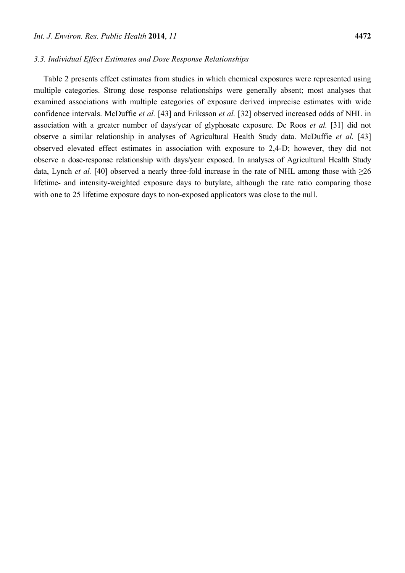#### *3.3. Individual Effect Estimates and Dose Response Relationships*

Table 2 presents effect estimates from studies in which chemical exposures were represented using multiple categories. Strong dose response relationships were generally absent; most analyses that examined associations with multiple categories of exposure derived imprecise estimates with wide confidence intervals. McDuffie *et al.* [43] and Eriksson *et al.* [32] observed increased odds of NHL in association with a greater number of days/year of glyphosate exposure. De Roos *et al.* [31] did not observe a similar relationship in analyses of Agricultural Health Study data. McDuffie *et al.* [43] observed elevated effect estimates in association with exposure to 2,4-D; however, they did not observe a dose-response relationship with days/year exposed. In analyses of Agricultural Health Study data, Lynch *et al.* [40] observed a nearly three-fold increase in the rate of NHL among those with  $\geq 26$ lifetime- and intensity-weighted exposure days to butylate, although the rate ratio comparing those with one to 25 lifetime exposure days to non-exposed applicators was close to the null.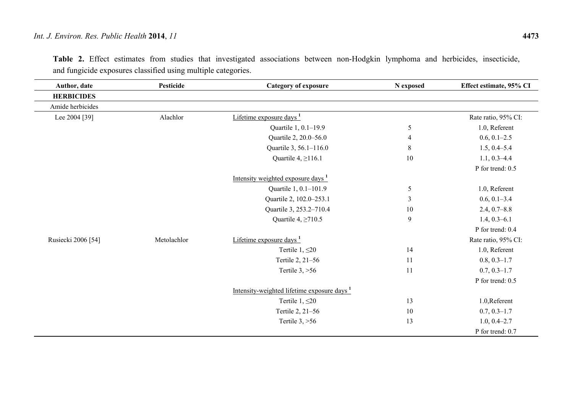| Author, date       | Pesticide   | <b>Category of exposure</b>                            | N exposed        | Effect estimate, 95% CI |
|--------------------|-------------|--------------------------------------------------------|------------------|-------------------------|
| <b>HERBICIDES</b>  |             |                                                        |                  |                         |
| Amide herbicides   |             |                                                        |                  |                         |
| Lee 2004 [39]      | Alachlor    | Lifetime exposure days <sup>1</sup>                    |                  | Rate ratio, 95% CI:     |
|                    |             | Quartile 1, 0.1-19.9                                   | $\mathfrak s$    | 1.0, Referent           |
|                    |             | Quartile 2, 20.0-56.0                                  | $\overline{4}$   | $0.6, 0.1 - 2.5$        |
|                    |             | Quartile 3, 56.1-116.0                                 | $\,8\,$          | $1.5, 0.4 - 5.4$        |
|                    |             | Quartile $4, \geq 116.1$                               | 10               | $1.1, 0.3 - 4.4$        |
|                    |             |                                                        |                  | P for trend: 0.5        |
|                    |             | Intensity weighted exposure days <sup>1</sup>          |                  |                         |
|                    |             | Quartile 1, 0.1-101.9                                  | $\sqrt{5}$       | 1.0, Referent           |
|                    |             | Quartile 2, 102.0-253.1                                | $\mathfrak{Z}$   | $0.6, 0.1 - 3.4$        |
|                    |             | Quartile 3, 253.2-710.4                                | 10               | $2.4, 0.7 - 8.8$        |
|                    |             | Quartile $4, \geq 710.5$                               | $\boldsymbol{9}$ | $1.4, 0.3 - 6.1$        |
|                    |             |                                                        |                  | P for trend: 0.4        |
| Rusiecki 2006 [54] | Metolachlor | Lifetime exposure days <sup>1</sup>                    |                  | Rate ratio, 95% CI:     |
|                    |             | Tertile $1, \leq 20$                                   | 14               | 1.0, Referent           |
|                    |             | Tertile 2, 21-56                                       | 11               | $0.8, 0.3 - 1.7$        |
|                    |             | Tertile $3, >56$                                       | 11               | $0.7, 0.3 - 1.7$        |
|                    |             |                                                        |                  | P for trend: 0.5        |
|                    |             | Intensity-weighted lifetime exposure days <sup>1</sup> |                  |                         |
|                    |             | Tertile $1, \leq 20$                                   | 13               | 1.0, Referent           |
|                    |             | Tertile 2, 21–56                                       | 10               | $0.7, 0.3 - 1.7$        |
|                    |             | Tertile $3, >56$                                       | 13               | $1.0, 0.4 - 2.7$        |
|                    |             |                                                        |                  | P for trend: 0.7        |

**Table 2.** Effect estimates from studies that investigated associations between non-Hodgkin lymphoma and herbicides, insecticide, and fungicide exposures classified using multiple categories.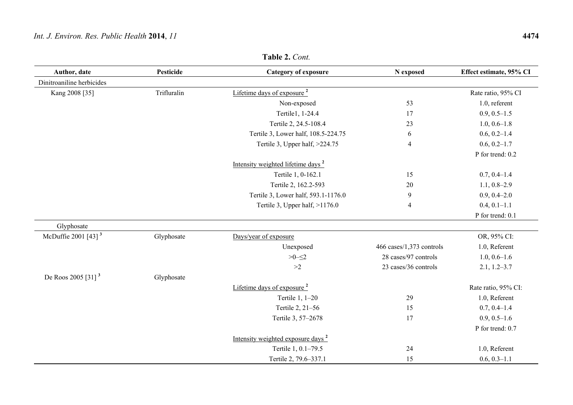| Author, date                    | Pesticide   | <b>Category of exposure</b>                   | N exposed                | Effect estimate, 95% CI |
|---------------------------------|-------------|-----------------------------------------------|--------------------------|-------------------------|
| Dinitroaniline herbicides       |             |                                               |                          |                         |
| Kang 2008 [35]                  | Trifluralin | Lifetime days of exposure <sup>2</sup>        |                          | Rate ratio, 95% CI      |
|                                 |             | Non-exposed                                   | 53                       | 1.0, referent           |
|                                 |             | Tertile1, 1-24.4                              | 17                       | $0.9, 0.5 - 1.5$        |
|                                 |             | Tertile 2, 24.5-108.4                         | 23                       | $1.0, 0.6 - 1.8$        |
|                                 |             | Tertile 3, Lower half, 108.5-224.75           | 6                        | $0.6, 0.2 - 1.4$        |
|                                 |             | Tertile 3, Upper half, >224.75                | $\overline{4}$           | $0.6, 0.2 - 1.7$        |
|                                 |             |                                               |                          | P for trend: 0.2        |
|                                 |             | Intensity weighted lifetime days <sup>2</sup> |                          |                         |
|                                 |             | Tertile 1, 0-162.1                            | 15                       | $0.7, 0.4 - 1.4$        |
|                                 |             | Tertile 2, 162.2-593                          | 20                       | $1.1, 0.8 - 2.9$        |
|                                 |             | Tertile 3, Lower half, 593.1-1176.0           | 9                        | $0.9, 0.4 - 2.0$        |
|                                 |             | Tertile 3, Upper half, $>1176.0$              | $\overline{4}$           | $0.4, 0.1 - 1.1$        |
|                                 |             |                                               |                          | P for trend: 0.1        |
| Glyphosate                      |             |                                               |                          |                         |
| McDuffie 2001 [43] <sup>3</sup> | Glyphosate  | Days/year of exposure                         |                          | OR, 95% CI:             |
|                                 |             | Unexposed                                     | 466 cases/1,373 controls | 1.0, Referent           |
|                                 |             | $>0 - \leq 2$                                 | 28 cases/97 controls     | $1.0, 0.6 - 1.6$        |
|                                 |             | >2                                            | 23 cases/36 controls     | $2.1, 1.2 - 3.7$        |
| De Roos 2005 [31] <sup>3</sup>  | Glyphosate  |                                               |                          |                         |
|                                 |             | Lifetime days of exposure $2$                 |                          | Rate ratio, 95% CI:     |
|                                 |             | Tertile 1, 1-20                               | 29                       | 1.0, Referent           |
|                                 |             | Tertile 2, 21-56                              | 15                       | $0.7, 0.4 - 1.4$        |
|                                 |             | Tertile 3, 57-2678                            | 17                       | $0.9, 0.5 - 1.6$        |
|                                 |             |                                               |                          | P for trend: 0.7        |
|                                 |             | Intensity weighted exposure days <sup>2</sup> |                          |                         |
|                                 |             | Tertile 1, 0.1-79.5                           | 24                       | 1.0, Referent           |
|                                 |             | Tertile 2, 79.6-337.1                         | 15                       | $0.6, 0.3 - 1.1$        |

**Table 2.** *Cont.*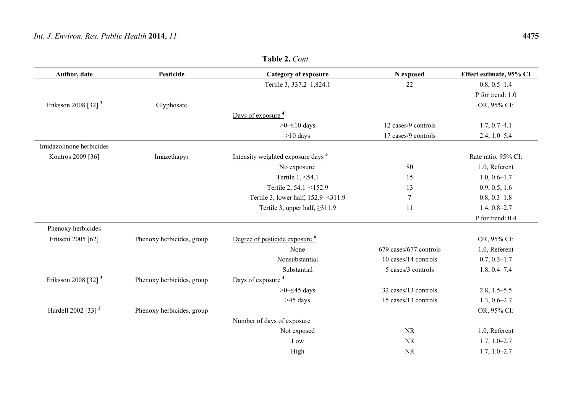| Author, date                    | Pesticide                 | <b>Category of exposure</b>                   | N exposed              | Effect estimate, 95% CI |
|---------------------------------|---------------------------|-----------------------------------------------|------------------------|-------------------------|
|                                 |                           | Tertile 3, 337.2-1,824.1                      | 22                     | $0.8, 0.5 - 1.4$        |
|                                 |                           |                                               |                        | P for trend: 1.0        |
| Eriksson 2008 [32] <sup>3</sup> | Glyphosate                |                                               |                        | OR, 95% CI:             |
|                                 |                           | Days of exposure <sup>4</sup>                 |                        |                         |
|                                 |                           | $>0$ - $\leq$ 10 days                         | 12 cases/9 controls    | $1.7, 0.7 - 4.1$        |
|                                 |                           | $>10$ days                                    | 17 cases/9 controls    | $2.4, 1.0 - 5.4$        |
| Imidazolinone herbicides        |                           |                                               |                        |                         |
| Koutros 2009 [36]               | Imazethapyr               | Intensity weighted exposure days <sup>5</sup> |                        | Rate ratio, 95% CI:     |
|                                 |                           | No exposure:                                  | 80                     | 1.0, Referent           |
|                                 |                           | Tertile 1, <54.1                              | 15                     | $1.0, 0.6 - 1.7$        |
|                                 |                           | Tertile 2, 54.1-<152.9                        | 13                     | 0.9, 0.5, 1.6           |
|                                 |                           | Tertile 3, lower half, 152.9 -< 311.9         | $\tau$                 | $0.8, 0.3 - 1.8$        |
|                                 |                           | Tertile 3, upper half, $\geq$ 311.9           | 11                     | $1.4, 0.8 - 2.7$        |
|                                 |                           |                                               |                        | P for trend: 0.4        |
| Phenoxy herbicides              |                           |                                               |                        |                         |
| Fritschi 2005 [62]              | Phenoxy herbicides, group | Degree of pesticide exposure <sup>6</sup>     |                        | OR, 95% CI:             |
|                                 |                           | None                                          | 679 cases/677 controls | 1.0, Referent           |
|                                 |                           | Nonsubstantial                                | 10 cases/14 controls   | $0.7, 0.3 - 1.7$        |
|                                 |                           | Substantial                                   | 5 cases/3 controls     | $1.8, 0.4 - 7.4$        |
| Eriksson 2008 [32] $3$          | Phenoxy herbicides, group | Days of exposure <sup>4</sup>                 |                        |                         |
|                                 |                           | $>0$ - $\leq$ 45 days                         | 32 cases/13 controls   | $2.8, 1.5 - 5.5$        |
|                                 |                           | $>45$ days                                    | 15 cases/13 controls   | $1.3, 0.6 - 2.7$        |
| Hardell 2002 [33] <sup>3</sup>  | Phenoxy herbicides, group |                                               |                        | OR, 95% CI:             |
|                                 |                           | Number of days of exposure                    |                        |                         |
|                                 |                           | Not exposed                                   | <b>NR</b>              | 1.0, Referent           |
|                                 |                           | Low                                           | <b>NR</b>              | $1.7, 1.0 - 2.7$        |
|                                 |                           | High                                          | <b>NR</b>              | $1.7, 1.0 - 2.7$        |

**Table 2.** *Cont.*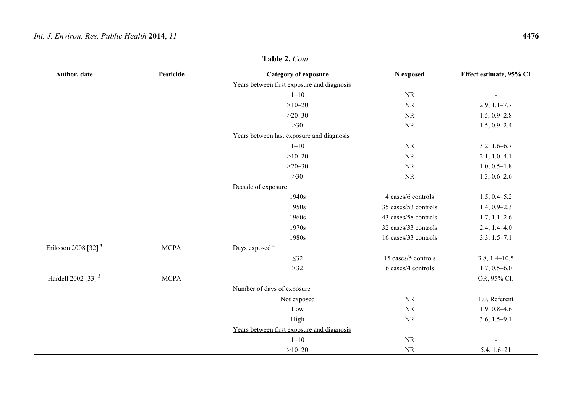| Author, date                    | Pesticide   | <b>Category of exposure</b>                | N exposed            | Effect estimate, 95% CI |
|---------------------------------|-------------|--------------------------------------------|----------------------|-------------------------|
|                                 |             | Years between first exposure and diagnosis |                      |                         |
|                                 |             | $1 - 10$                                   | $\rm NR$             |                         |
|                                 |             | $>10-20$                                   | <b>NR</b>            | $2.9, 1.1 - 7.7$        |
|                                 |             | $>20-30$                                   | <b>NR</b>            | $1.5, 0.9 - 2.8$        |
|                                 |             | $>30$                                      | <b>NR</b>            | $1.5, 0.9 - 2.4$        |
|                                 |             | Years between last exposure and diagnosis  |                      |                         |
|                                 |             | $1 - 10$                                   | NR                   | $3.2, 1.6 - 6.7$        |
|                                 |             | $>10-20$                                   | <b>NR</b>            | $2.1, 1.0 - 4.1$        |
|                                 |             | $>20-30$                                   | <b>NR</b>            | $1.0, 0.5 - 1.8$        |
|                                 |             | $>30$                                      | $\rm NR$             | $1.3, 0.6 - 2.6$        |
|                                 |             | Decade of exposure                         |                      |                         |
|                                 |             | 1940s                                      | 4 cases/6 controls   | $1.5, 0.4 - 5.2$        |
|                                 |             | 1950s                                      | 35 cases/53 controls | $1.4, 0.9 - 2.3$        |
|                                 |             | 1960s                                      | 43 cases/58 controls | $1.7, 1.1 - 2.6$        |
|                                 |             | 1970s                                      | 32 cases/33 controls | $2.4, 1.4 - 4.0$        |
|                                 |             | 1980s                                      | 16 cases/33 controls | $3.3, 1.5 - 7.1$        |
| Eriksson 2008 [32] <sup>3</sup> | <b>MCPA</b> | Days exposed $4$                           |                      |                         |
|                                 |             | $\leq 32$                                  | 15 cases/5 controls  | $3.8, 1.4 - 10.5$       |
|                                 |             | $>32$                                      | 6 cases/4 controls   | $1.7, 0.5 - 6.0$        |
| Hardell 2002 [33] <sup>3</sup>  | <b>MCPA</b> |                                            |                      | OR, 95% CI:             |
|                                 |             | Number of days of exposure                 |                      |                         |
|                                 |             | Not exposed                                | $\rm NR$             | 1.0, Referent           |
|                                 |             | Low                                        | <b>NR</b>            | $1.9, 0.8 - 4.6$        |
|                                 |             | High                                       | NR                   | $3.6, 1.5 - 9.1$        |
|                                 |             | Years between first exposure and diagnosis |                      |                         |
|                                 |             | $1 - 10$                                   | NR                   |                         |
|                                 |             | $>10-20$                                   | NR                   | $5.4, 1.6 - 21$         |

**Table 2.** *Cont.*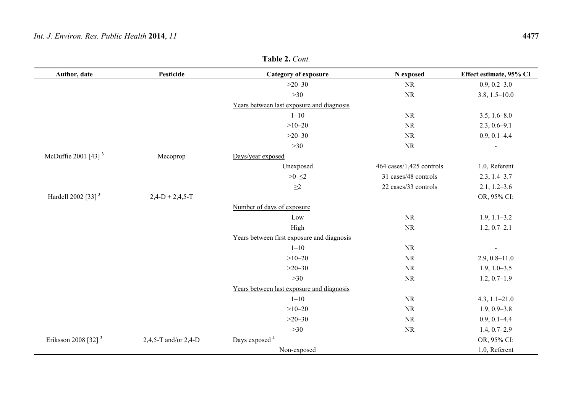| Author, date                    | Pesticide            | Category of exposure                       | N exposed                | Effect estimate, 95% CI |
|---------------------------------|----------------------|--------------------------------------------|--------------------------|-------------------------|
|                                 |                      | $>20-30$                                   | <b>NR</b>                | $0.9, 0.2 - 3.0$        |
|                                 |                      | $>30$                                      | $\rm NR$                 | $3.8, 1.5 - 10.0$       |
|                                 |                      | Years between last exposure and diagnosis  |                          |                         |
|                                 |                      | $1 - 10$                                   | <b>NR</b>                | $3.5, 1.6 - 8.0$        |
|                                 |                      | $>10-20$                                   | <b>NR</b>                | $2.3, 0.6 - 9.1$        |
|                                 |                      | $>20 - 30$                                 | <b>NR</b>                | $0.9, 0.1 - 4.4$        |
|                                 |                      | $>30$                                      | <b>NR</b>                |                         |
| McDuffie 2001 [43] <sup>3</sup> | Mecoprop             | Days/year exposed                          |                          |                         |
|                                 |                      | Unexposed                                  | 464 cases/1,425 controls | 1.0, Referent           |
|                                 |                      | $>0 - \leq 2$                              | 31 cases/48 controls     | $2.3, 1.4 - 3.7$        |
|                                 |                      | $\geq$ 2                                   | 22 cases/33 controls     | $2.1, 1.2 - 3.6$        |
| Hardell 2002 [33] <sup>3</sup>  | $2,4-D+2,4,5-T$      |                                            |                          | OR, 95% CI:             |
|                                 |                      | Number of days of exposure                 |                          |                         |
|                                 |                      | Low                                        | <b>NR</b>                | $1.9, 1.1 - 3.2$        |
|                                 |                      | High                                       | $\rm NR$                 | $1.2, 0.7-2.1$          |
|                                 |                      | Years between first exposure and diagnosis |                          |                         |
|                                 |                      | $1 - 10$                                   | NR                       |                         |
|                                 |                      | $>10-20$                                   | <b>NR</b>                | $2.9, 0.8 - 11.0$       |
|                                 |                      | $>20 - 30$                                 | <b>NR</b>                | $1.9, 1.0 - 3.5$        |
|                                 |                      | $>30$                                      | <b>NR</b>                | $1.2, 0.7-1.9$          |
|                                 |                      | Years between last exposure and diagnosis  |                          |                         |
|                                 |                      | $1 - 10$                                   | $\rm NR$                 | $4.3, 1.1 - 21.0$       |
|                                 |                      | $>10-20$                                   | <b>NR</b>                | $1.9, 0.9 - 3.8$        |
|                                 |                      | $>20 - 30$                                 | <b>NR</b>                | $0.9, 0.1 - 4.4$        |
|                                 |                      | $>30$                                      | NR                       | $1.4, 0.7 - 2.9$        |
| Eriksson 2008 [32] <sup>3</sup> | 2,4,5-T and/or 2,4-D | Days exposed <sup>4</sup>                  |                          | OR, 95% CI:             |
|                                 |                      | Non-exposed                                |                          | 1.0, Referent           |

**Table 2.** *Cont.*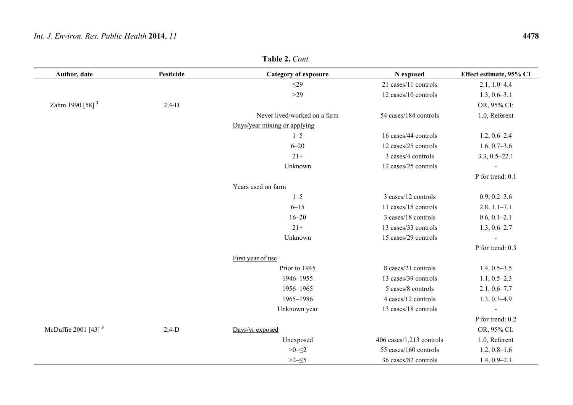| Author, date                | Pesticide | <b>Category of exposure</b>  | N exposed                | Effect estimate, 95% CI |
|-----------------------------|-----------|------------------------------|--------------------------|-------------------------|
|                             |           | $\leq$ 29                    | 21 cases/11 controls     | $2.1, 1.0 - 4.4$        |
|                             |           | $>29$                        | 12 cases/10 controls     | $1.3, 0.6 - 3.1$        |
| Zahm 1990 [58] <sup>3</sup> | $2,4-D$   |                              |                          | OR, 95% CI:             |
|                             |           | Never lived/worked on a farm | 54 cases/184 controls    | 1.0, Referent           |
|                             |           | Days/year mixing or applying |                          |                         |
|                             |           | $1 - 5$                      | 16 cases/44 controls     | $1.2, 0.6 - 2.4$        |
|                             |           | $6 - 20$                     | 12 cases/25 controls     | $1.6, 0.7 - 3.6$        |
|                             |           | $21+$                        | 3 cases/4 controls       | $3.3, 0.5 - 22.1$       |
|                             |           | Unknown                      | 12 cases/25 controls     |                         |
|                             |           |                              |                          | P for trend: 0.1        |
|                             |           | Years used on farm           |                          |                         |
|                             |           | $1 - 5$                      | 3 cases/12 controls      | $0.9, 0.2 - 3.6$        |
|                             |           | $6 - 15$                     | 11 cases/15 controls     | $2.8, 1.1 - 7.1$        |
|                             |           | $16 - 20$                    | 3 cases/18 controls      | $0.6, 0.1 - 2.1$        |
|                             |           | $21+$                        | 13 cases/33 controls     | $1.3, 0.6 - 2.7$        |
|                             |           | Unknown                      | 15 cases/29 controls     |                         |
|                             |           |                              |                          | P for trend: 0.3        |
|                             |           | First year of use            |                          |                         |
|                             |           | Prior to 1945                | 8 cases/21 controls      | $1.4, 0.5 - 3.5$        |
|                             |           | 1946-1955                    | 13 cases/39 controls     | $1.1, 0.5 - 2.3$        |
|                             |           | 1956-1965                    | 5 cases/8 controls       | $2.1, 0.6 - 7.7$        |
|                             |           | 1965-1986                    | 4 cases/12 controls      | $1.3, 0.3 - 4.9$        |
|                             |           | Unknown year                 | 13 cases/18 controls     |                         |
|                             |           |                              |                          | P for trend: 0.2        |
| McDuffie 2001 [43] $3$      | $2,4-D$   | Days/yr exposed              |                          | OR, 95% CI:             |
|                             |           | Unexposed                    | 406 cases/1,213 controls | 1.0, Referent           |
|                             |           | $>0 - \leq 2$                | 55 cases/160 controls    | $1.2, 0.8 - 1.6$        |
|                             |           | $>2-\leq5$                   | 36 cases/82 controls     | $1.4, 0.9 - 2.1$        |

**Table 2.** *Cont.*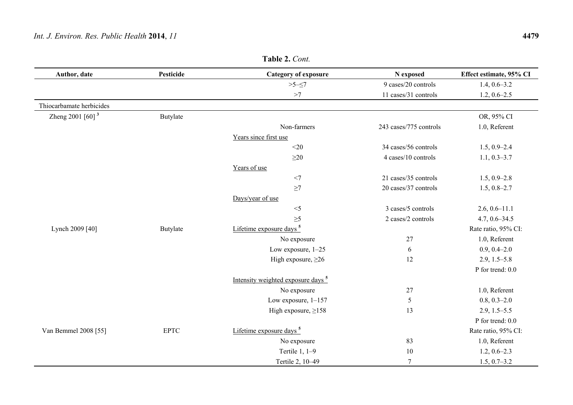| Author, date             | Pesticide   | <b>Category of exposure</b>                   | N exposed              | Effect estimate, 95% CI |
|--------------------------|-------------|-----------------------------------------------|------------------------|-------------------------|
|                          |             | $>5-5$                                        | 9 cases/20 controls    | $1.4, 0.6 - 3.2$        |
|                          |             | >7                                            | 11 cases/31 controls   | $1.2, 0.6 - 2.5$        |
| Thiocarbamate herbicides |             |                                               |                        |                         |
| Zheng 2001 [60] $3$      | Butylate    |                                               |                        | OR, 95% CI              |
|                          |             | Non-farmers                                   | 243 cases/775 controls | 1.0, Referent           |
|                          |             | Years since first use                         |                        |                         |
|                          |             | $<$ 20                                        | 34 cases/56 controls   | $1.5, 0.9 - 2.4$        |
|                          |             | $\geq$ 20                                     | 4 cases/10 controls    | $1.1, 0.3 - 3.7$        |
|                          |             | Years of use                                  |                        |                         |
|                          |             | $<$ 7                                         | 21 cases/35 controls   | $1.5, 0.9 - 2.8$        |
|                          |             | $\geq$ 7                                      | 20 cases/37 controls   | $1.5, 0.8 - 2.7$        |
|                          |             | Days/year of use                              |                        |                         |
|                          |             | $<$ 5                                         | 3 cases/5 controls     | $2.6, 0.6 - 11.1$       |
|                          |             | $\geq 5$                                      | 2 cases/2 controls     | $4.7, 0.6 - 34.5$       |
| Lynch 2009 [40]          | Butylate    | Lifetime exposure days <sup>5</sup>           |                        | Rate ratio, 95% CI:     |
|                          |             | No exposure                                   | 27                     | 1.0, Referent           |
|                          |             | Low exposure, 1-25                            | 6                      | $0.9, 0.4 - 2.0$        |
|                          |             | High exposure, $\geq 26$                      | 12                     | $2.9, 1.5 - 5.8$        |
|                          |             |                                               |                        | P for trend: 0.0        |
|                          |             | Intensity weighted exposure days <sup>5</sup> |                        |                         |
|                          |             | No exposure                                   | 27                     | 1.0, Referent           |
|                          |             | Low exposure, $1-157$                         | 5                      | $0.8, 0.3 - 2.0$        |
|                          |             | High exposure, $\geq$ 158                     | 13                     | $2.9, 1.5 - 5.5$        |
|                          |             |                                               |                        | P for trend: 0.0        |
| Van Bemmel 2008 [55]     | <b>EPTC</b> | Lifetime exposure days $5$                    |                        | Rate ratio, 95% CI:     |
|                          |             | No exposure                                   | 83                     | 1.0, Referent           |
|                          |             | Tertile 1, 1-9                                | 10                     | $1.2, 0.6 - 2.3$        |
|                          |             | Tertile 2, 10-49                              | $\overline{7}$         | $1.5, 0.7 - 3.2$        |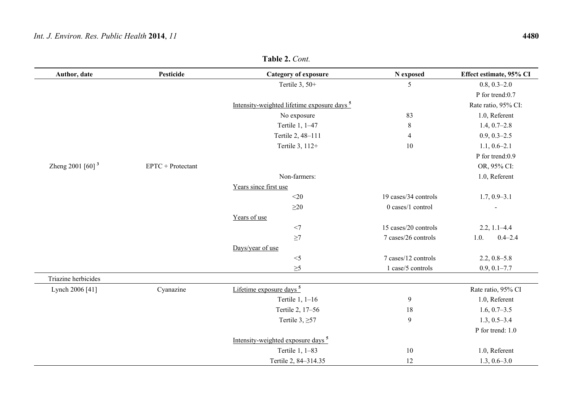| Author, date        | Pesticide         | <b>Category of exposure</b>                            | N exposed            | Effect estimate, 95% CI |
|---------------------|-------------------|--------------------------------------------------------|----------------------|-------------------------|
|                     |                   | Tertile $3, 50+$                                       | 5                    | $0.8, 0.3 - 2.0$        |
|                     |                   |                                                        |                      | P for trend:0.7         |
|                     |                   | Intensity-weighted lifetime exposure days <sup>5</sup> |                      | Rate ratio, 95% CI:     |
|                     |                   | No exposure                                            | 83                   | 1.0, Referent           |
|                     |                   | Tertile 1, 1-47                                        | $8\,$                | $1.4, 0.7 - 2.8$        |
|                     |                   | Tertile 2, 48-111                                      | $\overline{4}$       | $0.9, 0.3 - 2.5$        |
|                     |                   | Tertile 3, 112+                                        | 10                   | $1.1, 0.6 - 2.1$        |
|                     |                   |                                                        |                      | P for trend:0.9         |
| Zheng 2001 [60] $3$ | EPTC + Protectant |                                                        |                      | OR, 95% CI:             |
|                     |                   | Non-farmers:                                           |                      | 1.0, Referent           |
|                     |                   | Years since first use                                  |                      |                         |
|                     |                   | $<$ 20                                                 | 19 cases/34 controls | $1.7, 0.9 - 3.1$        |
|                     |                   | $\geq 20$                                              | 0 cases/1 control    |                         |
|                     |                   | Years of use                                           |                      |                         |
|                     |                   | $<7\,$                                                 | 15 cases/20 controls | $2.2, 1.1 - 4.4$        |
|                     |                   | $\geq$ 7                                               | 7 cases/26 controls  | $0.4 - 2.4$<br>1.0.     |
|                     |                   | Days/year of use                                       |                      |                         |
|                     |                   | $\leq$ 5                                               | 7 cases/12 controls  | $2.2, 0.8 - 5.8$        |
|                     |                   | $\geq 5$                                               | 1 case/5 controls    | $0.9, 0.1 - 7.7$        |
| Triazine herbicides |                   |                                                        |                      |                         |
| Lynch 2006 [41]     | Cyanazine         | Lifetime exposure days <sup>5</sup>                    |                      | Rate ratio, 95% CI      |
|                     |                   | Tertile 1, 1-16                                        | 9                    | 1.0, Referent           |
|                     |                   | Tertile 2, 17-56                                       | 18                   | $1.6, 0.7 - 3.5$        |
|                     |                   | Tertile $3, \geq 57$                                   | 9                    | $1.3, 0.5 - 3.4$        |
|                     |                   |                                                        |                      | P for trend: 1.0        |
|                     |                   | Intensity-weighted exposure days <sup>5</sup>          |                      |                         |
|                     |                   | Tertile 1, 1-83                                        | 10                   | 1.0, Referent           |
|                     |                   | Tertile 2, 84-314.35                                   | 12                   | $1.3, 0.6 - 3.0$        |

**Table 2.** *Cont.*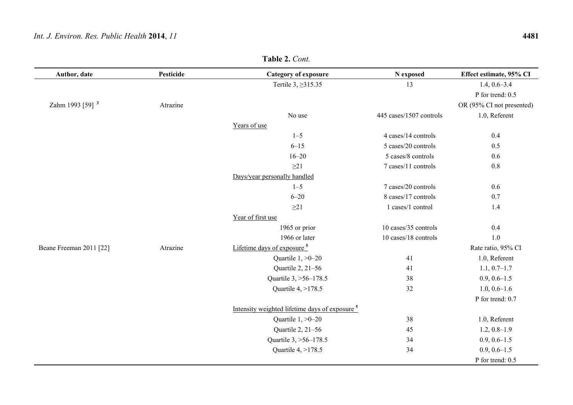| Author, date                | Pesticide | <b>Category of exposure</b>                               | N exposed               | Effect estimate, 95% CI   |
|-----------------------------|-----------|-----------------------------------------------------------|-------------------------|---------------------------|
|                             |           | Tertile $3, \geq 315.35$                                  | 13                      | $1.4, 0.6 - 3.4$          |
|                             |           |                                                           |                         | P for trend: 0.5          |
| Zahm 1993 [59] <sup>3</sup> | Atrazine  |                                                           |                         | OR (95% CI not presented) |
|                             |           | No use                                                    | 445 cases/1507 controls | 1.0, Referent             |
|                             |           | Years of use                                              |                         |                           |
|                             |           | $1 - 5$                                                   | 4 cases/14 controls     | 0.4                       |
|                             |           | $6 - 15$                                                  | 5 cases/20 controls     | 0.5                       |
|                             |           | $16 - 20$                                                 | 5 cases/8 controls      | 0.6                       |
|                             |           | $\geq$ 21                                                 | 7 cases/11 controls     | 0.8                       |
|                             |           | Days/year personally handled                              |                         |                           |
|                             |           | $1 - 5$                                                   | 7 cases/20 controls     | 0.6                       |
|                             |           | $6 - 20$                                                  | 8 cases/17 controls     | 0.7                       |
|                             |           | $\geq$ 21                                                 | 1 cases/1 control       | 1.4                       |
|                             |           | Year of first use                                         |                         |                           |
|                             |           | 1965 or prior                                             | 10 cases/35 controls    | 0.4                       |
|                             |           | 1966 or later                                             | 10 cases/18 controls    | 1.0                       |
| Beane Freeman 2011 [22]     | Atrazine  | Lifetime days of exposure <sup>5</sup>                    |                         | Rate ratio, 95% CI        |
|                             |           | Quartile $1, >0-20$                                       | 41                      | 1.0, Referent             |
|                             |           | Quartile 2, 21-56                                         | 41                      | $1.1, 0.7-1.7$            |
|                             |           | Quartile 3, >56-178.5                                     | 38                      | $0.9, 0.6 - 1.5$          |
|                             |           | Quartile 4, >178.5                                        | 32                      | $1.0, 0.6 - 1.6$          |
|                             |           |                                                           |                         | P for trend: 0.7          |
|                             |           | Intensity weighted lifetime days of exposure <sup>5</sup> |                         |                           |
|                             |           | Quartile $1, >0-20$                                       | 38                      | 1.0, Referent             |
|                             |           | Quartile 2, 21-56                                         | 45                      | $1.2, 0.8 - 1.9$          |
|                             |           | Quartile 3, >56-178.5                                     | 34                      | $0.9, 0.6 - 1.5$          |
|                             |           | Quartile 4, >178.5                                        | 34                      | $0.9, 0.6 - 1.5$          |
|                             |           |                                                           |                         | P for trend: 0.5          |

**Table 2.** *Cont.*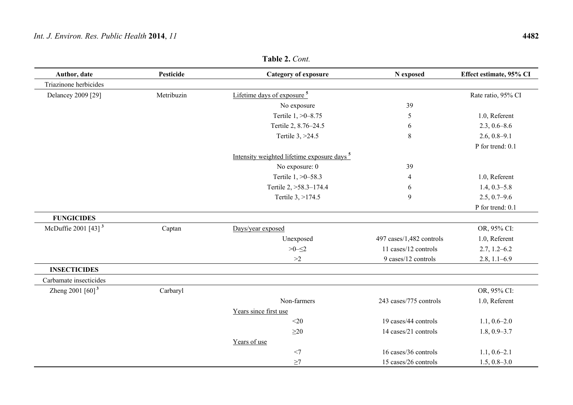| Author, date                    | Pesticide  | <b>Category of exposure</b>                            | N exposed                | Effect estimate, 95% CI |
|---------------------------------|------------|--------------------------------------------------------|--------------------------|-------------------------|
| Triazinone herbicides           |            |                                                        |                          |                         |
| Delancey 2009 [29]              | Metribuzin | Lifetime days of exposure <sup>5</sup>                 |                          | Rate ratio, 95% CI      |
|                                 |            | No exposure                                            | 39                       |                         |
|                                 |            | Tertile 1, >0-8.75                                     | 5                        | 1.0, Referent           |
|                                 |            | Tertile 2, 8.76-24.5                                   | 6                        | $2.3, 0.6 - 8.6$        |
|                                 |            | Tertile 3, >24.5                                       | $\,8\,$                  | $2.6, 0.8 - 9.1$        |
|                                 |            |                                                        |                          | P for trend: 0.1        |
|                                 |            | Intensity weighted lifetime exposure days <sup>5</sup> |                          |                         |
|                                 |            | No exposure: 0                                         | 39                       |                         |
|                                 |            | Tertile 1, >0-58.3                                     | 4                        | 1.0, Referent           |
|                                 |            | Tertile 2, >58.3-174.4                                 | 6                        | $1.4, 0.3 - 5.8$        |
|                                 |            | Tertile 3, >174.5                                      | 9                        | $2.5, 0.7 - 9.6$        |
|                                 |            |                                                        |                          | P for trend: 0.1        |
| <b>FUNGICIDES</b>               |            |                                                        |                          |                         |
| McDuffie 2001 [43] <sup>3</sup> | Captan     | Days/year exposed                                      |                          | OR, 95% CI:             |
|                                 |            | Unexposed                                              | 497 cases/1,482 controls | 1.0, Referent           |
|                                 |            | $>0 - \leq 2$                                          | 11 cases/12 controls     | $2.7, 1.2 - 6.2$        |
|                                 |            | ${>}2$                                                 | 9 cases/12 controls      | $2.8, 1.1 - 6.9$        |
| <b>INSECTICIDES</b>             |            |                                                        |                          |                         |
| Carbamate insecticides          |            |                                                        |                          |                         |
| Zheng 2001 [60] <sup>3</sup>    | Carbaryl   |                                                        |                          | OR, 95% CI:             |
|                                 |            | Non-farmers                                            | 243 cases/775 controls   | 1.0, Referent           |
|                                 |            | Years since first use                                  |                          |                         |
|                                 |            | $<$ 20                                                 | 19 cases/44 controls     | $1.1, 0.6 - 2.0$        |
|                                 |            | $\geq$ 20                                              | 14 cases/21 controls     | $1.8, 0.9 - 3.7$        |
|                                 |            | Years of use                                           |                          |                         |
|                                 |            | $<$ 7                                                  | 16 cases/36 controls     | $1.1, 0.6 - 2.1$        |
|                                 |            | $\geq$ 7                                               | 15 cases/26 controls     | $1.5, 0.8 - 3.0$        |

**Table 2.** *Cont.*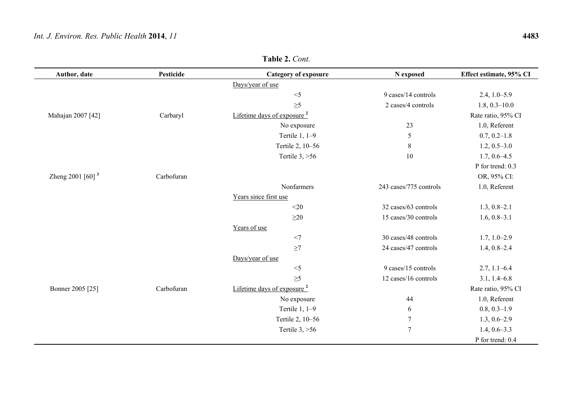| Author, date                   | Pesticide  | <b>Category of exposure</b>            | N exposed              | Effect estimate, 95% CI |
|--------------------------------|------------|----------------------------------------|------------------------|-------------------------|
|                                |            | Days/year of use                       |                        |                         |
|                                |            | $<$ 5                                  | 9 cases/14 controls    | $2.4, 1.0 - 5.9$        |
|                                |            | $\geq 5$                               | 2 cases/4 controls     | $1.8, 0.3 - 10.0$       |
| Mahajan 2007 [42]              | Carbaryl   | Lifetime days of exposure $2$          |                        | Rate ratio, 95% CI      |
|                                |            | No exposure                            | 23                     | 1.0, Referent           |
|                                |            | Tertile 1, 1-9                         | $\sqrt{5}$             | $0.7, 0.2 - 1.8$        |
|                                |            | Tertile 2, 10-56                       | $\,8\,$                | $1.2, 0.5 - 3.0$        |
|                                |            | Tertile $3, >56$                       | 10                     | $1.7, 0.6 - 4.5$        |
|                                |            |                                        |                        | P for trend: 0.3        |
| Zheng 2001 $[60]$ <sup>3</sup> | Carbofuran |                                        |                        | OR, 95% CI:             |
|                                |            | Nonfarmers                             | 243 cases/775 controls | 1.0, Referent           |
|                                |            | Years since first use                  |                        |                         |
|                                |            | $<$ 20                                 | 32 cases/63 controls   | $1.3, 0.8 - 2.1$        |
|                                |            | $\geq$ 20                              | 15 cases/30 controls   | $1.6, 0.8 - 3.1$        |
|                                |            | Years of use                           |                        |                         |
|                                |            | $<7\,$                                 | 30 cases/48 controls   | $1.7, 1.0 - 2.9$        |
|                                |            | $\geq$ 7                               | 24 cases/47 controls   | $1.4, 0.8 - 2.4$        |
|                                |            | Days/year of use                       |                        |                         |
|                                |            | $<$ 5                                  | 9 cases/15 controls    | $2.7, 1.1 - 6.4$        |
|                                |            | $\geq 5$                               | 12 cases/16 controls   | $3.1, 1.4 - 6.8$        |
| Bonner 2005 [25]               | Carbofuran | Lifetime days of exposure <sup>2</sup> |                        | Rate ratio, 95% CI      |
|                                |            | No exposure                            | 44                     | 1.0, Referent           |
|                                |            | Tertile 1, 1-9                         | 6                      | $0.8, 0.3 - 1.9$        |
|                                |            | Tertile 2, 10-56                       | $\overline{7}$         | $1.3, 0.6 - 2.9$        |
|                                |            | Tertile $3, >56$                       | $\overline{7}$         | $1.4, 0.6 - 3.3$        |
|                                |            |                                        |                        | P for trend: 0.4        |

**Table 2.** *Cont.*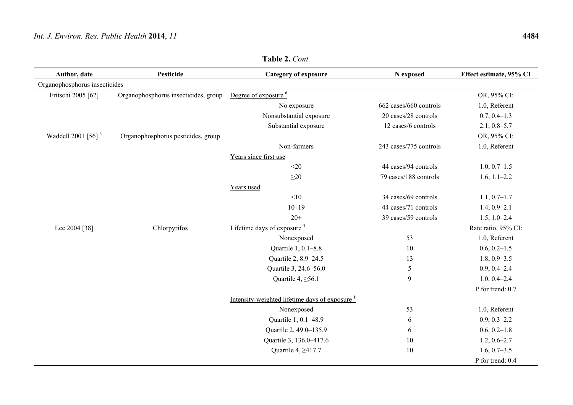| Author, date                   | Pesticide                            | <b>Category of exposure</b>                               | N exposed              | Effect estimate, 95% CI |
|--------------------------------|--------------------------------------|-----------------------------------------------------------|------------------------|-------------------------|
| Organophosphorus insecticides  |                                      |                                                           |                        |                         |
| Fritschi 2005 [62]             | Organophosphorus insecticides, group | Degree of exposure <sup>6</sup>                           |                        | OR, 95% CI:             |
|                                |                                      | No exposure                                               | 662 cases/660 controls | 1.0, Referent           |
|                                |                                      | Nonsubstantial exposure                                   | 20 cases/28 controls   | $0.7, 0.4 - 1.3$        |
|                                |                                      | Substantial exposure                                      | 12 cases/6 controls    | $2.1, 0.8 - 5.7$        |
| Waddell 2001 [56] <sup>3</sup> | Organophosphorus pesticides, group   |                                                           |                        | OR, 95% CI:             |
|                                |                                      | Non-farmers                                               | 243 cases/775 controls | 1.0, Referent           |
|                                |                                      | Years since first use                                     |                        |                         |
|                                |                                      | $<$ 20                                                    | 44 cases/94 controls   | $1.0, 0.7-1.5$          |
|                                |                                      | $\geq$ 20                                                 | 79 cases/188 controls  | $1.6, 1.1 - 2.2$        |
|                                |                                      | Years used                                                |                        |                         |
|                                |                                      | <10                                                       | 34 cases/69 controls   | $1.1, 0.7-1.7$          |
|                                |                                      | $10 - 19$                                                 | 44 cases/71 controls   | $1.4, 0.9 - 2.1$        |
|                                |                                      | $20+$                                                     | 39 cases/59 controls   | $1.5, 1.0 - 2.4$        |
| Lee 2004 [38]                  | Chlorpyrifos                         | Lifetime days of exposure $1$                             |                        | Rate ratio, 95% CI:     |
|                                |                                      | Nonexposed                                                | 53                     | 1.0, Referent           |
|                                |                                      | Quartile 1, 0.1-8.8                                       | 10                     | $0.6, 0.2 - 1.5$        |
|                                |                                      | Quartile 2, 8.9-24.5                                      | 13                     | $1.8, 0.9 - 3.5$        |
|                                |                                      | Quartile 3, 24.6-56.0                                     | $\mathfrak{S}$         | $0.9, 0.4 - 2.4$        |
|                                |                                      | Quartile 4, $\geq$ 56.1                                   | 9                      | $1.0, 0.4 - 2.4$        |
|                                |                                      |                                                           |                        | P for trend: 0.7        |
|                                |                                      | Intensity-weighted lifetime days of exposure <sup>1</sup> |                        |                         |
|                                |                                      | Nonexposed                                                | 53                     | 1.0, Referent           |
|                                |                                      | Quartile 1, 0.1-48.9                                      | 6                      | $0.9, 0.3 - 2.2$        |
|                                |                                      | Quartile 2, 49.0-135.9                                    | 6                      | $0.6, 0.2 - 1.8$        |
|                                |                                      | Quartile 3, 136.0-417.6                                   | 10                     | $1.2, 0.6 - 2.7$        |
|                                |                                      | Quartile 4, $\geq$ 417.7                                  | 10                     | $1.6, 0.7 - 3.5$        |
|                                |                                      |                                                           |                        | P for trend: 0.4        |

**Table 2.** *Cont.*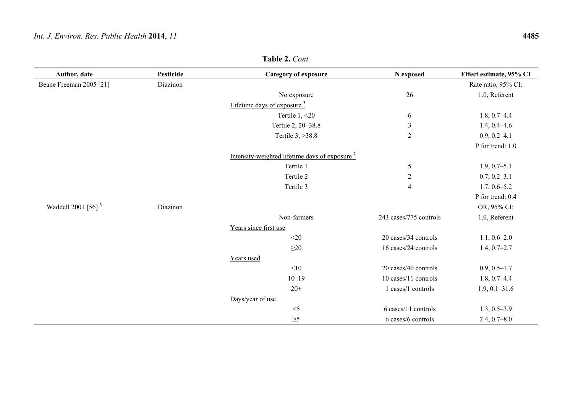| Author, date                   | Pesticide | <b>Category of exposure</b>                               | N exposed                | Effect estimate, 95% CI |
|--------------------------------|-----------|-----------------------------------------------------------|--------------------------|-------------------------|
| Beane Freeman 2005 [21]        | Diazinon  |                                                           |                          | Rate ratio, 95% CI:     |
|                                |           | No exposure                                               | 26                       | 1.0, Referent           |
|                                |           | Lifetime days of exposure $2$                             |                          |                         |
|                                |           | Tertile $1, < 20$                                         | 6                        | $1.8, 0.7 - 4.4$        |
|                                |           | Tertile 2, 20-38.8                                        | $\mathfrak z$            | $1.4, 0.4 - 4.6$        |
|                                |           | Tertile 3, >38.8                                          | $\sqrt{2}$               | $0.9, 0.2 - 4.1$        |
|                                |           |                                                           |                          | P for trend: 1.0        |
|                                |           | Intensity-weighted lifetime days of exposure <sup>2</sup> |                          |                         |
|                                |           | Tertile 1                                                 | $\sqrt{5}$               | $1.9, 0.7 - 5.1$        |
|                                |           | Tertile 2                                                 | $\sqrt{2}$               | $0.7, 0.2 - 3.1$        |
|                                |           | Tertile 3                                                 | $\overline{\mathcal{L}}$ | $1.7, 0.6 - 5.2$        |
|                                |           |                                                           |                          | P for trend: 0.4        |
| Waddell 2001 [56] <sup>3</sup> | Diazinon  |                                                           |                          | OR, 95% CI:             |
|                                |           | Non-farmers                                               | 243 cases/775 controls   | 1.0, Referent           |
|                                |           | Years since first use                                     |                          |                         |
|                                |           | $<$ 20                                                    | 20 cases/34 controls     | $1.1, 0.6 - 2.0$        |
|                                |           | $\geq$ 20                                                 | 16 cases/24 controls     | $1.4, 0.7 - 2.7$        |
|                                |           | Years used                                                |                          |                         |
|                                |           | <10                                                       | 20 cases/40 controls     | $0.9, 0.5 - 1.7$        |
|                                |           | $10 - 19$                                                 | 10 cases/11 controls     | $1.8, 0.7 - 4.4$        |
|                                |           | $20+$                                                     | 1 cases/1 controls       | $1.9, 0.1 - 31.6$       |
|                                |           | Days/year of use                                          |                          |                         |
|                                |           | $<$ 5                                                     | 6 cases/11 controls      | $1.3, 0.5 - 3.9$        |
|                                |           | $\geq 5$                                                  | 6 cases/6 controls       | $2.4, 0.7 - 8.0$        |

**Table 2.** *Cont.*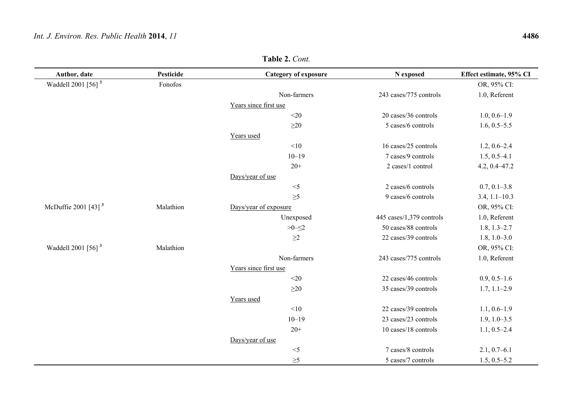| Author, date                   | Pesticide | <b>Category of exposure</b> | N exposed                | Effect estimate, 95% CI |
|--------------------------------|-----------|-----------------------------|--------------------------|-------------------------|
| Waddell 2001 [56] <sup>3</sup> | Fonofos   |                             |                          | OR, 95% CI:             |
|                                |           | Non-farmers                 | 243 cases/775 controls   | 1.0, Referent           |
|                                |           | Years since first use       |                          |                         |
|                                |           | $<$ 20                      | 20 cases/36 controls     | $1.0, 0.6 - 1.9$        |
|                                |           | $\geq$ 20                   | 5 cases/6 controls       | $1.6, 0.5 - 5.5$        |
|                                |           | Years used                  |                          |                         |
|                                |           | <10                         | 16 cases/25 controls     | $1.2, 0.6 - 2.4$        |
|                                |           | $10 - 19$                   | 7 cases/9 controls       | $1.5, 0.5 - 4.1$        |
|                                |           | $20+$                       | 2 cases/1 control        | $4.2, 0.4 - 47.2$       |
|                                |           | Days/year of use            |                          |                         |
|                                |           | $\leq$ 5                    | 2 cases/6 controls       | $0.7, 0.1 - 3.8$        |
|                                |           | $\geq 5$                    | 9 cases/6 controls       | $3.4, 1.1 - 10.3$       |
| McDuffie 2001 [43] $3$         | Malathion | Days/year of exposure       |                          | OR, 95% CI:             |
|                                |           | Unexposed                   | 445 cases/1,379 controls | 1.0, Referent           |
|                                |           | $>0 - \leq 2$               | 50 cases/88 controls     | $1.8, 1.3 - 2.7$        |
|                                |           | $\geq$ 2                    | 22 cases/39 controls     | $1.8, 1.0 - 3.0$        |
| Waddell 2001 [56] <sup>3</sup> | Malathion |                             |                          | OR, 95% CI:             |
|                                |           | Non-farmers                 | 243 cases/775 controls   | 1.0, Referent           |
|                                |           | Years since first use       |                          |                         |
|                                |           | $<$ 20                      | 22 cases/46 controls     | $0.9, 0.5 - 1.6$        |
|                                |           | $\geq$ 20                   | 35 cases/39 controls     | $1.7, 1.1 - 2.9$        |
|                                |           | Years used                  |                          |                         |
|                                |           | <10                         | 22 cases/39 controls     | $1.1, 0.6 - 1.9$        |
|                                |           | $10 - 19$                   | 23 cases/23 controls     | $1.9, 1.0 - 3.5$        |
|                                |           | $20+$                       | 10 cases/18 controls     | $1.1, 0.5 - 2.4$        |
|                                |           | Days/year of use            |                          |                         |
|                                |           | $<$ 5                       | 7 cases/8 controls       | $2.1, 0.7 - 6.1$        |
|                                |           | $\geq 5$                    | 5 cases/7 controls       | $1.5, 0.5 - 5.2$        |

**Table 2.** *Cont.*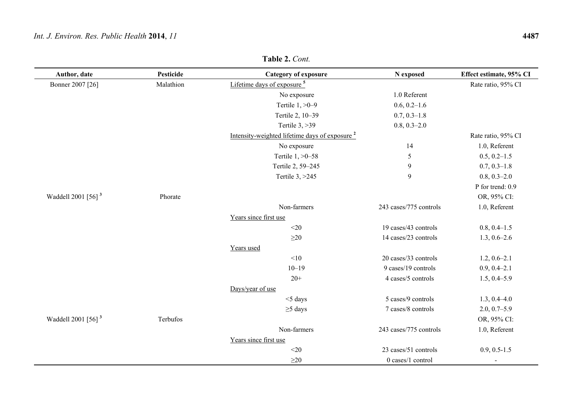| Author, date                   | Pesticide | <b>Category of exposure</b>                               | N exposed              | Effect estimate, 95% CI |
|--------------------------------|-----------|-----------------------------------------------------------|------------------------|-------------------------|
| Bonner 2007 [26]               | Malathion | Lifetime days of exposure <sup>5</sup>                    |                        | Rate ratio, 95% CI      |
|                                |           | No exposure                                               | 1.0 Referent           |                         |
|                                |           | Tertile $1, >0-9$                                         | $0.6, 0.2 - 1.6$       |                         |
|                                |           | Tertile 2, 10-39                                          | $0.7, 0.3 - 1.8$       |                         |
|                                |           | Tertile $3, >39$                                          | $0.8, 0.3 - 2.0$       |                         |
|                                |           | Intensity-weighted lifetime days of exposure <sup>2</sup> |                        | Rate ratio, 95% CI      |
|                                |           | No exposure                                               | 14                     | 1.0, Referent           |
|                                |           | Tertile $1, >0-58$                                        | $\mathfrak{H}$         | $0.5, 0.2 - 1.5$        |
|                                |           | Tertile 2, 59-245                                         | $\boldsymbol{9}$       | $0.7, 0.3 - 1.8$        |
|                                |           | Tertile 3, >245                                           | $\mathbf{9}$           | $0.8, 0.3 - 2.0$        |
|                                |           |                                                           |                        | P for trend: 0.9        |
| Waddell 2001 [56] <sup>3</sup> | Phorate   |                                                           |                        | OR, 95% CI:             |
|                                |           | Non-farmers                                               | 243 cases/775 controls | 1.0, Referent           |
|                                |           | Years since first use                                     |                        |                         |
|                                |           | $<$ 20                                                    | 19 cases/43 controls   | $0.8, 0.4 - 1.5$        |
|                                |           | $\geq$ 20                                                 | 14 cases/23 controls   | $1.3, 0.6 - 2.6$        |
|                                |           | Years used                                                |                        |                         |
|                                |           | <10                                                       | 20 cases/33 controls   | $1.2, 0.6 - 2.1$        |
|                                |           | $10 - 19$                                                 | 9 cases/19 controls    | $0.9, 0.4 - 2.1$        |
|                                |           | $20+$                                                     | 4 cases/5 controls     | $1.5, 0.4 - 5.9$        |
|                                |           | Days/year of use                                          |                        |                         |
|                                |           | $<$ 5 days                                                | 5 cases/9 controls     | $1.3, 0.4 - 4.0$        |
|                                |           | $\geq$ 5 days                                             | 7 cases/8 controls     | $2.0, 0.7 - 5.9$        |
| Waddell 2001 [56] <sup>3</sup> | Terbufos  |                                                           |                        | OR, 95% CI:             |
|                                |           | Non-farmers                                               | 243 cases/775 controls | 1.0, Referent           |
|                                |           | Years since first use                                     |                        |                         |
|                                |           | $<$ 20                                                    | 23 cases/51 controls   | $0.9, 0.5 - 1.5$        |
|                                |           | $\geq$ 20                                                 | 0 cases/1 control      |                         |

**Table 2.** *Cont.*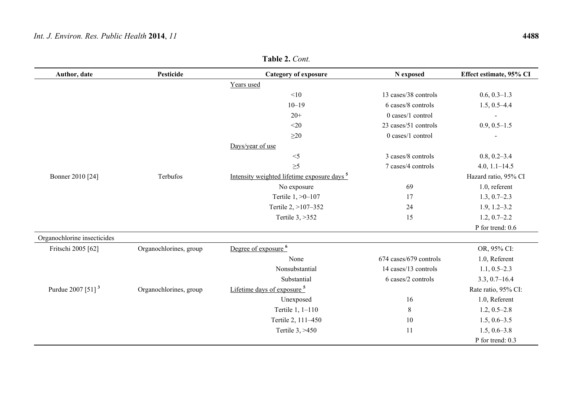| Author, date                | Pesticide              | <b>Category of exposure</b>                            | N exposed              | Effect estimate, 95% CI |
|-----------------------------|------------------------|--------------------------------------------------------|------------------------|-------------------------|
|                             |                        | Years used                                             |                        |                         |
|                             |                        | <10                                                    | 13 cases/38 controls   | $0.6, 0.3 - 1.3$        |
|                             |                        | $10 - 19$                                              | 6 cases/8 controls     | $1.5, 0.5 - 4.4$        |
|                             |                        | $20+$                                                  | 0 cases/1 control      |                         |
|                             |                        | $<$ 20                                                 | 23 cases/51 controls   | $0.9, 0.5 - 1.5$        |
|                             |                        | $\geq$ 20                                              | 0 cases/1 control      |                         |
|                             |                        | Days/year of use                                       |                        |                         |
|                             |                        | $<$ 5                                                  | 3 cases/8 controls     | $0.8, 0.2 - 3.4$        |
|                             |                        | $\geq 5$                                               | 7 cases/4 controls     | $4.0, 1.1 - 14.5$       |
| Bonner 2010 [24]            | Terbufos               | Intensity weighted lifetime exposure days <sup>5</sup> |                        | Hazard ratio, 95% CI    |
|                             |                        | No exposure                                            | 69                     | $1.0$ , referent        |
|                             |                        | Tertile $1, >0-107$                                    | 17                     | $1.3, 0.7 - 2.3$        |
|                             |                        | Tertile 2, >107-352                                    | 24                     | $1.9, 1.2 - 3.2$        |
|                             |                        | Tertile $3, >352$                                      | 15                     | $1.2, 0.7 - 2.2$        |
|                             |                        |                                                        |                        | P for trend: 0.6        |
| Organochlorine insecticides |                        |                                                        |                        |                         |
| Fritschi 2005 [62]          | Organochlorines, group | Degree of exposure <sup>6</sup>                        |                        | OR, 95% CI:             |
|                             |                        | None                                                   | 674 cases/679 controls | 1.0, Referent           |
|                             |                        | Nonsubstantial                                         | 14 cases/13 controls   | $1.1, 0.5 - 2.3$        |
|                             |                        | Substantial                                            | 6 cases/2 controls     | $3.3, 0.7 - 16.4$       |
| Purdue 2007 [51] $3$        | Organochlorines, group | Lifetime days of exposure <sup>5</sup>                 |                        | Rate ratio, 95% CI:     |
|                             |                        | Unexposed                                              | 16                     | 1.0, Referent           |
|                             |                        | Tertile 1, 1-110                                       | $8\,$                  | $1.2, 0.5 - 2.8$        |
|                             |                        | Tertile 2, 111-450                                     | 10                     | $1.5, 0.6 - 3.5$        |
|                             |                        | Tertile $3, >450$                                      | 11                     | $1.5, 0.6 - 3.8$        |
|                             |                        |                                                        |                        | P for trend: 0.3        |

**Table 2.** *Cont.*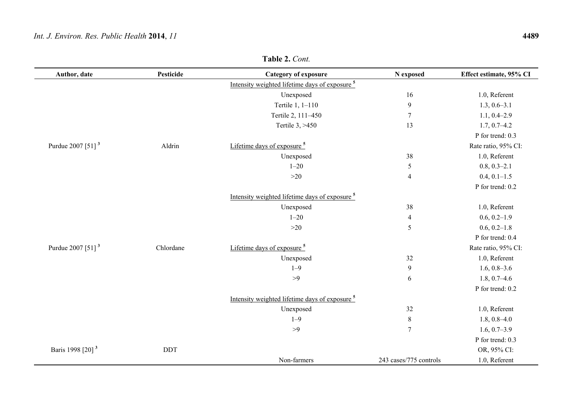| Author, date                  | Pesticide  | <b>Category of exposure</b>                               | N exposed              | Effect estimate, 95% CI |
|-------------------------------|------------|-----------------------------------------------------------|------------------------|-------------------------|
|                               |            | Intensity weighted lifetime days of exposure <sup>5</sup> |                        |                         |
|                               |            | Unexposed                                                 | 16                     | 1.0, Referent           |
|                               |            | Tertile 1, 1-110                                          | $\boldsymbol{9}$       | $1.3, 0.6 - 3.1$        |
|                               |            | Tertile 2, 111-450                                        | $\boldsymbol{7}$       | $1.1, 0.4 - 2.9$        |
|                               |            | Tertile $3, >450$                                         | 13                     | $1.7, 0.7 - 4.2$        |
|                               |            |                                                           |                        | P for trend: 0.3        |
| Purdue 2007 [51] <sup>3</sup> | Aldrin     | Lifetime days of exposure <sup>5</sup>                    |                        | Rate ratio, 95% CI:     |
|                               |            | Unexposed                                                 | 38                     | 1.0, Referent           |
|                               |            | $1 - 20$                                                  | $\sqrt{5}$             | $0.8, 0.3 - 2.1$        |
|                               |            | $>20$                                                     | $\overline{4}$         | $0.4, 0.1 - 1.5$        |
|                               |            |                                                           |                        | P for trend: 0.2        |
|                               |            | Intensity weighted lifetime days of exposure <sup>5</sup> |                        |                         |
|                               |            | Unexposed                                                 | 38                     | 1.0, Referent           |
|                               |            | $1 - 20$                                                  | $\overline{4}$         | $0.6, 0.2 - 1.9$        |
|                               |            | $>20$                                                     | 5                      | $0.6, 0.2 - 1.8$        |
|                               |            |                                                           |                        | P for trend: 0.4        |
| Purdue 2007 [51] $3$          | Chlordane  | Lifetime days of exposure <sup>5</sup>                    |                        | Rate ratio, 95% CI:     |
|                               |            | Unexposed                                                 | 32                     | 1.0, Referent           |
|                               |            | $1 - 9$                                                   | $\boldsymbol{9}$       | $1.6, 0.8 - 3.6$        |
|                               |            | >9                                                        | $\boldsymbol{6}$       | $1.8, 0.7 - 4.6$        |
|                               |            |                                                           |                        | P for trend: 0.2        |
|                               |            | Intensity weighted lifetime days of exposure <sup>5</sup> |                        |                         |
|                               |            | Unexposed                                                 | 32                     | 1.0, Referent           |
|                               |            | $1 - 9$                                                   | $\,8\,$                | $1.8, 0.8 - 4.0$        |
|                               |            | >9                                                        | $\overline{7}$         | $1.6, 0.7 - 3.9$        |
|                               |            |                                                           |                        | P for trend: 0.3        |
| Baris 1998 [20] <sup>3</sup>  | <b>DDT</b> |                                                           |                        | OR, 95% CI:             |
|                               |            | Non-farmers                                               | 243 cases/775 controls | 1.0, Referent           |

**Table 2.** *Cont.*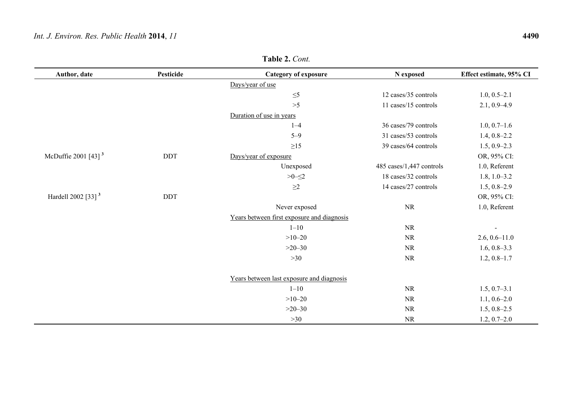| Author, date                    | Pesticide  | <b>Category of exposure</b>                | N exposed                | Effect estimate, 95% CI |
|---------------------------------|------------|--------------------------------------------|--------------------------|-------------------------|
|                                 |            | Days/year of use                           |                          |                         |
|                                 |            | $\leq 5$                                   | 12 cases/35 controls     | $1.0, 0.5 - 2.1$        |
|                                 |            | $>5$                                       | 11 cases/15 controls     | $2.1, 0.9 - 4.9$        |
|                                 |            | Duration of use in years                   |                          |                         |
|                                 |            | $1 - 4$                                    | 36 cases/79 controls     | $1.0, 0.7 - 1.6$        |
|                                 |            | $5 - 9$                                    | 31 cases/53 controls     | $1.4, 0.8 - 2.2$        |
|                                 |            | $\geq$ 15                                  | 39 cases/64 controls     | $1.5, 0.9 - 2.3$        |
| McDuffie 2001 [43] <sup>3</sup> | <b>DDT</b> | Days/year of exposure                      |                          | OR, 95% CI:             |
|                                 |            | Unexposed                                  | 485 cases/1,447 controls | 1.0, Referent           |
|                                 |            | $>0 - \leq 2$                              | 18 cases/32 controls     | $1.8, 1.0 - 3.2$        |
|                                 |            | $\geq$ 2                                   | 14 cases/27 controls     | $1.5, 0.8 - 2.9$        |
| Hardell 2002 [33] <sup>3</sup>  | <b>DDT</b> |                                            |                          | OR, 95% CI:             |
|                                 |            | Never exposed                              | $\rm NR$                 | 1.0, Referent           |
|                                 |            | Years between first exposure and diagnosis |                          |                         |
|                                 |            | $1 - 10$                                   | <b>NR</b>                |                         |
|                                 |            | $>10-20$                                   | <b>NR</b>                | $2.6, 0.6 - 11.0$       |
|                                 |            | $>20-30$                                   | <b>NR</b>                | $1.6, 0.8 - 3.3$        |
|                                 |            | $>30$                                      | <b>NR</b>                | $1.2, 0.8 - 1.7$        |
|                                 |            | Years between last exposure and diagnosis  |                          |                         |
|                                 |            | $1 - 10$                                   | <b>NR</b>                | $1.5, 0.7 - 3.1$        |
|                                 |            | $>10-20$                                   | NR                       | $1.1, 0.6 - 2.0$        |
|                                 |            | $>20-30$                                   | <b>NR</b>                | $1.5, 0.8 - 2.5$        |
|                                 |            | $>30$                                      | NR                       | $1.2, 0.7 - 2.0$        |

**Table 2.** *Cont.*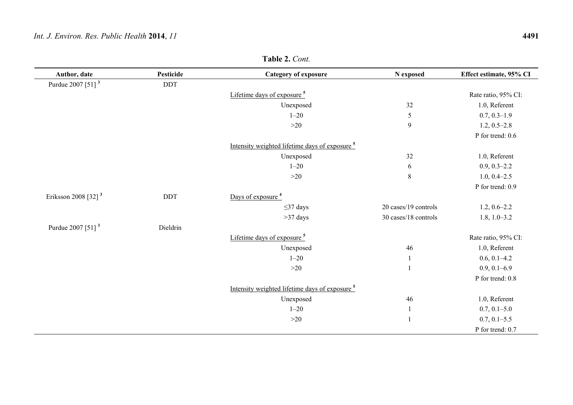| Author, date                    | Pesticide  | Category of exposure                                      | N exposed            | Effect estimate, 95% CI |
|---------------------------------|------------|-----------------------------------------------------------|----------------------|-------------------------|
| Purdue 2007 [51] <sup>3</sup>   | <b>DDT</b> |                                                           |                      |                         |
|                                 |            | Lifetime days of exposure <sup>5</sup>                    |                      | Rate ratio, 95% CI:     |
|                                 |            | Unexposed                                                 | 32                   | 1.0, Referent           |
|                                 |            | $1 - 20$                                                  | $\mathfrak s$        | $0.7, 0.3 - 1.9$        |
|                                 |            | $>20$                                                     | 9                    | $1.2, 0.5 - 2.8$        |
|                                 |            |                                                           |                      | P for trend: 0.6        |
|                                 |            | Intensity weighted lifetime days of exposure <sup>5</sup> |                      |                         |
|                                 |            | Unexposed                                                 | 32                   | 1.0, Referent           |
|                                 |            | $1 - 20$                                                  | 6                    | $0.9, 0.3 - 2.2$        |
|                                 |            | $>20$                                                     | $8\,$                | $1.0, 0.4 - 2.5$        |
|                                 |            |                                                           |                      | P for trend: 0.9        |
| Eriksson 2008 [32] <sup>3</sup> | <b>DDT</b> | Days of exposure <sup>4</sup>                             |                      |                         |
|                                 |            | $\leq$ 37 days                                            | 20 cases/19 controls | $1.2, 0.6 - 2.2$        |
|                                 |            | $>37$ days                                                | 30 cases/18 controls | $1.8, 1.0 - 3.2$        |
| Purdue 2007 [51] <sup>3</sup>   | Dieldrin   |                                                           |                      |                         |
|                                 |            | Lifetime days of exposure <sup>5</sup>                    |                      | Rate ratio, 95% CI:     |
|                                 |            | Unexposed                                                 | 46                   | 1.0, Referent           |
|                                 |            | $1 - 20$                                                  | $\mathbf{1}$         | $0.6, 0.1 - 4.2$        |
|                                 |            | $>20$                                                     | $\mathbf{1}$         | $0.9, 0.1 - 6.9$        |
|                                 |            |                                                           |                      | P for trend: 0.8        |
|                                 |            | Intensity weighted lifetime days of exposure <sup>5</sup> |                      |                         |
|                                 |            | Unexposed                                                 | 46                   | 1.0, Referent           |
|                                 |            | $1 - 20$                                                  | $\mathbf{1}$         | $0.7, 0.1 - 5.0$        |
|                                 |            | $>20$                                                     | $\mathbf{1}$         | $0.7, 0.1 - 5.5$        |
|                                 |            |                                                           |                      | P for trend: 0.7        |

**Table 2.** *Cont.*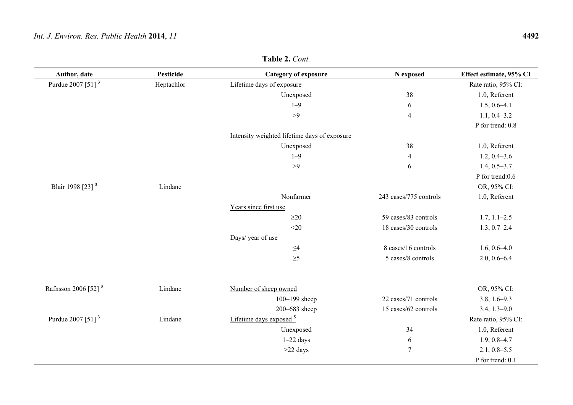| Author, date                    | Pesticide  | <b>Category of exposure</b>                  | N exposed              | Effect estimate, 95% CI |
|---------------------------------|------------|----------------------------------------------|------------------------|-------------------------|
| Purdue 2007 [51] <sup>3</sup>   | Heptachlor | Lifetime days of exposure                    |                        | Rate ratio, 95% CI:     |
|                                 |            | Unexposed                                    | 38                     | 1.0, Referent           |
|                                 |            | $1 - 9$                                      | $\sqrt{6}$             | $1.5, 0.6 - 4.1$        |
|                                 |            | >9                                           | $\overline{4}$         | $1.1, 0.4 - 3.2$        |
|                                 |            |                                              |                        | P for trend: 0.8        |
|                                 |            | Intensity weighted lifetime days of exposure |                        |                         |
|                                 |            | Unexposed                                    | 38                     | 1.0, Referent           |
|                                 |            | $1 - 9$                                      | $\overline{4}$         | $1.2, 0.4 - 3.6$        |
|                                 |            | >9                                           | 6                      | $1.4, 0.5 - 3.7$        |
|                                 |            |                                              |                        | P for trend:0.6         |
| Blair 1998 [23] <sup>3</sup>    | Lindane    |                                              |                        | OR, 95% CI:             |
|                                 |            | Nonfarmer                                    | 243 cases/775 controls | 1.0, Referent           |
|                                 |            | Years since first use                        |                        |                         |
|                                 |            | $\geq$ 20                                    | 59 cases/83 controls   | $1.7, 1.1 - 2.5$        |
|                                 |            | $<$ 20                                       | 18 cases/30 controls   | $1.3, 0.7 - 2.4$        |
|                                 |            | Days/ year of use                            |                        |                         |
|                                 |            | $\leq 4$                                     | 8 cases/16 controls    | $1.6, 0.6 - 4.0$        |
|                                 |            | $\geq 5$                                     | 5 cases/8 controls     | $2.0, 0.6 - 6.4$        |
| Rafnsson 2006 [52] <sup>3</sup> | Lindane    | Number of sheep owned                        |                        | OR, 95% CI:             |
|                                 |            | 100-199 sheep                                | 22 cases/71 controls   | $3.8, 1.6 - 9.3$        |
|                                 |            | 200-683 sheep                                | 15 cases/62 controls   | $3.4, 1.3 - 9.0$        |
| Purdue 2007 [51] <sup>3</sup>   | Lindane    | Lifetime days exposed <sup>5</sup>           |                        | Rate ratio, 95% CI:     |
|                                 |            | Unexposed                                    | 34                     | 1.0, Referent           |
|                                 |            | $1-22$ days                                  | 6                      | $1.9, 0.8 - 4.7$        |
|                                 |            | $>22$ days                                   | $\overline{7}$         | $2.1, 0.8 - 5.5$        |
|                                 |            |                                              |                        | P for trend: 0.1        |

**Table 2.** *Cont.*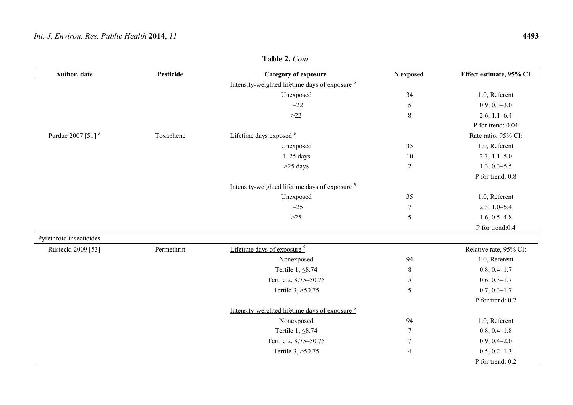| Author, date            | Pesticide  | <b>Category of exposure</b>                               | N exposed        | Effect estimate, 95% CI |
|-------------------------|------------|-----------------------------------------------------------|------------------|-------------------------|
|                         |            | Intensity-weighted lifetime days of exposure <sup>5</sup> |                  |                         |
|                         |            | Unexposed                                                 | 34               | 1.0, Referent           |
|                         |            | $1 - 22$                                                  | $\sqrt{5}$       | $0.9, 0.3 - 3.0$        |
|                         |            | $>22$                                                     | $8\phantom{.}$   | $2.6, 1.1 - 6.4$        |
|                         |            |                                                           |                  | P for trend: 0.04       |
| Purdue 2007 [51] $3$    | Toxaphene  | Lifetime days exposed <sup>5</sup>                        |                  | Rate ratio, 95% CI:     |
|                         |            | Unexposed                                                 | 35               | 1.0, Referent           |
|                         |            | $1-25$ days                                               | 10               | $2.3, 1.1 - 5.0$        |
|                         |            | $>25$ days                                                | $\overline{2}$   | $1.3, 0.3 - 5.5$        |
|                         |            |                                                           |                  | P for trend: 0.8        |
|                         |            | Intensity-weighted lifetime days of exposure <sup>5</sup> |                  |                         |
|                         |            | Unexposed                                                 | 35               | 1.0, Referent           |
|                         |            | $1 - 25$                                                  | $\boldsymbol{7}$ | $2.3, 1.0 - 5.4$        |
|                         |            | $>25$                                                     | 5                | $1.6, 0.5 - 4.8$        |
|                         |            |                                                           |                  | P for trend:0.4         |
| Pyrethroid insecticides |            |                                                           |                  |                         |
| Rusiecki 2009 [53]      | Permethrin | Lifetime days of exposure <sup>5</sup>                    |                  | Relative rate, 95% CI:  |
|                         |            | Nonexposed                                                | 94               | 1.0, Referent           |
|                         |            | Tertile $1, \leq 8.74$                                    | $8\,$            | $0.8, 0.4 - 1.7$        |
|                         |            | Tertile 2, 8.75-50.75                                     | $\mathfrak{S}$   | $0.6, 0.3 - 1.7$        |
|                         |            | Tertile 3, > 50.75                                        | $\mathfrak s$    | $0.7, 0.3 - 1.7$        |
|                         |            |                                                           |                  | P for trend: 0.2        |
|                         |            | Intensity-weighted lifetime days of exposure <sup>5</sup> |                  |                         |
|                         |            | Nonexposed                                                | 94               | 1.0, Referent           |
|                         |            | Tertile $1, \leq 8.74$                                    | $\boldsymbol{7}$ | $0.8, 0.4 - 1.8$        |
|                         |            | Tertile 2, 8.75-50.75                                     | $\boldsymbol{7}$ | $0.9, 0.4 - 2.0$        |
|                         |            | Tertile 3, >50.75                                         | $\overline{4}$   | $0.5, 0.2 - 1.3$        |
|                         |            |                                                           |                  | P for trend: 0.2        |

**Table 2.** *Cont.*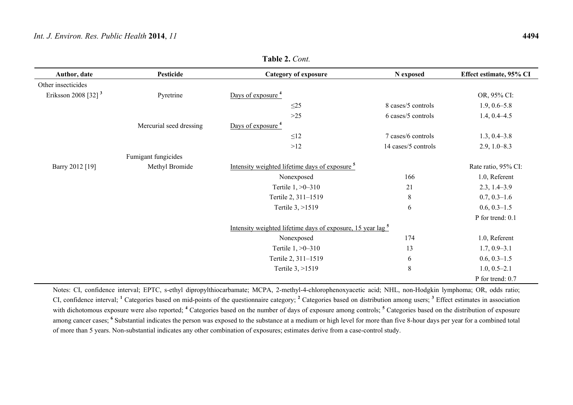| Author, date           | Pesticide               | <b>Category of exposure</b>                                            | N exposed           | Effect estimate, 95% CI |
|------------------------|-------------------------|------------------------------------------------------------------------|---------------------|-------------------------|
| Other insecticides     |                         |                                                                        |                     |                         |
| Eriksson 2008 [32] $3$ | Pyretrine               | Days of exposure <sup>4</sup>                                          |                     | OR, 95% CI:             |
|                        |                         | $\leq$ 25                                                              | 8 cases/5 controls  | $1.9, 0.6 - 5.8$        |
|                        |                         | $>25$                                                                  | 6 cases/5 controls  | $1.4, 0.4 - 4.5$        |
|                        | Mercurial seed dressing | Days of exposure <sup>4</sup>                                          |                     |                         |
|                        |                         | $\leq 12$                                                              | 7 cases/6 controls  | $1.3, 0.4 - 3.8$        |
|                        |                         | $>12$                                                                  | 14 cases/5 controls | $2.9, 1.0 - 8.3$        |
|                        | Fumigant fungicides     |                                                                        |                     |                         |
| Barry 2012 [19]        | Methyl Bromide          | Intensity weighted lifetime days of exposure <sup>5</sup>              |                     | Rate ratio, 95% CI:     |
|                        |                         | Nonexposed                                                             | 166                 | 1.0, Referent           |
|                        |                         | Tertile $1, >0-310$                                                    | 21                  | $2.3, 1.4 - 3.9$        |
|                        |                         | Tertile 2, 311-1519                                                    | $\,$ 8 $\,$         | $0.7, 0.3 - 1.6$        |
|                        |                         | Tertile 3, >1519                                                       | 6                   | $0.6, 0.3 - 1.5$        |
|                        |                         |                                                                        |                     | P for trend: 0.1        |
|                        |                         | Intensity weighted lifetime days of exposure, 15 year lag <sup>5</sup> |                     |                         |
|                        |                         | Nonexposed                                                             | 174                 | 1.0, Referent           |
|                        |                         | Tertile $1, >0-310$                                                    | 13                  | $1.7, 0.9 - 3.1$        |
|                        |                         | Tertile 2, 311-1519                                                    | 6                   | $0.6, 0.3 - 1.5$        |
|                        |                         | Tertile 3, >1519                                                       | 8                   | $1.0, 0.5 - 2.1$        |
|                        |                         |                                                                        |                     | P for trend: 0.7        |

**Table 2.** *Cont.*

Notes: CI, confidence interval; EPTC, s-ethyl dipropylthiocarbamate; MCPA, 2-methyl-4-chlorophenoxyacetic acid; NHL, non-Hodgkin lymphoma; OR, odds ratio; CI, confidence interval; **<sup>1</sup>** Categories based on mid-points of the questionnaire category; **<sup>2</sup>** Categories based on distribution among users; **<sup>3</sup>** Effect estimates in association with dichotomous exposure were also reported; <sup>4</sup> Categories based on the number of days of exposure among controls; <sup>5</sup> Categories based on the distribution of exposure among cancer cases; <sup>6</sup> Substantial indicates the person was exposed to the substance at a medium or high level for more than five 8-hour days per year for a combined total of more than 5 years. Non-substantial indicates any other combination of exposures; estimates derive from a case-control study.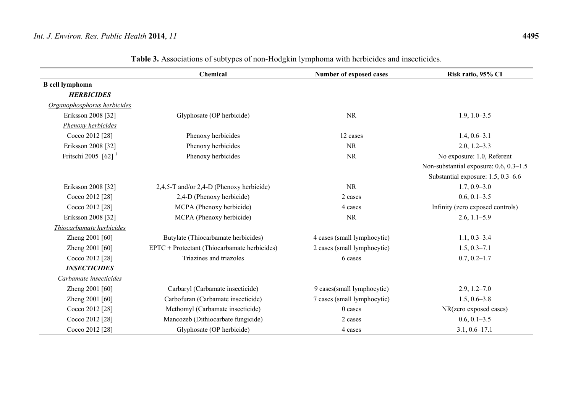|                                 | Chemical                                       | Number of exposed cases     | Risk ratio, 95% CI                     |
|---------------------------------|------------------------------------------------|-----------------------------|----------------------------------------|
| <b>B</b> cell lymphoma          |                                                |                             |                                        |
| <b>HERBICIDES</b>               |                                                |                             |                                        |
| Organophosphorus herbicides     |                                                |                             |                                        |
| Eriksson 2008 [32]              | Glyphosate (OP herbicide)                      | <b>NR</b>                   | $1.9, 1.0 - 3.5$                       |
| Phenoxy herbicides              |                                                |                             |                                        |
| Cocco 2012 [28]                 | Phenoxy herbicides                             | 12 cases                    | $1.4, 0.6 - 3.1$                       |
| Eriksson 2008 [32]              | Phenoxy herbicides                             | <b>NR</b>                   | $2.0, 1.2 - 3.3$                       |
| Fritschi 2005 [62] <sup>1</sup> | Phenoxy herbicides                             | <b>NR</b>                   | No exposure: 1.0, Referent             |
|                                 |                                                |                             | Non-substantial exposure: 0.6, 0.3-1.5 |
|                                 |                                                |                             | Substantial exposure: 1.5, 0.3-6.6     |
| Eriksson 2008 [32]              | 2,4,5-T and/or 2,4-D (Phenoxy herbicide)       | <b>NR</b>                   | $1.7, 0.9 - 3.0$                       |
| Cocco 2012 [28]                 | 2,4-D (Phenoxy herbicide)                      | 2 cases                     | $0.6, 0.1 - 3.5$                       |
| Cocco 2012 [28]                 | MCPA (Phenoxy herbicide)                       | 4 cases                     | Infinity (zero exposed controls)       |
| Eriksson 2008 [32]              | MCPA (Phenoxy herbicide)                       | NR                          | $2.6, 1.1 - 5.9$                       |
| Thiocarbamate herbicides        |                                                |                             |                                        |
| Zheng 2001 [60]                 | Butylate (Thiocarbamate herbicides)            | 4 cases (small lymphocytic) | $1.1, 0.3 - 3.4$                       |
| Zheng 2001 [60]                 | $EPTC +$ Protectant (Thiocarbamate herbicides) | 2 cases (small lymphocytic) | $1.5, 0.3 - 7.1$                       |
| Cocco 2012 [28]                 | Triazines and triazoles                        | 6 cases                     | $0.7, 0.2 - 1.7$                       |
| <b>INSECTICIDES</b>             |                                                |                             |                                        |
| Carbamate insecticides          |                                                |                             |                                        |
| Zheng 2001 [60]                 | Carbaryl (Carbamate insecticide)               | 9 cases(small lymphocytic)  | $2.9, 1.2 - 7.0$                       |
| Zheng 2001 [60]                 | Carbofuran (Carbamate insecticide)             | 7 cases (small lymphocytic) | $1.5, 0.6 - 3.8$                       |
| Cocco 2012 [28]                 | Methomyl (Carbamate insecticide)               | 0 cases                     | NR(zero exposed cases)                 |
| Cocco 2012 [28]                 | Mancozeb (Dithiocarbate fungicide)             | 2 cases                     | $0.6, 0.1 - 3.5$                       |
| Cocco 2012 [28]                 | Glyphosate (OP herbicide)                      | 4 cases                     | $3.1, 0.6 - 17.1$                      |

**Table 3.** Associations of subtypes of non-Hodgkin lymphoma with herbicides and insecticides.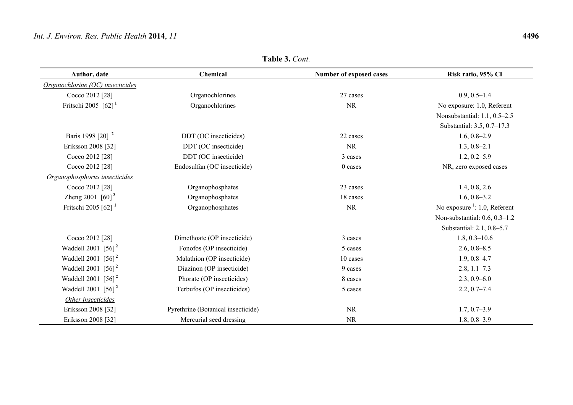| Author, date                      | Chemical                           | Number of exposed cases | Risk ratio, 95% CI                        |
|-----------------------------------|------------------------------------|-------------------------|-------------------------------------------|
| Organochlorine (OC) insecticides  |                                    |                         |                                           |
| Cocco 2012 [28]                   | Organochlorines                    | 27 cases                | $0.9, 0.5 - 1.4$                          |
| Fritschi 2005 $[62]$ <sup>1</sup> | Organochlorines                    | <b>NR</b>               | No exposure: 1.0, Referent                |
|                                   |                                    |                         | Nonsubstantial: 1.1, 0.5-2.5              |
|                                   |                                    |                         | Substantial: 3.5, 0.7–17.3                |
| Baris 1998 [20] <sup>2</sup>      | DDT (OC insecticides)              | 22 cases                | $1.6, 0.8 - 2.9$                          |
| Eriksson 2008 [32]                | DDT (OC insecticide)               | <b>NR</b>               | $1.3, 0.8 - 2.1$                          |
| Cocco 2012 [28]                   | DDT (OC insecticide)               | 3 cases                 | $1.2, 0.2 - 5.9$                          |
| Cocco 2012 [28]                   | Endosulfan (OC insecticide)        | 0 cases                 | NR, zero exposed cases                    |
| Organophosphorus insecticides     |                                    |                         |                                           |
| Cocco 2012 [28]                   | Organophosphates                   | 23 cases                | 1.4, 0.8, 2.6                             |
| Zheng 2001 $[60]$ <sup>2</sup>    | Organophosphates                   | 18 cases                | $1.6, 0.8 - 3.2$                          |
| Fritschi 2005 [62] <sup>1</sup>   | Organophosphates                   | <b>NR</b>               | No exposure $\frac{1}{2}$ : 1.0, Referent |
|                                   |                                    |                         | Non-substantial: $0.6$ , $0.3-1.2$        |
|                                   |                                    |                         | Substantial: 2.1, 0.8-5.7                 |
| Cocco 2012 [28]                   | Dimethoate (OP insecticide)        | 3 cases                 | $1.8, 0.3 - 10.6$                         |
| Waddell 2001 $[56]$ <sup>2</sup>  | Fonofos (OP insecticide)           | 5 cases                 | $2.6, 0.8 - 8.5$                          |
| Waddell 2001 $[56]$ <sup>2</sup>  | Malathion (OP insecticide)         | 10 cases                | $1.9, 0.8 - 4.7$                          |
| Waddell 2001 $[56]$ <sup>2</sup>  | Diazinon (OP insecticide)          | 9 cases                 | $2.8, 1.1 - 7.3$                          |
| Waddell 2001 $[56]$ <sup>2</sup>  | Phorate (OP insecticides)          | 8 cases                 | $2.3, 0.9 - 6.0$                          |
| Waddell 2001 $[56]$ <sup>2</sup>  | Terbufos (OP insecticides)         | 5 cases                 | $2.2, 0.7 - 7.4$                          |
| Other insecticides                |                                    |                         |                                           |
| Eriksson 2008 [32]                | Pyrethrine (Botanical insecticide) | <b>NR</b>               | $1.7, 0.7 - 3.9$                          |
| Eriksson 2008 [32]                | Mercurial seed dressing            | <b>NR</b>               | $1.8, 0.8 - 3.9$                          |

**Table 3.** *Cont.*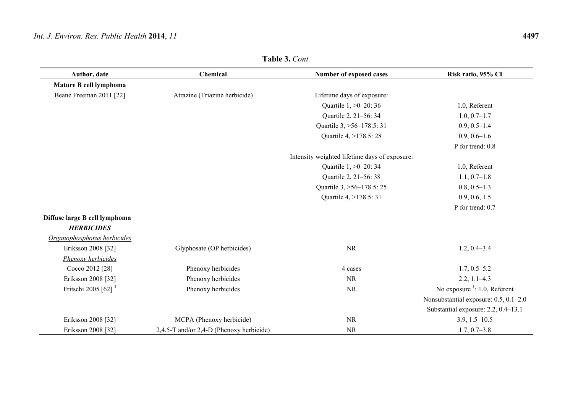| Author, date                    | Chemical                                 | Number of exposed cases                       | Risk ratio, 95% CI                        |
|---------------------------------|------------------------------------------|-----------------------------------------------|-------------------------------------------|
| Mature B cell lymphoma          |                                          |                                               |                                           |
| Beane Freeman 2011 [22]         | Atrazine (Triazine herbicide)            | Lifetime days of exposure:                    |                                           |
|                                 |                                          | Quartile 1, >0-20: 36                         | 1.0, Referent                             |
|                                 |                                          | Quartile 2, 21-56: 34                         | $1.0, 0.7-1.7$                            |
|                                 |                                          | Quartile 3, >56-178.5: 31                     | $0.9, 0.5 - 1.4$                          |
|                                 |                                          | Quartile 4, >178.5: 28                        | $0.9, 0.6 - 1.6$                          |
|                                 |                                          |                                               | P for trend: 0.8                          |
|                                 |                                          | Intensity weighted lifetime days of exposure: |                                           |
|                                 |                                          | Quartile 1, >0-20: 34                         | 1.0, Referent                             |
|                                 |                                          | Quartile 2, 21-56: 38                         | $1.1, 0.7-1.8$                            |
|                                 |                                          | Quartile 3, >56-178.5: 25                     | $0.8, 0.5 - 1.3$                          |
|                                 |                                          | Quartile 4, >178.5: 31                        | 0.9, 0.6, 1.5                             |
|                                 |                                          |                                               | P for trend: 0.7                          |
| Diffuse large B cell lymphoma   |                                          |                                               |                                           |
| <b>HERBICIDES</b>               |                                          |                                               |                                           |
| Organophosphorus herbicides     |                                          |                                               |                                           |
| Eriksson 2008 [32]              | Glyphosate (OP herbicides)               | <b>NR</b>                                     | $1.2, 0.4 - 3.4$                          |
| Phenoxy herbicides              |                                          |                                               |                                           |
| Cocco 2012 [28]                 | Phenoxy herbicides                       | 4 cases                                       | $1.7, 0.5 - 5.2$                          |
| Eriksson 2008 [32]              | Phenoxy herbicides                       | <b>NR</b>                                     | $2.2, 1.1 - 4.3$                          |
| Fritschi 2005 [62] <sup>1</sup> | Phenoxy herbicides                       | NR                                            | No exposure $\frac{1}{1}$ : 1.0, Referent |
|                                 |                                          |                                               | Nonsubstantial exposure: 0.5, 0.1-2.0     |
|                                 |                                          |                                               | Substantial exposure: 2.2, 0.4-13.1       |
| Eriksson 2008 [32]              | MCPA (Phenoxy herbicide)                 | <b>NR</b>                                     | $3.9, 1.5 - 10.5$                         |
| Eriksson 2008 [32]              | 2,4,5-T and/or 2,4-D (Phenoxy herbicide) | <b>NR</b>                                     | $1.7, 0.7 - 3.8$                          |

**Table 3.** *Cont.*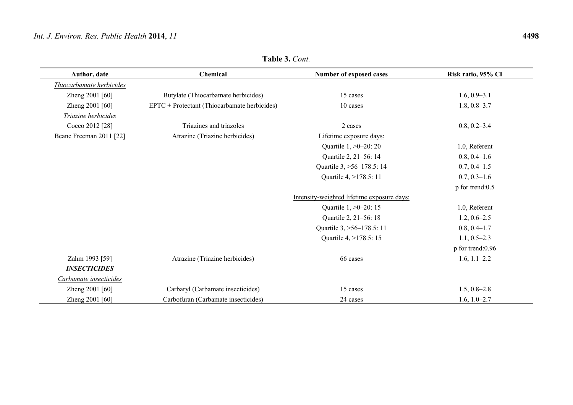| Author, date             | Chemical                                     | Number of exposed cases                    | Risk ratio, 95% CI |
|--------------------------|----------------------------------------------|--------------------------------------------|--------------------|
| Thiocarbamate herbicides |                                              |                                            |                    |
| Zheng 2001 [60]          | Butylate (Thiocarbamate herbicides)          | 15 cases                                   | $1.6, 0.9 - 3.1$   |
| Zheng 2001 [60]          | EPTC + Protectant (Thiocarbamate herbicides) | 10 cases                                   | $1.8, 0.8 - 3.7$   |
| Triazine herbicides      |                                              |                                            |                    |
| Cocco 2012 [28]          | Triazines and triazoles                      | 2 cases                                    | $0.8, 0.2 - 3.4$   |
| Beane Freeman 2011 [22]  | Atrazine (Triazine herbicides)               | Lifetime exposure days:                    |                    |
|                          |                                              | Quartile 1, >0-20: 20                      | 1.0, Referent      |
|                          |                                              | Quartile 2, 21-56: 14                      | $0.8, 0.4 - 1.6$   |
|                          |                                              | Quartile 3, >56-178.5: 14                  | $0.7, 0.4 - 1.5$   |
|                          |                                              | Quartile 4, >178.5: 11                     | $0.7, 0.3 - 1.6$   |
|                          |                                              |                                            | p for trend:0.5    |
|                          |                                              | Intensity-weighted lifetime exposure days: |                    |
|                          |                                              | Quartile 1, >0-20: 15                      | 1.0, Referent      |
|                          |                                              | Quartile 2, 21–56: 18                      | $1.2, 0.6 - 2.5$   |
|                          |                                              | Quartile 3, >56-178.5: 11                  | $0.8, 0.4 - 1.7$   |
|                          |                                              | Quartile 4, >178.5: 15                     | $1.1, 0.5 - 2.3$   |
|                          |                                              |                                            | p for trend:0.96   |
| Zahm 1993 [59]           | Atrazine (Triazine herbicides)               | 66 cases                                   | $1.6, 1.1 - 2.2$   |
| <b>INSECTICIDES</b>      |                                              |                                            |                    |
| Carbamate insecticides   |                                              |                                            |                    |
| Zheng 2001 [60]          | Carbaryl (Carbamate insecticides)            | 15 cases                                   | $1.5, 0.8 - 2.8$   |
| Zheng 2001 [60]          | Carbofuran (Carbamate insecticides)          | 24 cases                                   | $1.6, 1.0 - 2.7$   |

**Table 3.** *Cont.*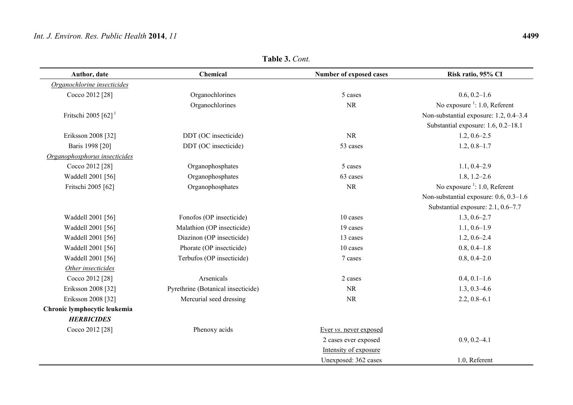| Author, date                    | Chemical                           | Number of exposed cases       | Risk ratio, 95% CI                        |
|---------------------------------|------------------------------------|-------------------------------|-------------------------------------------|
| Organochlorine insecticides     |                                    |                               |                                           |
| Cocco 2012 [28]                 | Organochlorines                    | 5 cases                       | $0.6, 0.2 - 1.6$                          |
|                                 | Organochlorines                    | NR                            | No exposure $\frac{1}{1}$ : 1.0, Referent |
| Fritschi 2005 [62] <sup>1</sup> |                                    |                               | Non-substantial exposure: 1.2, 0.4-3.4    |
|                                 |                                    |                               | Substantial exposure: 1.6, 0.2-18.1       |
| Eriksson 2008 [32]              | DDT (OC insecticide)               | <b>NR</b>                     | $1.2, 0.6 - 2.5$                          |
| Baris 1998 [20]                 | DDT (OC insecticide)               | 53 cases                      | $1.2, 0.8 - 1.7$                          |
| Organophosphorus insecticides   |                                    |                               |                                           |
| Cocco 2012 [28]                 | Organophosphates                   | 5 cases                       | $1.1, 0.4 - 2.9$                          |
| Waddell 2001 [56]               | Organophosphates                   | 63 cases                      | $1.8, 1.2 - 2.6$                          |
| Fritschi 2005 [62]              | Organophosphates                   | <b>NR</b>                     | No exposure $\frac{1}{1}$ : 1.0, Referent |
|                                 |                                    |                               | Non-substantial exposure: 0.6, 0.3-1.6    |
|                                 |                                    |                               | Substantial exposure: 2.1, 0.6-7.7        |
| Waddell 2001 [56]               | Fonofos (OP insecticide)           | 10 cases                      | $1.3, 0.6 - 2.7$                          |
| Waddell 2001 [56]               | Malathion (OP insecticide)         | 19 cases                      | $1.1, 0.6 - 1.9$                          |
| Waddell 2001 [56]               | Diazinon (OP insecticide)          | 13 cases                      | $1.2, 0.6 - 2.4$                          |
| Waddell 2001 [56]               | Phorate (OP insecticide)           | 10 cases                      | $0.8, 0.4 - 1.8$                          |
| Waddell 2001 [56]               | Terbufos (OP insecticide)          | 7 cases                       | $0.8, 0.4 - 2.0$                          |
| Other insecticides              |                                    |                               |                                           |
| Cocco 2012 [28]                 | Arsenicals                         | 2 cases                       | $0.4, 0.1 - 1.6$                          |
| Eriksson 2008 [32]              | Pyrethrine (Botanical insecticide) | <b>NR</b>                     | $1.3, 0.3 - 4.6$                          |
| Eriksson 2008 [32]              | Mercurial seed dressing            | <b>NR</b>                     | $2.2, 0.8 - 6.1$                          |
| Chronic lymphocytic leukemia    |                                    |                               |                                           |
| <b>HERBICIDES</b>               |                                    |                               |                                           |
| Cocco 2012 [28]                 | Phenoxy acids                      | Ever <i>vs.</i> never exposed |                                           |
|                                 |                                    | 2 cases ever exposed          | $0.9, 0.2 - 4.1$                          |
|                                 |                                    | Intensity of exposure         |                                           |
|                                 |                                    | Unexposed: 362 cases          | 1.0, Referent                             |

**Table 3.** *Cont.*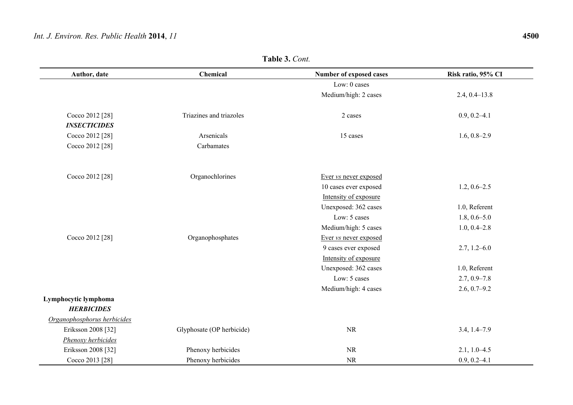| Author, date                           | Chemical                  | Number of exposed cases      | Risk ratio, 95% CI |
|----------------------------------------|---------------------------|------------------------------|--------------------|
|                                        |                           | Low: 0 cases                 |                    |
|                                        |                           | Medium/high: 2 cases         | $2.4, 0.4 - 13.8$  |
| Cocco 2012 [28]<br><b>INSECTICIDES</b> | Triazines and triazoles   | 2 cases                      | $0.9, 0.2 - 4.1$   |
| Cocco 2012 [28]                        | Arsenicals                | 15 cases                     | $1.6, 0.8 - 2.9$   |
| Cocco 2012 [28]                        | Carbamates                |                              |                    |
| Cocco 2012 [28]                        | Organochlorines           | Ever <i>vs</i> never exposed |                    |
|                                        |                           | 10 cases ever exposed        | $1.2, 0.6 - 2.5$   |
|                                        |                           | Intensity of exposure        |                    |
|                                        |                           | Unexposed: 362 cases         | 1.0, Referent      |
|                                        |                           | Low: 5 cases                 | $1.8, 0.6 - 5.0$   |
|                                        |                           | Medium/high: 5 cases         | $1.0, 0.4 - 2.8$   |
| Cocco 2012 [28]                        | Organophosphates          | Ever vs never exposed        |                    |
|                                        |                           | 9 cases ever exposed         | $2.7, 1.2 - 6.0$   |
|                                        |                           | Intensity of exposure        |                    |
|                                        |                           | Unexposed: 362 cases         | 1.0, Referent      |
|                                        |                           | Low: 5 cases                 | $2.7, 0.9 - 7.8$   |
|                                        |                           | Medium/high: 4 cases         | $2.6, 0.7 - 9.2$   |
| Lymphocytic lymphoma                   |                           |                              |                    |
| <b>HERBICIDES</b>                      |                           |                              |                    |
| Organophosphorus herbicides            |                           |                              |                    |
| Eriksson 2008 [32]                     | Glyphosate (OP herbicide) | <b>NR</b>                    | $3.4, 1.4 - 7.9$   |
| Phenoxy herbicides                     |                           |                              |                    |
| Eriksson 2008 [32]                     | Phenoxy herbicides        | NR                           | $2.1, 1.0 - 4.5$   |
| Cocco 2013 [28]                        | Phenoxy herbicides        | NR                           | $0.9, 0.2 - 4.1$   |

**Table 3.** *Cont.*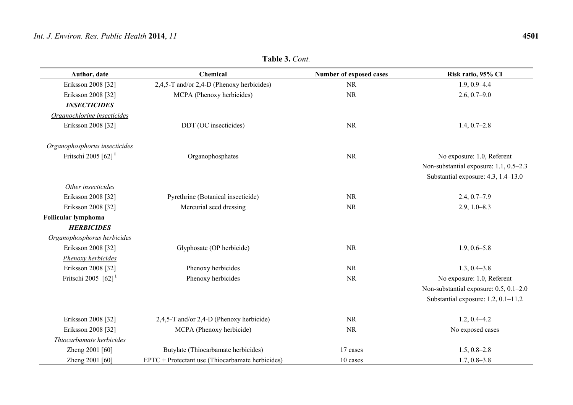| Author, date                    | Chemical                                         | Number of exposed cases | Risk ratio, 95% CI                     |
|---------------------------------|--------------------------------------------------|-------------------------|----------------------------------------|
| Eriksson 2008 [32]              | 2,4,5-T and/or 2,4-D (Phenoxy herbicides)        | <b>NR</b>               | $1.9, 0.9 - 4.4$                       |
| Eriksson 2008 [32]              | MCPA (Phenoxy herbicides)                        | <b>NR</b>               | $2.6, 0.7 - 9.0$                       |
| <b>INSECTICIDES</b>             |                                                  |                         |                                        |
| Organochlorine insecticides     |                                                  |                         |                                        |
| Eriksson 2008 [32]              | DDT (OC insecticides)                            | <b>NR</b>               | $1.4, 0.7 - 2.8$                       |
| Organophosphorus insecticides   |                                                  |                         |                                        |
| Fritschi 2005 [62] <sup>1</sup> | Organophosphates                                 | NR                      | No exposure: 1.0, Referent             |
|                                 |                                                  |                         | Non-substantial exposure: 1.1, 0.5-2.3 |
|                                 |                                                  |                         | Substantial exposure: 4.3, 1.4-13.0    |
| Other insecticides              |                                                  |                         |                                        |
| Eriksson 2008 [32]              | Pyrethrine (Botanical insecticide)               | <b>NR</b>               | $2.4, 0.7 - 7.9$                       |
| Eriksson 2008 [32]              | Mercurial seed dressing                          | <b>NR</b>               | $2.9, 1.0 - 8.3$                       |
| Follicular lymphoma             |                                                  |                         |                                        |
| <b>HERBICIDES</b>               |                                                  |                         |                                        |
| Organophosphorus herbicides     |                                                  |                         |                                        |
| Eriksson 2008 [32]              | Glyphosate (OP herbicide)                        | <b>NR</b>               | $1.9, 0.6 - 5.8$                       |
| Phenoxy herbicides              |                                                  |                         |                                        |
| Eriksson 2008 [32]              | Phenoxy herbicides                               | <b>NR</b>               | $1.3, 0.4 - 3.8$                       |
| Fritschi 2005 [62] <sup>1</sup> | Phenoxy herbicides                               | <b>NR</b>               | No exposure: 1.0, Referent             |
|                                 |                                                  |                         | Non-substantial exposure: 0.5, 0.1-2.0 |
|                                 |                                                  |                         | Substantial exposure: 1.2, 0.1-11.2    |
| Eriksson 2008 [32]              | 2,4,5-T and/or 2,4-D (Phenoxy herbicide)         | <b>NR</b>               | $1.2, 0.4 - 4.2$                       |
| Eriksson 2008 [32]              | MCPA (Phenoxy herbicide)                         | <b>NR</b>               | No exposed cases                       |
| Thiocarbamate herbicides        |                                                  |                         |                                        |
| Zheng 2001 [60]                 | Butylate (Thiocarbamate herbicides)              | 17 cases                | $1.5, 0.8 - 2.8$                       |
| Zheng 2001 [60]                 | EPTC + Protectant use (Thiocarbamate herbicides) | 10 cases                | $1.7, 0.8 - 3.8$                       |

**Table 3.** *Cont.*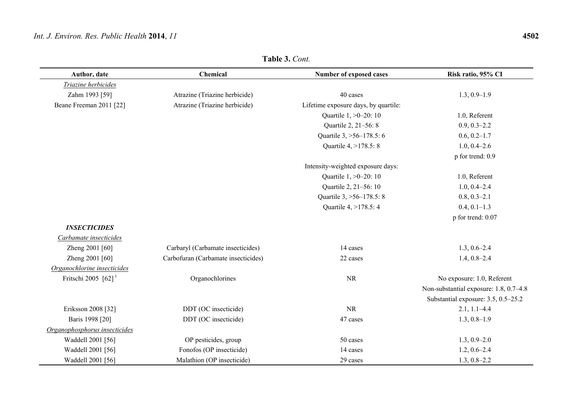| Author, date                    | Chemical                            | Number of exposed cases              | Risk ratio, 95% CI                     |
|---------------------------------|-------------------------------------|--------------------------------------|----------------------------------------|
| Triazine herbicides             |                                     |                                      |                                        |
| Zahm 1993 [59]                  | Atrazine (Triazine herbicide)       | 40 cases                             | $1.3, 0.9 - 1.9$                       |
| Beane Freeman 2011 [22]         | Atrazine (Triazine herbicide)       | Lifetime exposure days, by quartile: |                                        |
|                                 |                                     | Quartile 1, >0-20: 10                | 1.0, Referent                          |
|                                 |                                     | Quartile 2, 21-56: 8                 | $0.9, 0.3 - 2.2$                       |
|                                 |                                     | Quartile 3, >56-178.5: 6             | $0.6, 0.2 - 1.7$                       |
|                                 |                                     | Quartile 4, >178.5: 8                | $1.0, 0.4 - 2.6$                       |
|                                 |                                     |                                      | p for trend: 0.9                       |
|                                 |                                     | Intensity-weighted exposure days:    |                                        |
|                                 |                                     | Quartile 1, >0-20: 10                | 1.0, Referent                          |
|                                 |                                     | Quartile 2, 21-56: 10                | $1.0, 0.4 - 2.4$                       |
|                                 |                                     | Quartile 3, >56-178.5: 8             | $0.8, 0.3 - 2.1$                       |
|                                 |                                     | Quartile 4, >178.5: 4                | $0.4, 0.1 - 1.3$                       |
|                                 |                                     |                                      | p for trend: 0.07                      |
| <b>INSECTICIDES</b>             |                                     |                                      |                                        |
| Carbamate insecticides          |                                     |                                      |                                        |
| Zheng 2001 [60]                 | Carbaryl (Carbamate insecticides)   | 14 cases                             | $1.3, 0.6 - 2.4$                       |
| Zheng 2001 [60]                 | Carbofuran (Carbamate insecticides) | 22 cases                             | $1.4, 0.8 - 2.4$                       |
| Organochlorine insecticides     |                                     |                                      |                                        |
| Fritschi 2005 [62] <sup>1</sup> | Organochlorines                     | <b>NR</b>                            | No exposure: 1.0, Referent             |
|                                 |                                     |                                      | Non-substantial exposure: 1.8, 0.7-4.8 |
|                                 |                                     |                                      | Substantial exposure: 3.5, 0.5–25.2    |
| Eriksson 2008 [32]              | DDT (OC insecticide)                | NR                                   | $2.1, 1.1 - 4.4$                       |
| Baris 1998 [20]                 | DDT (OC insecticide)                | 47 cases                             | $1.3, 0.8 - 1.9$                       |
| Organophosphorus insecticides   |                                     |                                      |                                        |
| Waddell 2001 [56]               | OP pesticides, group                | 50 cases                             | $1.3, 0.9 - 2.0$                       |
| Waddell 2001 [56]               | Fonofos (OP insecticide)            | 14 cases                             | $1.2, 0.6 - 2.4$                       |
| Waddell 2001 [56]               | Malathion (OP insecticide)          | 29 cases                             | $1.3, 0.8 - 2.2$                       |

**Table 3.** *Cont.*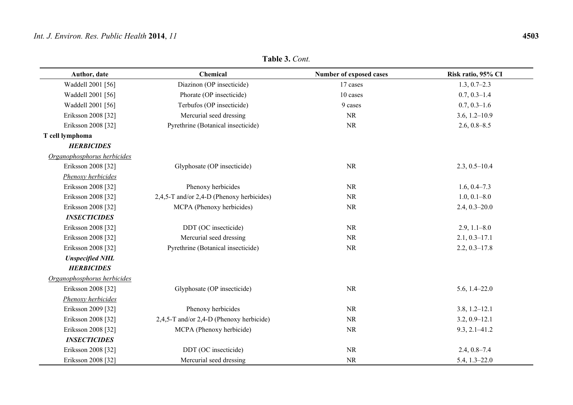|  | Table 3. Cont. |
|--|----------------|
|  |                |

| Author, date                | Chemical                                  | Number of exposed cases | Risk ratio, 95% CI |
|-----------------------------|-------------------------------------------|-------------------------|--------------------|
| Waddell 2001 [56]           | Diazinon (OP insecticide)                 | 17 cases                | $1.3, 0.7 - 2.3$   |
| Waddell 2001 [56]           | Phorate (OP insecticide)                  | 10 cases                | $0.7, 0.3 - 1.4$   |
| Waddell 2001 [56]           | Terbufos (OP insecticide)                 | 9 cases                 | $0.7, 0.3 - 1.6$   |
| Eriksson 2008 [32]          | Mercurial seed dressing                   | <b>NR</b>               | $3.6, 1.2 - 10.9$  |
| Eriksson 2008 [32]          | Pyrethrine (Botanical insecticide)        | <b>NR</b>               | $2.6, 0.8 - 8.5$   |
| T cell lymphoma             |                                           |                         |                    |
| <b>HERBICIDES</b>           |                                           |                         |                    |
| Organophosphorus herbicides |                                           |                         |                    |
| Eriksson 2008 [32]          | Glyphosate (OP insecticide)               | <b>NR</b>               | $2.3, 0.5 - 10.4$  |
| Phenoxy herbicides          |                                           |                         |                    |
| Eriksson 2008 [32]          | Phenoxy herbicides                        | <b>NR</b>               | $1.6, 0.4 - 7.3$   |
| Eriksson 2008 [32]          | 2,4,5-T and/or 2,4-D (Phenoxy herbicides) | NR                      | $1.0, 0.1 - 8.0$   |
| Eriksson 2008 [32]          | MCPA (Phenoxy herbicides)                 | $\rm NR$                | $2.4, 0.3 - 20.0$  |
| <b>INSECTICIDES</b>         |                                           |                         |                    |
| Eriksson 2008 [32]          | DDT (OC insecticide)                      | NR                      | $2.9, 1.1 - 8.0$   |
| Eriksson 2008 [32]          | Mercurial seed dressing                   | <b>NR</b>               | $2.1, 0.3 - 17.1$  |
| Eriksson 2008 [32]          | Pyrethrine (Botanical insecticide)        | <b>NR</b>               | $2.2, 0.3 - 17.8$  |
| <b>Unspecified NHL</b>      |                                           |                         |                    |
| <b>HERBICIDES</b>           |                                           |                         |                    |
| Organophosphorus herbicides |                                           |                         |                    |
| Eriksson 2008 [32]          | Glyphosate (OP insecticide)               | <b>NR</b>               | $5.6, 1.4 - 22.0$  |
| Phenoxy herbicides          |                                           |                         |                    |
| Eriksson 2009 [32]          | Phenoxy herbicides                        | <b>NR</b>               | $3.8, 1.2 - 12.1$  |
| Eriksson 2008 [32]          | 2,4,5-T and/or 2,4-D (Phenoxy herbicide)  | <b>NR</b>               | $3.2, 0.9 - 12.1$  |
| Eriksson 2008 [32]          | MCPA (Phenoxy herbicide)                  | NR                      | $9.3, 2.1 - 41.2$  |
| <b>INSECTICIDES</b>         |                                           |                         |                    |
| Eriksson 2008 [32]          | DDT (OC insecticide)                      | <b>NR</b>               | $2.4, 0.8 - 7.4$   |
| Eriksson 2008 [32]          | Mercurial seed dressing                   | $\rm NR$                | $5.4, 1.3 - 22.0$  |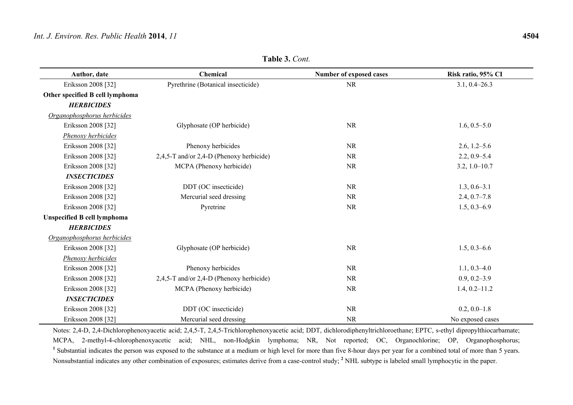| Author, date                       | Chemical                                 | Number of exposed cases | Risk ratio, 95% CI |
|------------------------------------|------------------------------------------|-------------------------|--------------------|
| Eriksson 2008 [32]                 | Pyrethrine (Botanical insecticide)       | <b>NR</b>               | $3.1, 0.4 - 26.3$  |
| Other specified B cell lymphoma    |                                          |                         |                    |
| <b>HERBICIDES</b>                  |                                          |                         |                    |
| Organophosphorus herbicides        |                                          |                         |                    |
| Eriksson 2008 [32]                 | Glyphosate (OP herbicide)                | <b>NR</b>               | $1.6, 0.5 - 5.0$   |
| Phenoxy herbicides                 |                                          |                         |                    |
| Eriksson 2008 [32]                 | Phenoxy herbicides                       | <b>NR</b>               | $2.6, 1.2 - 5.6$   |
| Eriksson 2008 [32]                 | 2,4,5-T and/or 2,4-D (Phenoxy herbicide) | <b>NR</b>               | $2.2, 0.9 - 5.4$   |
| Eriksson 2008 [32]                 | MCPA (Phenoxy herbicide)                 | <b>NR</b>               | $3.2, 1.0 - 10.7$  |
| <b>INSECTICIDES</b>                |                                          |                         |                    |
| Eriksson 2008 [32]                 | DDT (OC insecticide)                     | <b>NR</b>               | $1.3, 0.6 - 3.1$   |
| Eriksson 2008 [32]                 | Mercurial seed dressing                  | <b>NR</b>               | $2.4, 0.7 - 7.8$   |
| Eriksson 2008 [32]                 | Pyretrine                                | <b>NR</b>               | $1.5, 0.3 - 6.9$   |
| <b>Unspecified B cell lymphoma</b> |                                          |                         |                    |
| <b>HERBICIDES</b>                  |                                          |                         |                    |
| Organophosphorus herbicides        |                                          |                         |                    |
| Eriksson 2008 [32]                 | Glyphosate (OP herbicide)                | <b>NR</b>               | $1.5, 0.3 - 6.6$   |
| Phenoxy herbicides                 |                                          |                         |                    |
| Eriksson 2008 [32]                 | Phenoxy herbicides                       | <b>NR</b>               | $1.1, 0.3 - 4.0$   |
| Eriksson 2008 [32]                 | 2,4,5-T and/or 2,4-D (Phenoxy herbicide) | <b>NR</b>               | $0.9, 0.2 - 3.9$   |
| Eriksson 2008 [32]                 | MCPA (Phenoxy herbicide)                 | <b>NR</b>               | $1.4, 0.2 - 11.2$  |
| <b>INSECTICIDES</b>                |                                          |                         |                    |
| Eriksson 2008 [32]                 | DDT (OC insecticide)                     | <b>NR</b>               | $0.2, 0.0 - 1.8$   |
| Eriksson 2008 [32]                 | Mercurial seed dressing                  | <b>NR</b>               | No exposed cases   |

**Table 3.** *Cont.*

Notes: 2,4-D, 2,4-Dichlorophenoxyacetic acid; 2,4,5-T, 2,4,5-Trichlorophenoxyacetic acid; DDT, dichlorodiphenyltrichloroethane; EPTC, s-ethyl dipropylthiocarbamate; MCPA, 2-methyl-4-chlorophenoxyacetic acid; NHL, non-Hodgkin lymphoma; NR, Not reported; OC, Organochlorine; OP, Organophosphorus; <sup>1</sup> Substantial indicates the person was exposed to the substance at a medium or high level for more than five 8-hour days per year for a combined total of more than 5 years. Nonsubstantial indicates any other combination of exposures; estimates derive from a case-control study; **<sup>2</sup>** NHL subtype is labeled small lymphocytic in the paper.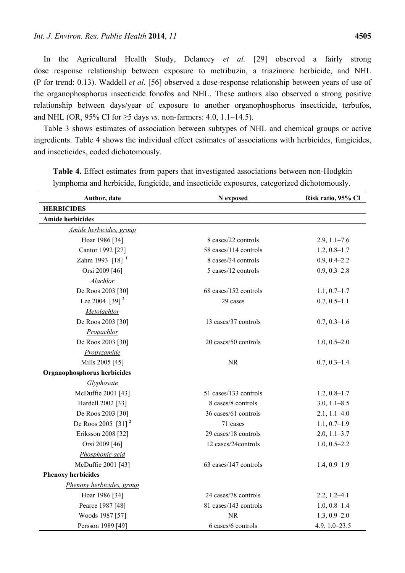In the Agricultural Health Study, Delancey *et al.* [29] observed a fairly strong dose response relationship between exposure to metribuzin, a triazinone herbicide, and NHL (P for trend: 0.13). Waddell *et al.* [56] observed a dose-response relationship between years of use of the organophosphorus insecticide fonofos and NHL. These authors also observed a strong positive relationship between days/year of exposure to another organophosphorus insecticide, terbufos, and NHL (OR, 95% CI for ≥5 days *vs.* non-farmers: 4.0, 1.1–14.5).

Table 3 shows estimates of association between subtypes of NHL and chemical groups or active ingredients. Table 4 shows the individual effect estimates of associations with herbicides, fungicides, and insecticides, coded dichotomously.

| Author, date                   | N exposed             | Risk ratio, 95% CI |
|--------------------------------|-----------------------|--------------------|
| <b>HERBICIDES</b>              |                       |                    |
| <b>Amide herbicides</b>        |                       |                    |
| Amide herbicides, group        |                       |                    |
| Hoar 1986 [34]                 | 8 cases/22 controls   | $2.9, 1.1 - 7.6$   |
| Cantor 1992 [27]               | 58 cases/114 controls | $1.2, 0.8 - 1.7$   |
| Zahm 1993 [18] <sup>1</sup>    | 8 cases/34 controls   | $0.9, 0.4 - 2.2$   |
| Orsi 2009 [46]                 | 5 cases/12 controls   | $0.9, 0.3 - 2.8$   |
| <b>Alachlor</b>                |                       |                    |
| De Roos 2003 [30]              | 68 cases/152 controls | $1.1, 0.7 - 1.7$   |
| Lee 2004 [39] <sup>2</sup>     | 29 cases              | $0.7, 0.5 - 1.1$   |
| Metolachlor                    |                       |                    |
| De Roos 2003 [30]              | 13 cases/37 controls  | $0.7, 0.3 - 1.6$   |
| Propachlor                     |                       |                    |
| De Roos 2003 [30]              | 20 cases/50 controls  | $1.0, 0.5 - 2.0$   |
| Propyzamide                    |                       |                    |
| Mills 2005 [45]                | <b>NR</b>             | $0.7, 0.3 - 1.4$   |
| Organophosphorus herbicides    |                       |                    |
| Glyphosate                     |                       |                    |
| McDuffie 2001 [43]             | 51 cases/133 controls | $1.2, 0.8 - 1.7$   |
| Hardell 2002 [33]              | 8 cases/8 controls    | $3.0, 1.1 - 8.5$   |
| De Roos 2003 [30]              | 36 cases/61 controls  | $2.1, 1.1 - 4.0$   |
| De Roos 2005 [31] <sup>2</sup> | 71 cases              | $1.1, 0.7-1.9$     |
| Eriksson 2008 [32]             | 29 cases/18 controls  | $2.0, 1.1 - 3.7$   |
| Orsi 2009 [46]                 | 12 cases/24 controls  | $1.0, 0.5 - 2.2$   |
| Phosphonic acid                |                       |                    |
| McDuffie 2001 [43]             | 63 cases/147 controls | $1.4, 0.9 - 1.9$   |
| <b>Phenoxy herbicides</b>      |                       |                    |
| Phenoxy herbicides, group      |                       |                    |
| Hoar 1986 [34]                 | 24 cases/78 controls  | $2.2, 1.2 - 4.1$   |
| Pearce 1987 [48]               | 81 cases/143 controls | $1.0, 0.8 - 1.4$   |
| Woods 1987 [57]                | NR                    | $1.3, 0.9 - 2.0$   |
| Persson 1989 [49]              | 6 cases/6 controls    | $4.9, 1.0 - 23.5$  |

**Table 4.** Effect estimates from papers that investigated associations between non-Hodgkin lymphoma and herbicide, fungicide, and insecticide exposures, categorized dichotomously.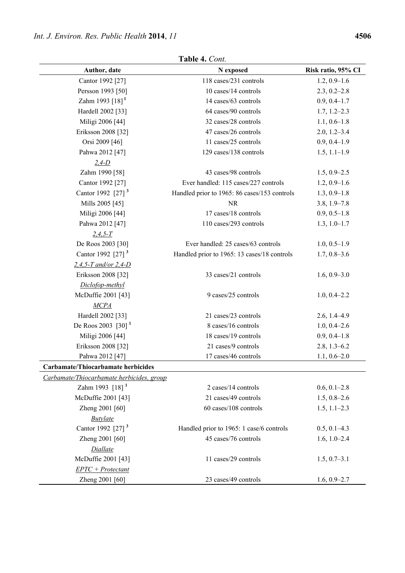|                                           | <b>1 adie 4.</b> Com.                        |                    |
|-------------------------------------------|----------------------------------------------|--------------------|
| Author, date                              | N exposed                                    | Risk ratio, 95% CI |
| Cantor 1992 [27]                          | 118 cases/231 controls                       | $1.2, 0.9 - 1.6$   |
| Persson 1993 [50]                         | 10 cases/14 controls                         | $2.3, 0.2 - 2.8$   |
| Zahm 1993 $[18]$ <sup>1</sup>             | 14 cases/63 controls                         | $0.9, 0.4 - 1.7$   |
| Hardell 2002 [33]                         | 64 cases/90 controls                         | $1.7, 1.2 - 2.3$   |
| Miligi 2006 [44]                          | 32 cases/28 controls                         | $1.1, 0.6 - 1.8$   |
| Eriksson 2008 [32]                        | 47 cases/26 controls                         | $2.0, 1.2 - 3.4$   |
| Orsi 2009 [46]                            | 11 cases/25 controls                         | $0.9, 0.4 - 1.9$   |
| Pahwa 2012 [47]                           | 129 cases/138 controls                       | $1.5, 1.1 - 1.9$   |
| $2,4-D$                                   |                                              |                    |
| Zahm 1990 [58]                            | 43 cases/98 controls                         | $1.5, 0.9 - 2.5$   |
| Cantor 1992 [27]                          | Ever handled: 115 cases/227 controls         | $1.2, 0.9 - 1.6$   |
| Cantor 1992 [27] <sup>3</sup>             | Handled prior to 1965: 86 cases/153 controls | $1.3, 0.9 - 1.8$   |
| Mills 2005 [45]                           | <b>NR</b>                                    | $3.8, 1.9 - 7.8$   |
| Miligi 2006 [44]                          | 17 cases/18 controls                         | $0.9, 0.5 - 1.8$   |
| Pahwa 2012 [47]                           | 110 cases/293 controls                       | $1.3, 1.0 - 1.7$   |
| $2,4,5 - T$                               |                                              |                    |
| De Roos 2003 [30]                         | Ever handled: 25 cases/63 controls           | $1.0, 0.5 - 1.9$   |
| Cantor 1992 [27] <sup>3</sup>             | Handled prior to 1965: 13 cases/18 controls  | $1.7, 0.8 - 3.6$   |
| $2,4,5$ -T and/or 2,4-D                   |                                              |                    |
| Eriksson 2008 [32]                        | 33 cases/21 controls                         | $1.6, 0.9 - 3.0$   |
| Diclofop-methyl                           |                                              |                    |
| McDuffie 2001 [43]                        | 9 cases/25 controls                          | $1.0, 0.4 - 2.2$   |
| <b>MCPA</b>                               |                                              |                    |
| Hardell 2002 [33]                         | 21 cases/23 controls                         | $2.6, 1.4 - 4.9$   |
| De Roos 2003 [30] <sup>1</sup>            | 8 cases/16 controls                          | $1.0, 0.4 - 2.6$   |
| Miligi 2006 [44]                          | 18 cases/19 controls                         | $0.9, 0.4 - 1.8$   |
| Eriksson 2008 [32]                        | 21 cases/9 controls                          | $2.8, 1.3 - 6.2$   |
| Pahwa 2012 [47]                           | 17 cases/46 controls                         | $1.1, 0.6 - 2.0$   |
| Carbamate/Thiocarbamate herbicides        |                                              |                    |
| Carbamate/Thiocarbamate herbicides, group |                                              |                    |
| Zahm 1993 $[18]$ <sup>1</sup>             | 2 cases/14 controls                          | $0.6, 0.1 - 2.8$   |
| McDuffie 2001 [43]                        | 21 cases/49 controls                         | $1.5, 0.8 - 2.6$   |
| Zheng 2001 [60]                           | 60 cases/108 controls                        | $1.5, 1.1 - 2.3$   |
| Butylate                                  |                                              |                    |
| Cantor 1992 [27] <sup>3</sup>             | Handled prior to 1965: 1 case/6 controls     | $0.5, 0.1 - 4.3$   |
| Zheng 2001 [60]                           | 45 cases/76 controls                         | $1.6, 1.0 - 2.4$   |
| <b>Diallate</b>                           |                                              |                    |
| McDuffie 2001 [43]                        | 11 cases/29 controls                         | $1.5, 0.7 - 3.1$   |
| $EPTC + Protectant$                       |                                              |                    |
| Zheng 2001 [60]                           | 23 cases/49 controls                         | $1.6, 0.9 - 2.7$   |

**Table 4.** *Cont.*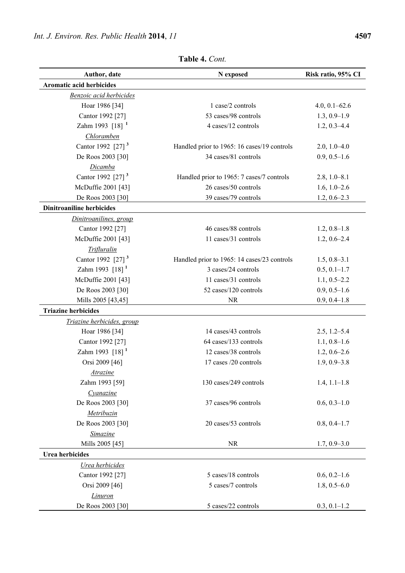| Author, date                     | N exposed                                   | Risk ratio, 95% CI |
|----------------------------------|---------------------------------------------|--------------------|
| Aromatic acid herbicides         |                                             |                    |
| Benzoic acid herbicides          |                                             |                    |
| Hoar 1986 [34]                   | 1 case/2 controls                           | $4.0, 0.1 - 62.6$  |
| Cantor 1992 [27]                 | 53 cases/98 controls                        | $1.3, 0.9 - 1.9$   |
| Zahm 1993 $[18]$ <sup>1</sup>    | 4 cases/12 controls                         | $1.2, 0.3 - 4.4$   |
| Chloramben                       |                                             |                    |
| Cantor 1992 [27] <sup>3</sup>    | Handled prior to 1965: 16 cases/19 controls | $2.0, 1.0 - 4.0$   |
| De Roos 2003 [30]                | 34 cases/81 controls                        | $0.9, 0.5 - 1.6$   |
| Dicamba                          |                                             |                    |
| Cantor 1992 [27] <sup>3</sup>    | Handled prior to 1965: 7 cases/7 controls   | $2.8, 1.0 - 8.1$   |
| McDuffie 2001 [43]               | 26 cases/50 controls                        | $1.6, 1.0 - 2.6$   |
| De Roos 2003 [30]                | 39 cases/79 controls                        | $1.2, 0.6 - 2.3$   |
| <b>Dinitroaniline</b> herbicides |                                             |                    |
| Dinitroanilines, group           |                                             |                    |
| Cantor 1992 [27]                 | 46 cases/88 controls                        | $1.2, 0.8 - 1.8$   |
| McDuffie 2001 [43]               | 11 cases/31 controls                        | $1.2, 0.6 - 2.4$   |
| Trifluralin                      |                                             |                    |
| Cantor 1992 [27] <sup>3</sup>    | Handled prior to 1965: 14 cases/23 controls | $1.5, 0.8 - 3.1$   |
| Zahm 1993 $[18]$ <sup>1</sup>    | 3 cases/24 controls                         | $0.5, 0.1 - 1.7$   |
| McDuffie 2001 [43]               | 11 cases/31 controls                        | $1.1, 0.5 - 2.2$   |
| De Roos 2003 [30]                | 52 cases/120 controls                       | $0.9, 0.5 - 1.6$   |
| Mills 2005 [43,45]               | <b>NR</b>                                   | $0.9, 0.4 - 1.8$   |
| <b>Triazine herbicides</b>       |                                             |                    |
| Triazine herbicides, group       |                                             |                    |
| Hoar 1986 [34]                   | 14 cases/43 controls                        | $2.5, 1.2 - 5.4$   |
| Cantor 1992 [27]                 | 64 cases/133 controls                       | $1.1, 0.8 - 1.6$   |
| Zahm 1993 [18] <sup>1</sup>      | 12 cases/38 controls                        | $1.2, 0.6 - 2.6$   |
| Orsi 2009 [46]                   | 17 cases /20 controls                       | $1.9, 0.9 - 3.8$   |
| <b>Atrazine</b>                  |                                             |                    |
| Zahm 1993 [59]                   | 130 cases/249 controls                      | $1.4, 1.1 - 1.8$   |
| Cyanazine                        |                                             |                    |
| De Roos 2003 [30]                | 37 cases/96 controls                        | $0.6, 0.3 - 1.0$   |
| Metribuzin                       |                                             |                    |
| De Roos 2003 [30]                | 20 cases/53 controls                        | $0.8, 0.4 - 1.7$   |
| <b>Simazine</b>                  |                                             |                    |
| Mills 2005 [45]                  | <b>NR</b>                                   | $1.7, 0.9 - 3.0$   |
| <b>Urea</b> herbicides           |                                             |                    |
| Urea herbicides                  |                                             |                    |
| Cantor 1992 [27]                 | 5 cases/18 controls                         | $0.6, 0.2 - 1.6$   |
| Orsi 2009 [46]                   | 5 cases/7 controls                          | $1.8, 0.5 - 6.0$   |
| <b>Linuron</b>                   |                                             |                    |
| De Roos 2003 [30]                | 5 cases/22 controls                         | $0.3, 0.1 - 1.2$   |

**Table 4.** *Cont.*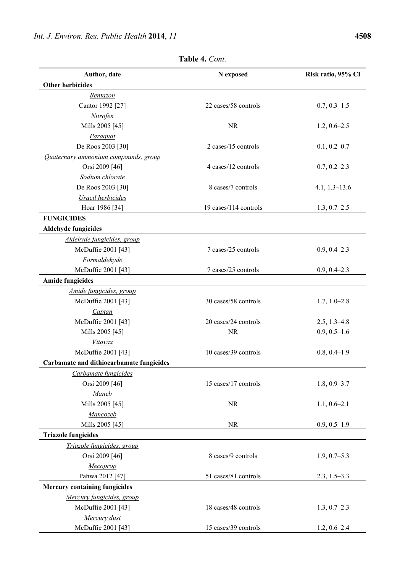| Author, date                             | N exposed             | Risk ratio, 95% CI |
|------------------------------------------|-----------------------|--------------------|
| <b>Other herbicides</b>                  |                       |                    |
| <b>Bentazon</b>                          |                       |                    |
| Cantor 1992 [27]                         | 22 cases/58 controls  | $0.7, 0.3 - 1.5$   |
| Nitrofen                                 |                       |                    |
| Mills 2005 [45]                          | <b>NR</b>             | $1.2, 0.6 - 2.5$   |
| Paraquat                                 |                       |                    |
| De Roos 2003 [30]                        | 2 cases/15 controls   | $0.1, 0.2 - 0.7$   |
| Quaternary ammonium compounds, group     |                       |                    |
| Orsi 2009 [46]                           | 4 cases/12 controls   | $0.7, 0.2 - 2.3$   |
| Sodium chlorate                          |                       |                    |
| De Roos 2003 [30]                        | 8 cases/7 controls    | $4.1, 1.3 - 13.6$  |
| Uracil herbicides                        |                       |                    |
| Hoar 1986 [34]                           | 19 cases/114 controls | $1.3, 0.7 - 2.5$   |
| <b>FUNGICIDES</b>                        |                       |                    |
| <b>Aldehyde fungicides</b>               |                       |                    |
| Aldehyde fungicides, group               |                       |                    |
| McDuffie 2001 [43]                       | 7 cases/25 controls   | $0.9, 0.4 - 2.3$   |
| Formaldehyde                             |                       |                    |
| McDuffie 2001 [43]                       | 7 cases/25 controls   | $0.9, 0.4 - 2.3$   |
| <b>Amide fungicides</b>                  |                       |                    |
| Amide fungicides, group                  |                       |                    |
| McDuffie 2001 [43]                       | 30 cases/58 controls  | $1.7, 1.0 - 2.8$   |
| Captan                                   |                       |                    |
| McDuffie 2001 [43]                       | 20 cases/24 controls  | $2.5, 1.3 - 4.8$   |
| Mills 2005 [45]                          | <b>NR</b>             | $0.9, 0.5 - 1.6$   |
| <b>Vitavax</b>                           |                       |                    |
| McDuffie 2001 [43]                       | 10 cases/39 controls  | $0.8, 0.4 - 1.9$   |
| Carbamate and dithiocarbamate fungicides |                       |                    |
| Carbamate fungicides                     |                       |                    |
| Orsi 2009 [46]                           | 15 cases/17 controls  | $1.8, 0.9 - 3.7$   |
| Maneb                                    |                       |                    |
| Mills 2005 [45]                          | <b>NR</b>             | $1.1, 0.6 - 2.1$   |
| Mancozeb                                 |                       |                    |
| Mills 2005 [45]                          | <b>NR</b>             | $0.9, 0.5 - 1.9$   |
| <b>Triazole fungicides</b>               |                       |                    |
| Triazole fungicides, group               |                       |                    |
| Orsi 2009 [46]                           | 8 cases/9 controls    | $1.9, 0.7 - 5.3$   |
| Mecoprop                                 |                       |                    |
| Pahwa 2012 [47]                          | 51 cases/81 controls  | $2.3, 1.5 - 3.3$   |
| <b>Mercury containing fungicides</b>     |                       |                    |
| Mercury fungicides, group                |                       |                    |
| McDuffie 2001 [43]                       | 18 cases/48 controls  | $1.3, 0.7 - 2.3$   |
| Mercury dust                             |                       |                    |
| McDuffie 2001 [43]                       | 15 cases/39 controls  | $1.2, 0.6 - 2.4$   |

**Table 4.** *Cont.*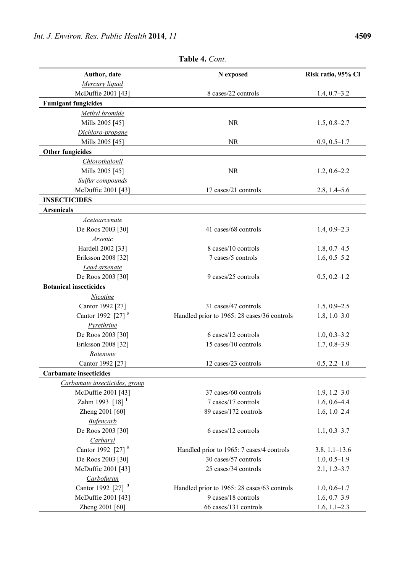| Author, date                  | N exposed                                   | Risk ratio, 95% CI |
|-------------------------------|---------------------------------------------|--------------------|
| Mercury liquid                |                                             |                    |
| McDuffie 2001 [43]            | 8 cases/22 controls                         | $1.4, 0.7 - 3.2$   |
| <b>Fumigant fungicides</b>    |                                             |                    |
| Methyl bromide                |                                             |                    |
| Mills 2005 [45]               | <b>NR</b>                                   | $1.5, 0.8 - 2.7$   |
| Dichloro-propane              |                                             |                    |
| Mills 2005 [45]               | <b>NR</b>                                   | $0.9, 0.5 - 1.7$   |
| <b>Other fungicides</b>       |                                             |                    |
| Chlorothalonil                |                                             |                    |
| Mills 2005 [45]               | <b>NR</b>                                   | $1.2, 0.6 - 2.2$   |
| Sulfur compounds              |                                             |                    |
| McDuffie 2001 [43]            | 17 cases/21 controls                        | $2.8, 1.4 - 5.6$   |
| <b>INSECTICIDES</b>           |                                             |                    |
| <b>Arsenicals</b>             |                                             |                    |
| Acetoarcenate                 |                                             |                    |
| De Roos 2003 [30]             | 41 cases/68 controls                        | $1.4, 0.9 - 2.3$   |
| <b>Arsenic</b>                |                                             |                    |
| Hardell 2002 [33]             | 8 cases/10 controls                         | $1.8, 0.7 - 4.5$   |
| Eriksson 2008 [32]            | 7 cases/5 controls                          | $1.6, 0.5 - 5.2$   |
| Lead arsenate                 |                                             |                    |
| De Roos 2003 [30]             | 9 cases/25 controls                         | $0.5, 0.2 - 1.2$   |
| <b>Botanical insecticides</b> |                                             |                    |
| <b>Nicotine</b>               |                                             |                    |
| Cantor 1992 [27]              | 31 cases/47 controls                        | $1.5, 0.9 - 2.5$   |
| Cantor 1992 [27] <sup>3</sup> | Handled prior to 1965: 28 cases/36 controls | $1.8, 1.0 - 3.0$   |
| Pyrethrine                    |                                             |                    |
| De Roos 2003 [30]             | 6 cases/12 controls                         | $1.0, 0.3 - 3.2$   |
| Eriksson 2008 [32]            | 15 cases/10 controls                        | $1.7, 0.8 - 3.9$   |
| <i><u>Rotenone</u></i>        |                                             |                    |
| Cantor 1992 [27]              | 12 cases/23 controls                        | $0.5, 2.2 - 1.0$   |
| <b>Carbamate insecticides</b> |                                             |                    |
| Carbamate insecticides, group |                                             |                    |
| McDuffie 2001 [43]            | 37 cases/60 controls                        | $1.9, 1.2 - 3.0$   |
| Zahm 1993 $[18]$ <sup>1</sup> | 7 cases/17 controls                         | $1.6, 0.6 - 4.4$   |
| Zheng 2001 [60]               | 89 cases/172 controls                       | $1.6, 1.0 - 2.4$   |
| <b>Bufencarb</b>              |                                             |                    |
| De Roos 2003 [30]             | 6 cases/12 controls                         | $1.1, 0.3 - 3.7$   |
| Carbaryl                      |                                             |                    |
| Cantor 1992 [27] <sup>3</sup> | Handled prior to 1965: 7 cases/4 controls   | $3.8, 1.1 - 13.6$  |
| De Roos 2003 [30]             | 30 cases/57 controls                        | $1.0, 0.5 - 1.9$   |
| McDuffie 2001 [43]            | 25 cases/34 controls                        | $2.1, 1.2 - 3.7$   |
| Carbofuran                    |                                             |                    |
| Cantor 1992 [27] <sup>3</sup> | Handled prior to 1965: 28 cases/63 controls | $1.0, 0.6 - 1.7$   |
| McDuffie 2001 [43]            | 9 cases/18 controls                         | $1.6, 0.7 - 3.9$   |
| Zheng 2001 [60]               | 66 cases/131 controls                       | $1.6, 1.1 - 2.3$   |

**Table 4.** *Cont.*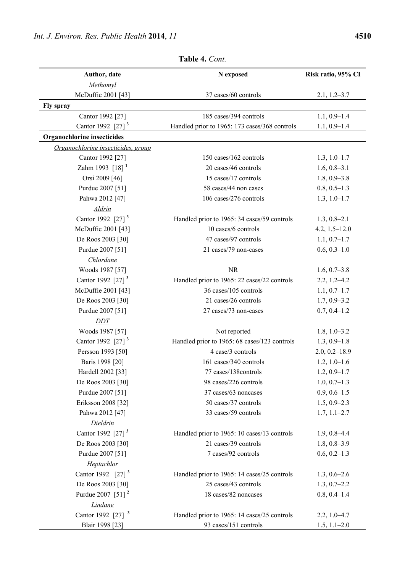| Author, date                       | N exposed                                     | Risk ratio, 95% CI |
|------------------------------------|-----------------------------------------------|--------------------|
| Methomyl                           |                                               |                    |
| McDuffie 2001 [43]                 | 37 cases/60 controls                          | $2.1, 1.2 - 3.7$   |
| Fly spray                          |                                               |                    |
| Cantor 1992 [27]                   | 185 cases/394 controls                        | $1.1, 0.9 - 1.4$   |
| Cantor 1992 [27] <sup>3</sup>      | Handled prior to 1965: 173 cases/368 controls | $1.1, 0.9 - 1.4$   |
| <b>Organochlorine</b> insecticides |                                               |                    |
| Organochlorine insecticides, group |                                               |                    |
| Cantor 1992 [27]                   | 150 cases/162 controls                        | $1.3, 1.0 - 1.7$   |
| Zahm 1993 $[18]$ <sup>1</sup>      | 20 cases/46 controls                          | $1.6, 0.8 - 3.1$   |
| Orsi 2009 [46]                     | 15 cases/17 controls                          | $1.8, 0.9 - 3.8$   |
| Purdue 2007 [51]                   | 58 cases/44 non cases                         | $0.8, 0.5 - 1.3$   |
| Pahwa 2012 [47]                    | 106 cases/276 controls                        | $1.3, 1.0 - 1.7$   |
| <b>Aldrin</b>                      |                                               |                    |
| Cantor 1992 [27] <sup>3</sup>      | Handled prior to 1965: 34 cases/59 controls   | $1.3, 0.8 - 2.1$   |
| McDuffie 2001 [43]                 | 10 cases/6 controls                           | $4.2, 1.5 - 12.0$  |
| De Roos 2003 [30]                  | 47 cases/97 controls                          | $1.1, 0.7 - 1.7$   |
| Purdue 2007 [51]                   | 21 cases/79 non-cases                         | $0.6, 0.3 - 1.0$   |
| Chlordane                          |                                               |                    |
| Woods 1987 [57]                    | <b>NR</b>                                     | $1.6, 0.7 - 3.8$   |
| Cantor 1992 [27] <sup>3</sup>      | Handled prior to 1965: 22 cases/22 controls   | $2.2, 1.2 - 4.2$   |
| McDuffie 2001 [43]                 | 36 cases/105 controls                         | $1.1, 0.7 - 1.7$   |
| De Roos 2003 [30]                  | 21 cases/26 controls                          | $1.7, 0.9 - 3.2$   |
| Purdue 2007 [51]                   | 27 cases/73 non-cases                         | $0.7, 0.4 - 1.2$   |
| DDT                                |                                               |                    |
| Woods 1987 [57]                    | Not reported                                  | $1.8, 1.0 - 3.2$   |
| Cantor 1992 [27] <sup>3</sup>      | Handled prior to 1965: 68 cases/123 controls  | $1.3, 0.9 - 1.8$   |
| Persson 1993 [50]                  | 4 case/3 controls                             | $2.0, 0.2 - 18.9$  |
| Baris 1998 [20]                    | 161 cases/340 controls                        | $1.2, 1.0 - 1.6$   |
| Hardell 2002 [33]                  | 77 cases/138controls                          | $1.2, 0.9 - 1.7$   |
| De Roos 2003 [30]                  | 98 cases/226 controls                         | $1.0, 0.7 - 1.3$   |
| Purdue 2007 [51]                   | 37 cases/63 noncases                          | $0.9, 0.6 - 1.5$   |
| Eriksson 2008 [32]                 | 50 cases/37 controls                          | $1.5, 0.9 - 2.3$   |
| Pahwa 2012 [47]                    | 33 cases/59 controls                          | $1.7, 1.1 - 2.7$   |
| <b>Dieldrin</b>                    |                                               |                    |
| Cantor 1992 [27] <sup>3</sup>      | Handled prior to 1965: 10 cases/13 controls   | $1.9, 0.8 - 4.4$   |
| De Roos 2003 [30]                  | 21 cases/39 controls                          | $1.8, 0.8 - 3.9$   |
| Purdue 2007 [51]                   | 7 cases/92 controls                           | $0.6, 0.2 - 1.3$   |
| Heptachlor                         |                                               |                    |
| Cantor 1992 [27] <sup>3</sup>      | Handled prior to 1965: 14 cases/25 controls   | $1.3, 0.6 - 2.6$   |
| De Roos 2003 [30]                  | 25 cases/43 controls                          | $1.3, 0.7 - 2.2$   |
| Purdue 2007 [51] <sup>2</sup>      | 18 cases/82 noncases                          | $0.8, 0.4 - 1.4$   |
| Lindane                            |                                               |                    |
| Cantor 1992 [27] <sup>3</sup>      | Handled prior to 1965: 14 cases/25 controls   | $2.2, 1.0 - 4.7$   |
| Blair 1998 [23]                    | 93 cases/151 controls                         | $1.5, 1.1 - 2.0$   |

**Table 4.** *Cont.*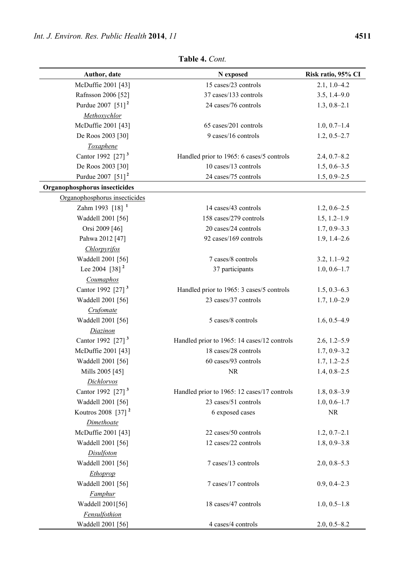| Author, date                            | N exposed                                   | Risk ratio, 95% CI |
|-----------------------------------------|---------------------------------------------|--------------------|
| McDuffie 2001 [43]                      | 15 cases/23 controls                        | $2.1, 1.0 - 4.2$   |
| Rafnsson 2006 [52]                      | 37 cases/133 controls                       | $3.5, 1.4 - 9.0$   |
| Purdue 2007 $[51]$ <sup>2</sup>         | 24 cases/76 controls                        | $1.3, 0.8 - 2.1$   |
| Methoxychlor                            |                                             |                    |
| McDuffie 2001 [43]                      | 65 cases/201 controls                       | $1.0, 0.7 - 1.4$   |
| De Roos 2003 [30]                       | 9 cases/16 controls                         | $1.2, 0.5 - 2.7$   |
| <b>Toxaphene</b>                        |                                             |                    |
| Cantor 1992 [27] <sup>3</sup>           | Handled prior to 1965: 6 cases/5 controls   | $2.4, 0.7 - 8.2$   |
| De Roos 2003 [30]                       | 10 cases/13 controls                        | $1.5, 0.6 - 3.5$   |
| Purdue 2007 $[51]$ <sup>2</sup>         | 24 cases/75 controls                        | $1.5, 0.9 - 2.5$   |
| Organophosphorus insecticides           |                                             |                    |
| Organophosphorus insecticides           |                                             |                    |
| Zahm 1993 [18] <sup>1</sup>             | 14 cases/43 controls                        | $1.2, 0.6 - 2.5$   |
| Waddell 2001 [56]                       | 158 cases/279 controls                      | $1.5, 1.2 - 1.9$   |
| Orsi 2009 [46]                          | 20 cases/24 controls                        | $1.7, 0.9 - 3.3$   |
| Pahwa 2012 [47]                         | 92 cases/169 controls                       | $1.9, 1.4 - 2.6$   |
| Chlorpyrifos                            |                                             |                    |
| Waddell 2001 [56]                       | 7 cases/8 controls                          | $3.2, 1.1 - 9.2$   |
| Lee 2004 $\left[38\right]$ <sup>2</sup> | 37 participants                             | $1.0, 0.6 - 1.7$   |
| Coumaphos                               |                                             |                    |
| Cantor 1992 [27] <sup>3</sup>           | Handled prior to 1965: 3 cases/5 controls   | $1.5, 0.3 - 6.3$   |
| Waddell 2001 [56]                       | 23 cases/37 controls                        | $1.7, 1.0 - 2.9$   |
| Crufomate                               |                                             |                    |
| Waddell 2001 [56]                       | 5 cases/8 controls                          | $1.6, 0.5 - 4.9$   |
| Diazinon                                |                                             |                    |
| Cantor 1992 [27] <sup>3</sup>           | Handled prior to 1965: 14 cases/12 controls | $2.6, 1.2 - 5.9$   |
| McDuffie 2001 [43]                      | 18 cases/28 controls                        | $1.7, 0.9 - 3.2$   |
| Waddell 2001 [56]                       | 60 cases/93 controls                        | $1.7, 1.2 - 2.5$   |
| Mills 2005 [45]                         | NR                                          | $1.4, 0.8 - 2.5$   |
| Dichlorvos                              |                                             |                    |
| Cantor 1992 [27] <sup>3</sup>           | Handled prior to 1965: 12 cases/17 controls | $1.8, 0.8 - 3.9$   |
| Waddell 2001 [56]                       | 23 cases/51 controls                        | $1.0, 0.6 - 1.7$   |
| Koutros 2008 [37] <sup>2</sup>          | 6 exposed cases                             | <b>NR</b>          |
| Dimethoate                              |                                             |                    |
| McDuffie 2001 [43]                      | 22 cases/50 controls                        | $1.2, 0.7 - 2.1$   |
| Waddell 2001 [56]                       | 12 cases/22 controls                        | $1.8, 0.9 - 3.8$   |
| <b>Disulfoton</b>                       |                                             |                    |
| Waddell 2001 [56]                       | 7 cases/13 controls                         | $2.0, 0.8 - 5.3$   |
| Ethoprop                                |                                             |                    |
| Waddell 2001 [56]                       | 7 cases/17 controls                         | $0.9, 0.4 - 2.3$   |
| <b>Famphur</b>                          |                                             |                    |
| Waddell 2001[56]                        | 18 cases/47 controls                        | $1.0, 0.5 - 1.8$   |
| <b>Fensulfothion</b>                    |                                             |                    |
| Waddell 2001 [56]                       | 4 cases/4 controls                          | $2.0, 0.5 - 8.2$   |

**Table 4.** *Cont.*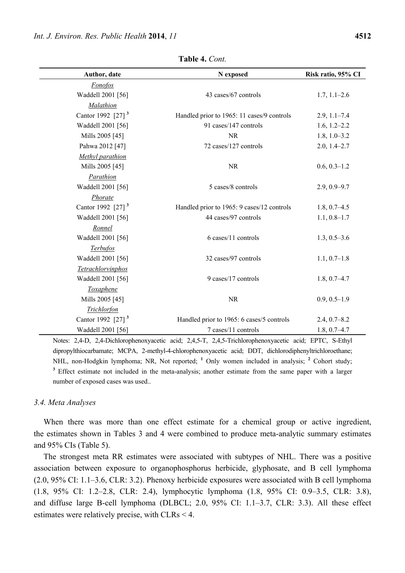| Author, date                  | N exposed                                  | Risk ratio, 95% CI |
|-------------------------------|--------------------------------------------|--------------------|
| Fonofos                       |                                            |                    |
| Waddell 2001 [56]             | 43 cases/67 controls                       | $1.7, 1.1 - 2.6$   |
| Malathion                     |                                            |                    |
| Cantor 1992 [27] <sup>3</sup> | Handled prior to 1965: 11 cases/9 controls | $2.9, 1.1 - 7.4$   |
| Waddell 2001 [56]             | 91 cases/147 controls                      | $1.6, 1.2 - 2.2$   |
| Mills 2005 [45]               | <b>NR</b>                                  | $1.8, 1.0 - 3.2$   |
| Pahwa 2012 [47]               | 72 cases/127 controls                      | $2.0, 1.4 - 2.7$   |
| Methyl parathion              |                                            |                    |
| Mills 2005 [45]               | <b>NR</b>                                  | $0.6, 0.3 - 1.2$   |
| Parathion                     |                                            |                    |
| Waddell 2001 [56]             | 5 cases/8 controls                         | $2.9, 0.9 - 9.7$   |
| Phorate                       |                                            |                    |
| Cantor 1992 [27] <sup>3</sup> | Handled prior to 1965: 9 cases/12 controls | $1.8, 0.7 - 4.5$   |
| Waddell 2001 [56]             | 44 cases/97 controls                       | $1.1, 0.8 - 1.7$   |
| Ronnel                        |                                            |                    |
| Waddell 2001 [56]             | 6 cases/11 controls                        | $1.3, 0.5 - 3.6$   |
| <b>Terbufos</b>               |                                            |                    |
| Waddell 2001 [56]             | 32 cases/97 controls                       | $1.1, 0.7-1.8$     |
| Tetrachlorvinphos             |                                            |                    |
| Waddell 2001 [56]             | 9 cases/17 controls                        | $1.8, 0.7 - 4.7$   |
| <b>Toxaphene</b>              |                                            |                    |
| Mills 2005 [45]               | <b>NR</b>                                  | $0.9, 0.5 - 1.9$   |
| Trichlorfon                   |                                            |                    |
| Cantor 1992 [27] <sup>3</sup> | Handled prior to 1965: 6 cases/5 controls  | $2.4, 0.7 - 8.2$   |
| Waddell 2001 [56]             | 7 cases/11 controls                        | $1.8, 0.7 - 4.7$   |

**Table 4.** *Cont.*

Notes: 2,4-D, 2,4-Dichlorophenoxyacetic acid; 2,4,5-T, 2,4,5-Trichlorophenoxyacetic acid; EPTC, S-Ethyl dipropylthiocarbamate; MCPA, 2-methyl-4-chlorophenoxyacetic acid; DDT, dichlorodiphenyltrichloroethane; NHL, non-Hodgkin lymphoma; NR, Not reported; <sup>1</sup> Only women included in analysis; <sup>2</sup> Cohort study; <sup>3</sup> Effect estimate not included in the meta-analysis; another estimate from the same paper with a larger number of exposed cases was used..

## *3.4. Meta Analyses*

When there was more than one effect estimate for a chemical group or active ingredient, the estimates shown in Tables 3 and 4 were combined to produce meta-analytic summary estimates and 95% CIs (Table 5).

The strongest meta RR estimates were associated with subtypes of NHL. There was a positive association between exposure to organophosphorus herbicide, glyphosate, and B cell lymphoma (2.0, 95% CI: 1.1–3.6, CLR: 3.2). Phenoxy herbicide exposures were associated with B cell lymphoma (1.8, 95% CI: 1.2–2.8, CLR: 2.4), lymphocytic lymphoma (1.8, 95% CI: 0.9–3.5, CLR: 3.8), and diffuse large B-cell lymphoma (DLBCL; 2.0, 95% CI: 1.1–3.7, CLR: 3.3). All these effect estimates were relatively precise, with CLRs < 4.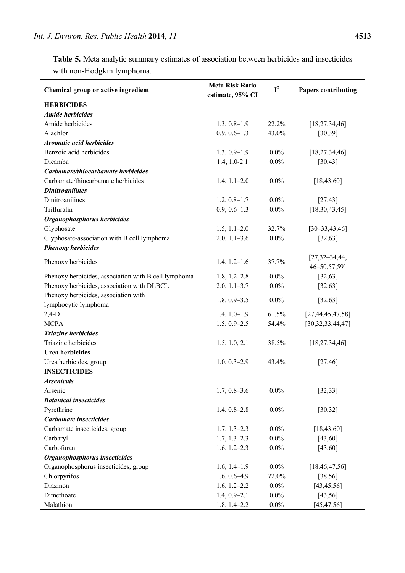**Table 5.** Meta analytic summary estimates of association between herbicides and insecticides with non-Hodgkin lymphoma.

| Chemical group or active ingredient                  | <b>Meta Risk Ratio</b><br>estimate, 95% CI | $I^2$   | <b>Papers contributing</b> |
|------------------------------------------------------|--------------------------------------------|---------|----------------------------|
| <b>HERBICIDES</b>                                    |                                            |         |                            |
| <b>Amide herbicides</b>                              |                                            |         |                            |
| Amide herbicides                                     | $1.3, 0.8 - 1.9$                           | 22.2%   | [18, 27, 34, 46]           |
| Alachlor                                             | $0.9, 0.6 - 1.3$                           | 43.0%   | [30, 39]                   |
| <b>Aromatic acid herbicides</b>                      |                                            |         |                            |
| Benzoic acid herbicides                              | $1.3, 0.9 - 1.9$                           | $0.0\%$ | [18, 27, 34, 46]           |
| Dicamba                                              | $1.4, 1.0 - 2.1$                           | $0.0\%$ | [30, 43]                   |
| Carbamate/thiocarbamate herbicides                   |                                            |         |                            |
| Carbamate/thiocarbamate herbicides                   | $1.4, 1.1 - 2.0$                           | $0.0\%$ | [18, 43, 60]               |
| <b>Dinitroanilines</b>                               |                                            |         |                            |
| Dinitroanilines                                      | $1.2, 0.8 - 1.7$                           | $0.0\%$ | [27, 43]                   |
| Trifluralin                                          | $0.9, 0.6 - 1.3$                           | $0.0\%$ | [18, 30, 43, 45]           |
| Organophosphorus herbicides                          |                                            |         |                            |
| Glyphosate                                           | $1.5, 1.1 - 2.0$                           | 32.7%   | $[30 - 33, 43, 46]$        |
| Glyphosate-association with B cell lymphoma          | $2.0, 1.1 - 3.6$                           | $0.0\%$ | [32, 63]                   |
| <b>Phenoxy herbicides</b>                            |                                            |         |                            |
|                                                      |                                            |         | $[27, 32 - 34, 44,$        |
| Phenoxy herbicides                                   | $1.4, 1.2 - 1.6$                           | 37.7%   | 46-50, 57, 59]             |
| Phenoxy herbicides, association with B cell lymphoma | $1.8, 1.2 - 2.8$                           | $0.0\%$ | [32, 63]                   |
| Phenoxy herbicides, association with DLBCL           | $2.0, 1.1 - 3.7$                           | $0.0\%$ | [32, 63]                   |
| Phenoxy herbicides, association with                 |                                            |         |                            |
| lymphocytic lymphoma                                 | $1.8, 0.9 - 3.5$                           | $0.0\%$ | [32, 63]                   |
| $2,4-D$                                              | $1.4, 1.0 - 1.9$                           | 61.5%   | [27, 44, 45, 47, 58]       |
| <b>MCPA</b>                                          | $1.5, 0.9 - 2.5$                           | 54.4%   | [30,32,33,44,47]           |
| <b>Triazine herbicides</b>                           |                                            |         |                            |
| Triazine herbicides                                  | 1.5, 1.0, 2.1                              | 38.5%   | [18, 27, 34, 46]           |
| Urea herbicides                                      |                                            |         |                            |
| Urea herbicides, group                               | $1.0, 0.3 - 2.9$                           | 43.4%   | [27, 46]                   |
| <b>INSECTICIDES</b>                                  |                                            |         |                            |
| <b>Arsenicals</b>                                    |                                            |         |                            |
| Arsenic                                              | $1.7, 0.8 - 3.6$                           | $0.0\%$ | [32, 33]                   |
| <b>Botanical insecticides</b>                        |                                            |         |                            |
| Pyrethrine                                           | $1.4, 0.8 - 2.8$                           | $0.0\%$ | [30, 32]                   |
| Carbamate insecticides                               |                                            |         |                            |
| Carbamate insecticides, group                        | $1.7, 1.3 - 2.3$                           | $0.0\%$ | [18, 43, 60]               |
| Carbaryl                                             | $1.7, 1.3 - 2.3$                           | $0.0\%$ | [43,60]                    |
| Carbofuran                                           | $1.6, 1.2 - 2.3$                           | $0.0\%$ | [43, 60]                   |
| Organophosphorus insecticides                        |                                            |         |                            |
| Organophosphorus insecticides, group                 | $1.6, 1.4 - 1.9$                           | $0.0\%$ | [18, 46, 47, 56]           |
| Chlorpyrifos                                         | $1.6, 0.6 - 4.9$                           | 72.0%   | [38, 56]                   |
| Diazinon                                             | $1.6, 1.2 - 2.2$                           | $0.0\%$ | [43, 45, 56]               |
| Dimethoate                                           | $1.4, 0.9 - 2.1$                           | $0.0\%$ | [43, 56]                   |
| Malathion                                            | $1.8, 1.4 - 2.2$                           | $0.0\%$ | [45, 47, 56]               |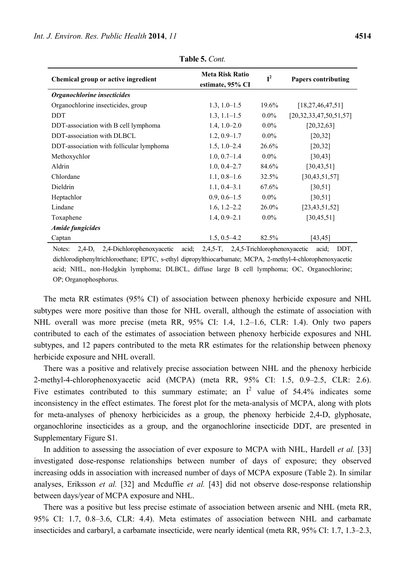| Chemical group or active ingredient                                                            | <b>Meta Risk Ratio</b><br>estimate, 95% CI | $I^2$   | <b>Papers contributing</b>   |
|------------------------------------------------------------------------------------------------|--------------------------------------------|---------|------------------------------|
| Organochlorine insecticides                                                                    |                                            |         |                              |
| Organochlorine insecticides, group                                                             | $1.3, 1.0 - 1.5$                           | 19.6%   | [18, 27, 46, 47, 51]         |
| <b>DDT</b>                                                                                     | $1.3, 1.1 - 1.5$                           | $0.0\%$ | [20, 32, 33, 47, 50, 51, 57] |
| DDT-association with B cell lymphoma                                                           | $1.4, 1.0 - 2.0$                           | $0.0\%$ | [20, 32, 63]                 |
| DDT-association with DLBCL                                                                     | $1.2, 0.9 - 1.7$                           | $0.0\%$ | $[20,32]$                    |
| DDT-association with follicular lymphoma                                                       | $1.5, 1.0 - 2.4$                           | 26.6%   | [20, 32]                     |
| Methoxychlor                                                                                   | $1.0, 0.7 - 1.4$                           | $0.0\%$ | [30, 43]                     |
| Aldrin                                                                                         | $1.0, 0.4 - 2.7$                           | 84.6%   | [30, 43, 51]                 |
| Chlordane                                                                                      | $1.1, 0.8 - 1.6$                           | 32.5%   | [30, 43, 51, 57]             |
| Dieldrin                                                                                       | $1.1, 0.4 - 3.1$                           | 67.6%   | [30, 51]                     |
| Heptachlor                                                                                     | $0.9, 0.6 - 1.5$                           | $0.0\%$ | [30, 51]                     |
| Lindane                                                                                        | $1.6, 1.2 - 2.2$                           | 26.0%   | [23, 43, 51, 52]             |
| Toxaphene                                                                                      | $1.4, 0.9 - 2.1$                           | $0.0\%$ | [30, 45, 51]                 |
| <b>Amide fungicides</b>                                                                        |                                            |         |                              |
| Captan                                                                                         | $1.5, 0.5 - 4.2$                           | 82.5%   | [43, 45]                     |
| $2.4$ D. $1.1$ and $1.4$ and $1.4$ and $1.4$<br>$M_{\text{min}}$ $\Lambda$ $\Lambda$ $\Lambda$ |                                            |         | <b>DDT</b>                   |

**Table 5.** *Cont.*

Notes: 2,4-D, 2,4-Dichlorophenoxyacetic acid; 2,4,5-T, 2,4,5-Trichlorophenoxyacetic acid; DDT, dichlorodiphenyltrichloroethane; EPTC, s-ethyl dipropylthiocarbamate; MCPA, 2-methyl-4-chlorophenoxyacetic acid; NHL, non-Hodgkin lymphoma; DLBCL, diffuse large B cell lymphoma; OC, Organochlorine; OP; Organophosphorus.

The meta RR estimates (95% CI) of association between phenoxy herbicide exposure and NHL subtypes were more positive than those for NHL overall, although the estimate of association with NHL overall was more precise (meta RR, 95% CI: 1.4, 1.2–1.6, CLR: 1.4). Only two papers contributed to each of the estimates of association between phenoxy herbicide exposures and NHL subtypes, and 12 papers contributed to the meta RR estimates for the relationship between phenoxy herbicide exposure and NHL overall.

There was a positive and relatively precise association between NHL and the phenoxy herbicide 2-methyl-4-chlorophenoxyacetic acid (MCPA) (meta RR, 95% CI: 1.5, 0.9–2.5, CLR: 2.6). Five estimates contributed to this summary estimate; an  $I^2$  value of 54.4% indicates some inconsistency in the effect estimates. The forest plot for the meta-analysis of MCPA, along with plots for meta-analyses of phenoxy herbicicides as a group, the phenoxy herbicide 2,4-D, glyphosate, organochlorine insecticides as a group, and the organochlorine insecticide DDT, are presented in Supplementary Figure S1.

In addition to assessing the association of ever exposure to MCPA with NHL, Hardell *et al.* [33] investigated dose-response relationships between number of days of exposure; they observed increasing odds in association with increased number of days of MCPA exposure (Table 2). In similar analyses, Eriksson *et al.* [32] and Mcduffie *et al.* [43] did not observe dose-response relationship between days/year of MCPA exposure and NHL.

There was a positive but less precise estimate of association between arsenic and NHL (meta RR, 95% CI: 1.7, 0.8–3.6, CLR: 4.4). Meta estimates of association between NHL and carbamate insecticides and carbaryl, a carbamate insecticide, were nearly identical (meta RR, 95% CI: 1.7, 1.3–2.3,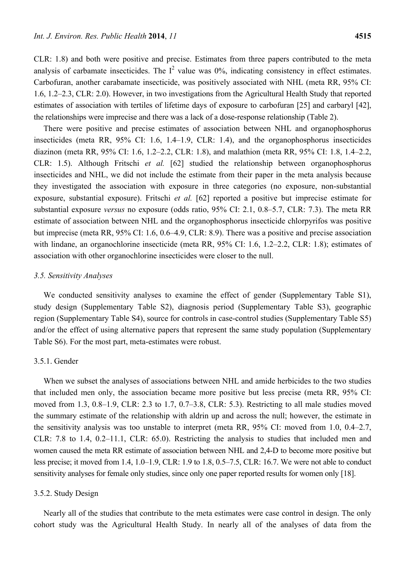CLR: 1.8) and both were positive and precise. Estimates from three papers contributed to the meta analysis of carbamate insecticides. The  $I^2$  value was  $0\%$ , indicating consistency in effect estimates. Carbofuran, another carabamate insecticide, was positively associated with NHL (meta RR, 95% CI: 1.6, 1.2–2.3, CLR: 2.0). However, in two investigations from the Agricultural Health Study that reported estimates of association with tertiles of lifetime days of exposure to carbofuran [25] and carbaryl [42], the relationships were imprecise and there was a lack of a dose-response relationship (Table 2).

There were positive and precise estimates of association between NHL and organophosphorus insecticides (meta RR, 95% CI: 1.6, 1.4–1.9, CLR: 1.4), and the organophosphorus insecticides diazinon (meta RR, 95% CI: 1.6, 1.2–2.2, CLR: 1.8), and malathion (meta RR, 95% CI: 1.8, 1.4–2.2, CLR: 1.5). Although Fritschi *et al.* [62] studied the relationship between organophosphorus insecticides and NHL, we did not include the estimate from their paper in the meta analysis because they investigated the association with exposure in three categories (no exposure, non-substantial exposure, substantial exposure). Fritschi *et al.* [62] reported a positive but imprecise estimate for substantial exposure *versus* no exposure (odds ratio, 95% CI: 2.1, 0.8–5.7, CLR: 7.3). The meta RR estimate of association between NHL and the organophosphorus insecticide chlorpyrifos was positive but imprecise (meta RR, 95% CI: 1.6, 0.6–4.9, CLR: 8.9). There was a positive and precise association with lindane, an organochlorine insecticide (meta RR, 95% CI: 1.6, 1.2–2.2, CLR: 1.8); estimates of association with other organochlorine insecticides were closer to the null.

### *3.5. Sensitivity Analyses*

We conducted sensitivity analyses to examine the effect of gender (Supplementary Table S1), study design (Supplementary Table S2), diagnosis period (Supplementary Table S3), geographic region (Supplementary Table S4), source for controls in case-control studies (Supplementary Table S5) and/or the effect of using alternative papers that represent the same study population (Supplementary Table S6). For the most part, meta-estimates were robust.

## 3.5.1. Gender

When we subset the analyses of associations between NHL and amide herbicides to the two studies that included men only, the association became more positive but less precise (meta RR, 95% CI: moved from 1.3, 0.8–1.9, CLR: 2.3 to 1.7, 0.7–3.8, CLR: 5.3). Restricting to all male studies moved the summary estimate of the relationship with aldrin up and across the null; however, the estimate in the sensitivity analysis was too unstable to interpret (meta RR, 95% CI: moved from 1.0, 0.4–2.7, CLR: 7.8 to 1.4, 0.2–11.1, CLR: 65.0). Restricting the analysis to studies that included men and women caused the meta RR estimate of association between NHL and 2,4-D to become more positive but less precise; it moved from 1.4, 1.0–1.9, CLR: 1.9 to 1.8, 0.5–7.5, CLR: 16.7. We were not able to conduct sensitivity analyses for female only studies, since only one paper reported results for women only [18].

#### 3.5.2. Study Design

Nearly all of the studies that contribute to the meta estimates were case control in design. The only cohort study was the Agricultural Health Study. In nearly all of the analyses of data from the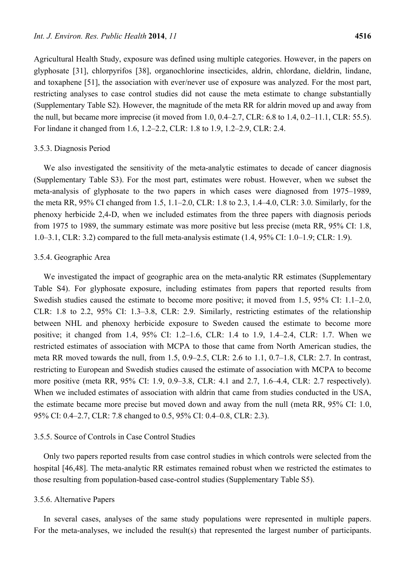Agricultural Health Study, exposure was defined using multiple categories. However, in the papers on glyphosate [31], chlorpyrifos [38], organochlorine insecticides, aldrin, chlordane, dieldrin, lindane, and toxaphene [51], the association with ever/never use of exposure was analyzed. For the most part, restricting analyses to case control studies did not cause the meta estimate to change substantially (Supplementary Table S2). However, the magnitude of the meta RR for aldrin moved up and away from the null, but became more imprecise (it moved from 1.0, 0.4–2.7, CLR: 6.8 to 1.4, 0.2–11.1, CLR: 55.5). For lindane it changed from 1.6, 1.2–2.2, CLR: 1.8 to 1.9, 1.2–2.9, CLR: 2.4.

#### 3.5.3. Diagnosis Period

We also investigated the sensitivity of the meta-analytic estimates to decade of cancer diagnosis (Supplementary Table S3). For the most part, estimates were robust. However, when we subset the meta-analysis of glyphosate to the two papers in which cases were diagnosed from 1975–1989, the meta RR, 95% CI changed from 1.5, 1.1–2.0, CLR: 1.8 to 2.3, 1.4–4.0, CLR: 3.0. Similarly, for the phenoxy herbicide 2,4-D, when we included estimates from the three papers with diagnosis periods from 1975 to 1989, the summary estimate was more positive but less precise (meta RR, 95% CI: 1.8, 1.0–3.1, CLR: 3.2) compared to the full meta-analysis estimate (1.4, 95% CI: 1.0–1.9; CLR: 1.9).

#### 3.5.4. Geographic Area

We investigated the impact of geographic area on the meta-analytic RR estimates (Supplementary Table S4). For glyphosate exposure, including estimates from papers that reported results from Swedish studies caused the estimate to become more positive; it moved from 1.5, 95% CI: 1.1–2.0, CLR: 1.8 to 2.2, 95% CI: 1.3–3.8, CLR: 2.9. Similarly, restricting estimates of the relationship between NHL and phenoxy herbicide exposure to Sweden caused the estimate to become more positive; it changed from 1.4, 95% CI: 1.2–1.6, CLR: 1.4 to 1.9, 1.4–2.4, CLR: 1.7. When we restricted estimates of association with MCPA to those that came from North American studies, the meta RR moved towards the null, from 1.5, 0.9–2.5, CLR: 2.6 to 1.1, 0.7–1.8, CLR: 2.7. In contrast, restricting to European and Swedish studies caused the estimate of association with MCPA to become more positive (meta RR, 95% CI: 1.9, 0.9–3.8, CLR: 4.1 and 2.7, 1.6–4.4, CLR: 2.7 respectively). When we included estimates of association with aldrin that came from studies conducted in the USA, the estimate became more precise but moved down and away from the null (meta RR, 95% CI: 1.0, 95% CI: 0.4–2.7, CLR: 7.8 changed to 0.5, 95% CI: 0.4–0.8, CLR: 2.3).

## 3.5.5. Source of Controls in Case Control Studies

Only two papers reported results from case control studies in which controls were selected from the hospital [46,48]. The meta-analytic RR estimates remained robust when we restricted the estimates to those resulting from population-based case-control studies (Supplementary Table S5).

#### 3.5.6. Alternative Papers

In several cases, analyses of the same study populations were represented in multiple papers. For the meta-analyses, we included the result(s) that represented the largest number of participants.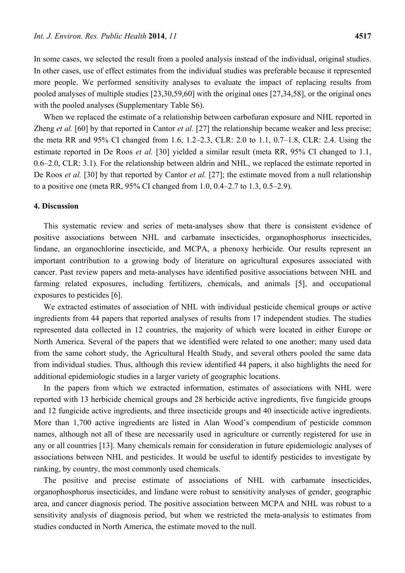In some cases, we selected the result from a pooled analysis instead of the individual, original studies. In other cases, use of effect estimates from the individual studies was preferable because it represented more people. We performed sensitivity analyses to evaluate the impact of replacing results from pooled analyses of multiple studies [23,30,59,60] with the original ones [27,34,58], or the original ones with the pooled analyses (Supplementary Table S6).

When we replaced the estimate of a relationship between carbofuran exposure and NHL reported in Zheng *et al.* [60] by that reported in Cantor *et al.* [27] the relationship became weaker and less precise; the meta RR and 95% CI changed from 1.6, 1.2–2.3, CLR: 2.0 to 1.1, 0.7–1.8, CLR: 2.4. Using the estimate reported in De Roos *et al.* [30] yielded a similar result (meta RR, 95% CI changed to 1.1, 0.6–2.0, CLR: 3.1). For the relationship between aldrin and NHL, we replaced the estimate reported in De Roos *et al.* [30] by that reported by Cantor *et al.* [27]; the estimate moved from a null relationship to a positive one (meta RR, 95% CI changed from 1.0, 0.4–2.7 to 1.3, 0.5–2.9).

## **4. Discussion**

This systematic review and series of meta-analyses show that there is consistent evidence of positive associations between NHL and carbamate insecticides, organophosphorus insecticides, lindane, an organochlorine insecticide, and MCPA, a phenoxy herbicide. Our results represent an important contribution to a growing body of literature on agricultural exposures associated with cancer. Past review papers and meta-analyses have identified positive associations between NHL and farming related exposures, including fertilizers, chemicals, and animals [5], and occupational exposures to pesticides [6].

We extracted estimates of association of NHL with individual pesticide chemical groups or active ingredients from 44 papers that reported analyses of results from 17 independent studies. The studies represented data collected in 12 countries, the majority of which were located in either Europe or North America. Several of the papers that we identified were related to one another; many used data from the same cohort study, the Agricultural Health Study, and several others pooled the same data from individual studies. Thus, although this review identified 44 papers, it also highlights the need for additional epidemiologic studies in a larger variety of geographic locations.

In the papers from which we extracted information, estimates of associations with NHL were reported with 13 herbicide chemical groups and 28 herbicide active ingredients, five fungicide groups and 12 fungicide active ingredients, and three insecticide groups and 40 insecticide active ingredients. More than 1,700 active ingredients are listed in Alan Wood's compendium of pesticide common names, although not all of these are necessarily used in agriculture or currently registered for use in any or all countries [13]. Many chemicals remain for consideration in future epidemiologic analyses of associations between NHL and pesticides. It would be useful to identify pesticides to investigate by ranking, by country, the most commonly used chemicals.

The positive and precise estimate of associations of NHL with carbamate insecticides, organophosphorus insecticides, and lindane were robust to sensitivity analyses of gender, geographic area, and cancer diagnosis period. The positive association between MCPA and NHL was robust to a sensitivity analysis of diagnosis period, but when we restricted the meta-analysis to estimates from studies conducted in North America, the estimate moved to the null.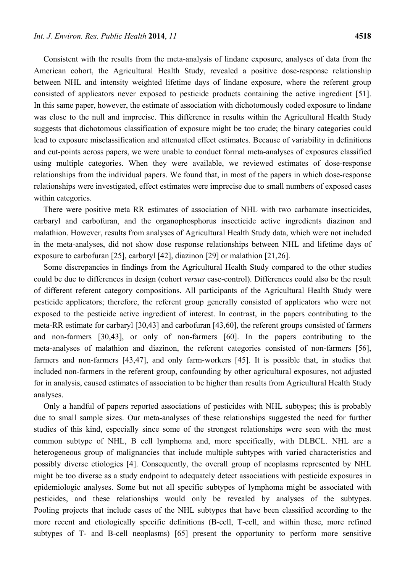Consistent with the results from the meta-analysis of lindane exposure, analyses of data from the American cohort, the Agricultural Health Study, revealed a positive dose-response relationship between NHL and intensity weighted lifetime days of lindane exposure, where the referent group consisted of applicators never exposed to pesticide products containing the active ingredient [51]. In this same paper, however, the estimate of association with dichotomously coded exposure to lindane was close to the null and imprecise. This difference in results within the Agricultural Health Study suggests that dichotomous classification of exposure might be too crude; the binary categories could lead to exposure misclassification and attenuated effect estimates. Because of variability in definitions and cut-points across papers, we were unable to conduct formal meta-analyses of exposures classified using multiple categories. When they were available, we reviewed estimates of dose-response relationships from the individual papers. We found that, in most of the papers in which dose-response relationships were investigated, effect estimates were imprecise due to small numbers of exposed cases within categories.

There were positive meta RR estimates of association of NHL with two carbamate insecticides, carbaryl and carbofuran, and the organophosphorus insecticide active ingredients diazinon and malathion. However, results from analyses of Agricultural Health Study data, which were not included in the meta-analyses, did not show dose response relationships between NHL and lifetime days of exposure to carbofuran [25], carbaryl [42], diazinon [29] or malathion [21,26].

Some discrepancies in findings from the Agricultural Health Study compared to the other studies could be due to differences in design (cohort *versus* case-control). Differences could also be the result of different referent category compositions. All participants of the Agricultural Health Study were pesticide applicators; therefore, the referent group generally consisted of applicators who were not exposed to the pesticide active ingredient of interest. In contrast, in the papers contributing to the meta-RR estimate for carbaryl [30,43] and carbofuran [43,60], the referent groups consisted of farmers and non-farmers [30,43], or only of non-farmers [60]. In the papers contributing to the meta-analyses of malathion and diazinon, the referent categories consisted of non-farmers [56], farmers and non-farmers [43,47], and only farm-workers [45]. It is possible that, in studies that included non-farmers in the referent group, confounding by other agricultural exposures, not adjusted for in analysis, caused estimates of association to be higher than results from Agricultural Health Study analyses.

Only a handful of papers reported associations of pesticides with NHL subtypes; this is probably due to small sample sizes. Our meta-analyses of these relationships suggested the need for further studies of this kind, especially since some of the strongest relationships were seen with the most common subtype of NHL, B cell lymphoma and, more specifically, with DLBCL. NHL are a heterogeneous group of malignancies that include multiple subtypes with varied characteristics and possibly diverse etiologies [4]. Consequently, the overall group of neoplasms represented by NHL might be too diverse as a study endpoint to adequately detect associations with pesticide exposures in epidemiologic analyses. Some but not all specific subtypes of lymphoma might be associated with pesticides, and these relationships would only be revealed by analyses of the subtypes. Pooling projects that include cases of the NHL subtypes that have been classified according to the more recent and etiologically specific definitions (B-cell, T-cell, and within these, more refined subtypes of T- and B-cell neoplasms) [65] present the opportunity to perform more sensitive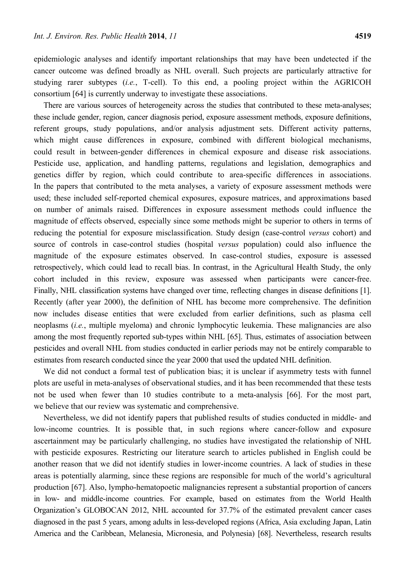epidemiologic analyses and identify important relationships that may have been undetected if the cancer outcome was defined broadly as NHL overall. Such projects are particularly attractive for studying rarer subtypes (*i.e.*, T-cell). To this end, a pooling project within the AGRICOH consortium [64] is currently underway to investigate these associations.

There are various sources of heterogeneity across the studies that contributed to these meta-analyses; these include gender, region, cancer diagnosis period, exposure assessment methods, exposure definitions, referent groups, study populations, and/or analysis adjustment sets. Different activity patterns, which might cause differences in exposure, combined with different biological mechanisms, could result in between-gender differences in chemical exposure and disease risk associations. Pesticide use, application, and handling patterns, regulations and legislation, demographics and genetics differ by region, which could contribute to area-specific differences in associations. In the papers that contributed to the meta analyses, a variety of exposure assessment methods were used; these included self-reported chemical exposures, exposure matrices, and approximations based on number of animals raised. Differences in exposure assessment methods could influence the magnitude of effects observed, especially since some methods might be superior to others in terms of reducing the potential for exposure misclassification. Study design (case-control *versus* cohort) and source of controls in case-control studies (hospital *versus* population) could also influence the magnitude of the exposure estimates observed. In case-control studies, exposure is assessed retrospectively, which could lead to recall bias. In contrast, in the Agricultural Health Study, the only cohort included in this review, exposure was assessed when participants were cancer-free. Finally, NHL classification systems have changed over time, reflecting changes in disease definitions [1]. Recently (after year 2000), the definition of NHL has become more comprehensive. The definition now includes disease entities that were excluded from earlier definitions, such as plasma cell neoplasms (*i.e.*, multiple myeloma) and chronic lymphocytic leukemia. These malignancies are also among the most frequently reported sub-types within NHL [65]. Thus, estimates of association between pesticides and overall NHL from studies conducted in earlier periods may not be entirely comparable to estimates from research conducted since the year 2000 that used the updated NHL definition.

We did not conduct a formal test of publication bias; it is unclear if asymmetry tests with funnel plots are useful in meta-analyses of observational studies, and it has been recommended that these tests not be used when fewer than 10 studies contribute to a meta-analysis [66]. For the most part, we believe that our review was systematic and comprehensive.

Nevertheless, we did not identify papers that published results of studies conducted in middle- and low-income countries. It is possible that, in such regions where cancer-follow and exposure ascertainment may be particularly challenging, no studies have investigated the relationship of NHL with pesticide exposures. Restricting our literature search to articles published in English could be another reason that we did not identify studies in lower-income countries. A lack of studies in these areas is potentially alarming, since these regions are responsible for much of the world's agricultural production [67]. Also, lympho-hematopoetic malignancies represent a substantial proportion of cancers in low- and middle-income countries. For example, based on estimates from the World Health Organization's GLOBOCAN 2012, NHL accounted for 37.7% of the estimated prevalent cancer cases diagnosed in the past 5 years, among adults in less-developed regions (Africa, Asia excluding Japan, Latin America and the Caribbean, Melanesia, Micronesia, and Polynesia) [68]. Nevertheless, research results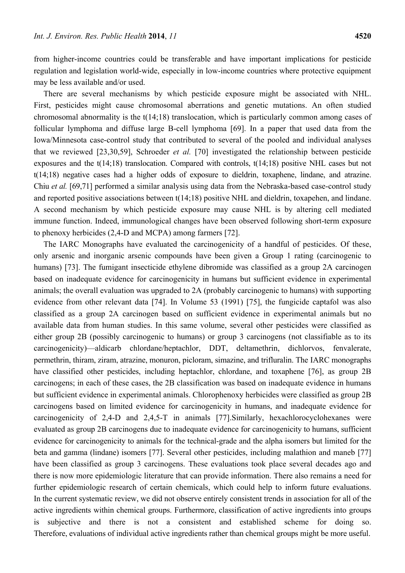from higher-income countries could be transferable and have important implications for pesticide regulation and legislation world-wide, especially in low-income countries where protective equipment may be less available and/or used.

There are several mechanisms by which pesticide exposure might be associated with NHL. First, pesticides might cause chromosomal aberrations and genetic mutations. An often studied chromosomal abnormality is the t(14;18) translocation, which is particularly common among cases of follicular lymphoma and diffuse large B-cell lymphoma [69]. In a paper that used data from the Iowa/Minnesota case-control study that contributed to several of the pooled and individual analyses that we reviewed [23,30,59], Schroeder *et al.* [70] investigated the relationship between pesticide exposures and the t(14;18) translocation. Compared with controls, t(14;18) positive NHL cases but not t(14;18) negative cases had a higher odds of exposure to dieldrin, toxaphene, lindane, and atrazine. Chiu *et al.* [69,71] performed a similar analysis using data from the Nebraska-based case-control study and reported positive associations between t(14;18) positive NHL and dieldrin, toxapehen, and lindane. A second mechanism by which pesticide exposure may cause NHL is by altering cell mediated immune function. Indeed, immunological changes have been observed following short-term exposure to phenoxy herbicides (2,4-D and MCPA) among farmers [72].

The IARC Monographs have evaluated the carcinogenicity of a handful of pesticides. Of these, only arsenic and inorganic arsenic compounds have been given a Group 1 rating (carcinogenic to humans) [73]. The fumigant insecticide ethylene dibromide was classified as a group 2A carcinogen based on inadequate evidence for carcinogenicity in humans but sufficient evidence in experimental animals; the overall evaluation was upgraded to 2A (probably carcinogenic to humans) with supporting evidence from other relevant data [74]. In Volume 53 (1991) [75], the fungicide captafol was also classified as a group 2A carcinogen based on sufficient evidence in experimental animals but no available data from human studies. In this same volume, several other pesticides were classified as either group 2B (possibly carcinogenic to humans) or group 3 carcinogens (not classifiable as to its carcinogenicity)—aldicarb chlordane/heptachlor, DDT, deltamethrin, dichlorvos, fenvalerate, permethrin, thiram, ziram, atrazine, monuron, picloram, simazine, and trifluralin. The IARC monographs have classified other pesticides, including heptachlor, chlordane, and toxaphene [76], as group 2B carcinogens; in each of these cases, the 2B classification was based on inadequate evidence in humans but sufficient evidence in experimental animals. Chlorophenoxy herbicides were classified as group 2B carcinogens based on limited evidence for carcinogenicity in humans, and inadequate evidence for carcinogenicity of 2,4-D and 2,4,5-T in animals [77].Similarly, hexachlorocyclohexanes were evaluated as group 2B carcinogens due to inadequate evidence for carcinogenicity to humans, sufficient evidence for carcinogenicity to animals for the technical-grade and the alpha isomers but limited for the beta and gamma (lindane) isomers [77]. Several other pesticides, including malathion and maneb [77] have been classified as group 3 carcinogens. These evaluations took place several decades ago and there is now more epidemiologic literature that can provide information. There also remains a need for further epidemiologic research of certain chemicals, which could help to inform future evaluations. In the current systematic review, we did not observe entirely consistent trends in association for all of the active ingredients within chemical groups. Furthermore, classification of active ingredients into groups is subjective and there is not a consistent and established scheme for doing so. Therefore, evaluations of individual active ingredients rather than chemical groups might be more useful.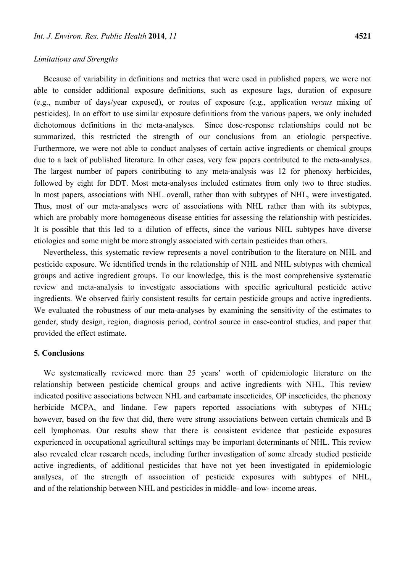## *Limitations and Strengths*

Because of variability in definitions and metrics that were used in published papers, we were not able to consider additional exposure definitions, such as exposure lags, duration of exposure (e.g., number of days/year exposed), or routes of exposure (e.g., application *versus* mixing of pesticides). In an effort to use similar exposure definitions from the various papers, we only included dichotomous definitions in the meta-analyses. Since dose-response relationships could not be summarized, this restricted the strength of our conclusions from an etiologic perspective. Furthermore, we were not able to conduct analyses of certain active ingredients or chemical groups due to a lack of published literature. In other cases, very few papers contributed to the meta-analyses. The largest number of papers contributing to any meta-analysis was 12 for phenoxy herbicides, followed by eight for DDT. Most meta-analyses included estimates from only two to three studies. In most papers, associations with NHL overall, rather than with subtypes of NHL, were investigated. Thus, most of our meta-analyses were of associations with NHL rather than with its subtypes, which are probably more homogeneous disease entities for assessing the relationship with pesticides. It is possible that this led to a dilution of effects, since the various NHL subtypes have diverse etiologies and some might be more strongly associated with certain pesticides than others.

Nevertheless, this systematic review represents a novel contribution to the literature on NHL and pesticide exposure. We identified trends in the relationship of NHL and NHL subtypes with chemical groups and active ingredient groups. To our knowledge, this is the most comprehensive systematic review and meta-analysis to investigate associations with specific agricultural pesticide active ingredients. We observed fairly consistent results for certain pesticide groups and active ingredients. We evaluated the robustness of our meta-analyses by examining the sensitivity of the estimates to gender, study design, region, diagnosis period, control source in case-control studies, and paper that provided the effect estimate.

## **5. Conclusions**

We systematically reviewed more than 25 years' worth of epidemiologic literature on the relationship between pesticide chemical groups and active ingredients with NHL. This review indicated positive associations between NHL and carbamate insecticides, OP insecticides, the phenoxy herbicide MCPA, and lindane. Few papers reported associations with subtypes of NHL; however, based on the few that did, there were strong associations between certain chemicals and B cell lymphomas. Our results show that there is consistent evidence that pesticide exposures experienced in occupational agricultural settings may be important determinants of NHL. This review also revealed clear research needs, including further investigation of some already studied pesticide active ingredients, of additional pesticides that have not yet been investigated in epidemiologic analyses, of the strength of association of pesticide exposures with subtypes of NHL, and of the relationship between NHL and pesticides in middle- and low- income areas.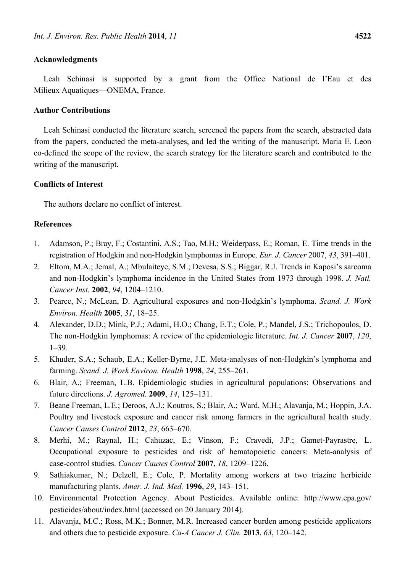#### **Acknowledgments**

Leah Schinasi is supported by a grant from the Office National de l'Eau et des Milieux Aquatiques—ONEMA, France.

# **Author Contributions**

Leah Schinasi conducted the literature search, screened the papers from the search, abstracted data from the papers, conducted the meta-analyses, and led the writing of the manuscript. Maria E. Leon co-defined the scope of the review, the search strategy for the literature search and contributed to the writing of the manuscript.

## **Conflicts of Interest**

The authors declare no conflict of interest.

### **References**

- 1. Adamson, P.; Bray, F.; Costantini, A.S.; Tao, M.H.; Weiderpass, E.; Roman, E. Time trends in the registration of Hodgkin and non-Hodgkin lymphomas in Europe. *Eur. J. Cancer* 2007, *43*, 391–401.
- 2. Eltom, M.A.; Jemal, A.; Mbulaiteye, S.M.; Devesa, S.S.; Biggar, R.J. Trends in Kaposi's sarcoma and non-Hodgkin's lymphoma incidence in the United States from 1973 through 1998. *J. Natl. Cancer Inst.* **2002**, *94*, 1204–1210.
- 3. Pearce, N.; McLean, D. Agricultural exposures and non-Hodgkin's lymphoma. *Scand. J. Work Environ. Health* **2005**, *31*, 18–25.
- 4. Alexander, D.D.; Mink, P.J.; Adami, H.O.; Chang, E.T.; Cole, P.; Mandel, J.S.; Trichopoulos, D. The non-Hodgkin lymphomas: A review of the epidemiologic literature. *Int. J. Cancer* **2007**, *120*, 1–39.
- 5. Khuder, S.A.; Schaub, E.A.; Keller-Byrne, J.E. Meta-analyses of non-Hodgkin's lymphoma and farming. *Scand. J. Work Environ. Health* **1998**, *24*, 255–261.
- 6. Blair, A.; Freeman, L.B. Epidemiologic studies in agricultural populations: Observations and future directions. *J. Agromed.* **2009**, *14*, 125–131.
- 7. Beane Freeman, L.E.; Deroos, A.J.; Koutros, S.; Blair, A.; Ward, M.H.; Alavanja, M.; Hoppin, J.A. Poultry and livestock exposure and cancer risk among farmers in the agricultural health study. *Cancer Causes Control* **2012**, *23*, 663–670.
- 8. Merhi, M.; Raynal, H.; Cahuzac, E.; Vinson, F.; Cravedi, J.P.; Gamet-Payrastre, L. Occupational exposure to pesticides and risk of hematopoietic cancers: Meta-analysis of case-control studies. *Cancer Causes Control* **2007**, *18*, 1209–1226.
- 9. Sathiakumar, N.; Delzell, E.; Cole, P. Mortality among workers at two triazine herbicide manufacturing plants. *Amer. J. Ind. Med.* **1996**, *29*, 143–151.
- 10. Environmental Protection Agency. About Pesticides. Available online: http://www.epa.gov/ pesticides/about/index.html (accessed on 20 January 2014).
- 11. Alavanja, M.C.; Ross, M.K.; Bonner, M.R. Increased cancer burden among pesticide applicators and others due to pesticide exposure. *Ca-A Cancer J. Clin.* **2013**, *63*, 120–142.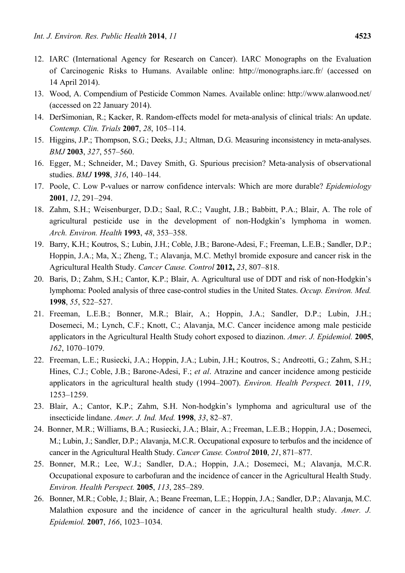- 12. IARC (International Agency for Research on Cancer). IARC Monographs on the Evaluation of Carcinogenic Risks to Humans. Available online: http://monographs.iarc.fr/ (accessed on 14 April 2014).
- 13. Wood, A. Compendium of Pesticide Common Names. Available online: http://www.alanwood.net/ (accessed on 22 January 2014).
- 14. DerSimonian, R.; Kacker, R. Random-effects model for meta-analysis of clinical trials: An update. *Contemp. Clin. Trials* **2007**, *28*, 105–114.
- 15. Higgins, J.P.; Thompson, S.G.; Deeks, J.J.; Altman, D.G. Measuring inconsistency in meta-analyses. *BMJ* **2003**, *327*, 557–560.
- 16. Egger, M.; Schneider, M.; Davey Smith, G. Spurious precision? Meta-analysis of observational studies. *BMJ* **1998**, *316*, 140–144.
- 17. Poole, C. Low P-values or narrow confidence intervals: Which are more durable? *Epidemiology*  **2001**, *12*, 291–294.
- 18. Zahm, S.H.; Weisenburger, D.D.; Saal, R.C.; Vaught, J.B.; Babbitt, P.A.; Blair, A. The role of agricultural pesticide use in the development of non-Hodgkin's lymphoma in women. *Arch. Environ. Health* **1993**, *48*, 353–358.
- 19. Barry, K.H.; Koutros, S.; Lubin, J.H.; Coble, J.B.; Barone-Adesi, F.; Freeman, L.E.B.; Sandler, D.P.; Hoppin, J.A.; Ma, X.; Zheng, T.; Alavanja, M.C. Methyl bromide exposure and cancer risk in the Agricultural Health Study. *Cancer Cause. Control* **2012,** *23*, 807–818.
- 20. Baris, D.; Zahm, S.H.; Cantor, K.P.; Blair, A. Agricultural use of DDT and risk of non-Hodgkin's lymphoma: Pooled analysis of three case-control studies in the United States. *Occup. Environ. Med.*  **1998**, *55*, 522–527.
- 21. Freeman, L.E.B.; Bonner, M.R.; Blair, A.; Hoppin, J.A.; Sandler, D.P.; Lubin, J.H.; Dosemeci, M.; Lynch, C.F.; Knott, C.; Alavanja, M.C. Cancer incidence among male pesticide applicators in the Agricultural Health Study cohort exposed to diazinon. *Amer. J. Epidemiol.* **2005**, *162*, 1070–1079.
- 22. Freeman, L.E.; Rusiecki, J.A.; Hoppin, J.A.; Lubin, J.H.; Koutros, S.; Andreotti, G.; Zahm, S.H.; Hines, C.J.; Coble, J.B.; Barone-Adesi, F.; *et al*. Atrazine and cancer incidence among pesticide applicators in the agricultural health study (1994–2007). *Environ. Health Perspect.* **2011**, *119*, 1253–1259.
- 23. Blair, A.; Cantor, K.P.; Zahm, S.H. Non-hodgkin's lymphoma and agricultural use of the insecticide lindane. *Amer. J. Ind. Med.* **1998**, *33*, 82–87.
- 24. Bonner, M.R.; Williams, B.A.; Rusiecki, J.A.; Blair, A.; Freeman, L.E.B.; Hoppin, J.A.; Dosemeci, M.; Lubin, J.; Sandler, D.P.; Alavanja, M.C.R. Occupational exposure to terbufos and the incidence of cancer in the Agricultural Health Study. *Cancer Cause. Control* **2010**, *21*, 871–877.
- 25. Bonner, M.R.; Lee, W.J.; Sandler, D.A.; Hoppin, J.A.; Dosemeci, M.; Alavanja, M.C.R. Occupational exposure to carbofuran and the incidence of cancer in the Agricultural Health Study. *Environ. Health Perspect.* **2005**, *113*, 285–289.
- 26. Bonner, M.R.; Coble, J.; Blair, A.; Beane Freeman, L.E.; Hoppin, J.A.; Sandler, D.P.; Alavanja, M.C. Malathion exposure and the incidence of cancer in the agricultural health study. *Amer. J. Epidemiol.* **2007**, *166*, 1023–1034.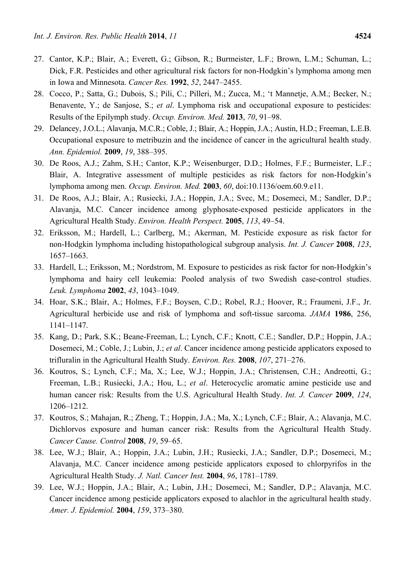- 27. Cantor, K.P.; Blair, A.; Everett, G.; Gibson, R.; Burmeister, L.F.; Brown, L.M.; Schuman, L.; Dick, F.R. Pesticides and other agricultural risk factors for non-Hodgkin's lymphoma among men in Iowa and Minnesota. *Cancer Res.* **1992**, *52*, 2447–2455.
- 28. Cocco, P.; Satta, G.; Dubois, S.; Pili, C.; Pilleri, M.; Zucca, M.; 't Mannetje, A.M.; Becker, N.; Benavente, Y.; de Sanjose, S.; *et al*. Lymphoma risk and occupational exposure to pesticides: Results of the Epilymph study. *Occup. Environ. Med.* **2013**, *70*, 91–98.
- 29. Delancey, J.O.L.; Alavanja, M.C.R.; Coble, J.; Blair, A.; Hoppin, J.A.; Austin, H.D.; Freeman, L.E.B. Occupational exposure to metribuzin and the incidence of cancer in the agricultural health study. *Ann. Epidemiol.* **2009**, *19*, 388–395.
- 30. De Roos, A.J.; Zahm, S.H.; Cantor, K.P.; Weisenburger, D.D.; Holmes, F.F.; Burmeister, L.F.; Blair, A. Integrative assessment of multiple pesticides as risk factors for non-Hodgkin's lymphoma among men. *Occup. Environ. Med.* **2003**, *60*, doi:10.1136/oem.60.9.e11.
- 31. De Roos, A.J.; Blair, A.; Rusiecki, J.A.; Hoppin, J.A.; Svec, M.; Dosemeci, M.; Sandler, D.P.; Alavanja, M.C. Cancer incidence among glyphosate-exposed pesticide applicators in the Agricultural Health Study. *Environ. Health Perspect.* **2005**, *113*, 49–54.
- 32. Eriksson, M.; Hardell, L.; Carlberg, M.; Akerman, M. Pesticide exposure as risk factor for non-Hodgkin lymphoma including histopathological subgroup analysis. *Int. J. Cancer* **2008**, *123*, 1657–1663.
- 33. Hardell, L.; Eriksson, M.; Nordstrom, M. Exposure to pesticides as risk factor for non-Hodgkin's lymphoma and hairy cell leukemia: Pooled analysis of two Swedish case-control studies. *Leuk. Lymphoma* **2002**, *43*, 1043–1049.
- 34. Hoar, S.K.; Blair, A.; Holmes, F.F.; Boysen, C.D.; Robel, R.J.; Hoover, R.; Fraumeni, J.F., Jr. Agricultural herbicide use and risk of lymphoma and soft-tissue sarcoma. *JAMA* **1986**, 256, 1141–1147.
- 35. Kang, D.; Park, S.K.; Beane-Freeman, L.; Lynch, C.F.; Knott, C.E.; Sandler, D.P.; Hoppin, J.A.; Dosemeci, M.; Coble, J.; Lubin, J.; *et al*. Cancer incidence among pesticide applicators exposed to trifluralin in the Agricultural Health Study. *Environ. Res.* **2008**, *107*, 271–276.
- 36. Koutros, S.; Lynch, C.F.; Ma, X.; Lee, W.J.; Hoppin, J.A.; Christensen, C.H.; Andreotti, G.; Freeman, L.B.; Rusiecki, J.A.; Hou, L.; *et al*. Heterocyclic aromatic amine pesticide use and human cancer risk: Results from the U.S. Agricultural Health Study. *Int. J. Cancer* **2009**, *124*, 1206–1212.
- 37. Koutros, S.; Mahajan, R.; Zheng, T.; Hoppin, J.A.; Ma, X.; Lynch, C.F.; Blair, A.; Alavanja, M.C. Dichlorvos exposure and human cancer risk: Results from the Agricultural Health Study. *Cancer Cause. Control* **2008**, *19*, 59–65.
- 38. Lee, W.J.; Blair, A.; Hoppin, J.A.; Lubin, J.H.; Rusiecki, J.A.; Sandler, D.P.; Dosemeci, M.; Alavanja, M.C. Cancer incidence among pesticide applicators exposed to chlorpyrifos in the Agricultural Health Study. *J. Natl. Cancer Inst.* **2004**, *96*, 1781–1789.
- 39. Lee, W.J.; Hoppin, J.A.; Blair, A.; Lubin, J.H.; Dosemeci, M.; Sandler, D.P.; Alavanja, M.C. Cancer incidence among pesticide applicators exposed to alachlor in the agricultural health study. *Amer. J. Epidemiol.* **2004**, *159*, 373–380.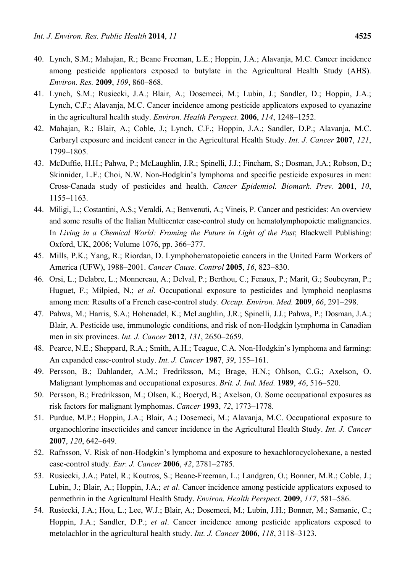- 40. Lynch, S.M.; Mahajan, R.; Beane Freeman, L.E.; Hoppin, J.A.; Alavanja, M.C. Cancer incidence among pesticide applicators exposed to butylate in the Agricultural Health Study (AHS). *Environ. Res.* **2009**, *109*, 860–868.
- 41. Lynch, S.M.; Rusiecki, J.A.; Blair, A.; Dosemeci, M.; Lubin, J.; Sandler, D.; Hoppin, J.A.; Lynch, C.F.; Alavanja, M.C. Cancer incidence among pesticide applicators exposed to cyanazine in the agricultural health study. *Environ. Health Perspect.* **2006**, *114*, 1248–1252.
- 42. Mahajan, R.; Blair, A.; Coble, J.; Lynch, C.F.; Hoppin, J.A.; Sandler, D.P.; Alavanja, M.C. Carbaryl exposure and incident cancer in the Agricultural Health Study. *Int. J. Cancer* **2007**, *121*, 1799–1805.
- 43. McDuffie, H.H.; Pahwa, P.; McLaughlin, J.R.; Spinelli, J.J.; Fincham, S.; Dosman, J.A.; Robson, D.; Skinnider, L.F.; Choi, N.W. Non-Hodgkin's lymphoma and specific pesticide exposures in men: Cross-Canada study of pesticides and health. *Cancer Epidemiol. Biomark. Prev.* **2001**, *10*, 1155–1163.
- 44. Miligi, L.; Costantini, A.S.; Veraldi, A.; Benvenuti, A.; Vineis, P. Cancer and pesticides: An overview and some results of the Italian Multicenter case-control study on hematolymphopoietic malignancies. In *Living in a Chemical World: Framing the Future in Light of the Past*; Blackwell Publishing: Oxford, UK, 2006; Volume 1076, pp. 366–377.
- 45. Mills, P.K.; Yang, R.; Riordan, D. Lymphohematopoietic cancers in the United Farm Workers of America (UFW), 1988–2001. *Cancer Cause. Control* **2005**, *16*, 823–830.
- 46. Orsi, L.; Delabre, L.; Monnereau, A.; Delval, P.; Berthou, C.; Fenaux, P.; Marit, G.; Soubeyran, P.; Huguet, F.; Milpied, N.; *et al*. Occupational exposure to pesticides and lymphoid neoplasms among men: Results of a French case-control study. *Occup. Environ. Med.* **2009**, *66*, 291–298.
- 47. Pahwa, M.; Harris, S.A.; Hohenadel, K.; McLaughlin, J.R.; Spinelli, J.J.; Pahwa, P.; Dosman, J.A.; Blair, A. Pesticide use, immunologic conditions, and risk of non-Hodgkin lymphoma in Canadian men in six provinces. *Int. J. Cancer* **2012**, *131*, 2650–2659.
- 48. Pearce, N.E.; Sheppard, R.A.; Smith, A.H.; Teague, C.A. Non-Hodgkin's lymphoma and farming: An expanded case-control study. *Int. J. Cancer* **1987**, *39*, 155–161.
- 49. Persson, B.; Dahlander, A.M.; Fredriksson, M.; Brage, H.N.; Ohlson, C.G.; Axelson, O. Malignant lymphomas and occupational exposures. *Brit. J. Ind. Med.* **1989**, *46*, 516–520.
- 50. Persson, B.; Fredriksson, M.; Olsen, K.; Boeryd, B.; Axelson, O. Some occupational exposures as risk factors for malignant lymphomas. *Cancer* **1993**, *72*, 1773–1778.
- 51. Purdue, M.P.; Hoppin, J.A.; Blair, A.; Dosemeci, M.; Alavanja, M.C. Occupational exposure to organochlorine insecticides and cancer incidence in the Agricultural Health Study. *Int. J. Cancer*  **2007**, *120*, 642–649.
- 52. Rafnsson, V. Risk of non-Hodgkin's lymphoma and exposure to hexachlorocyclohexane, a nested case-control study. *Eur. J. Cancer* **2006**, *42*, 2781–2785.
- 53. Rusiecki, J.A.; Patel, R.; Koutros, S.; Beane-Freeman, L.; Landgren, O.; Bonner, M.R.; Coble, J.; Lubin, J.; Blair, A.; Hoppin, J.A.; *et al*. Cancer incidence among pesticide applicators exposed to permethrin in the Agricultural Health Study. *Environ. Health Perspect.* **2009**, *117*, 581–586.
- 54. Rusiecki, J.A.; Hou, L.; Lee, W.J.; Blair, A.; Dosemeci, M.; Lubin, J.H.; Bonner, M.; Samanic, C.; Hoppin, J.A.; Sandler, D.P.; *et al*. Cancer incidence among pesticide applicators exposed to metolachlor in the agricultural health study. *Int. J. Cancer* **2006**, *118*, 3118–3123.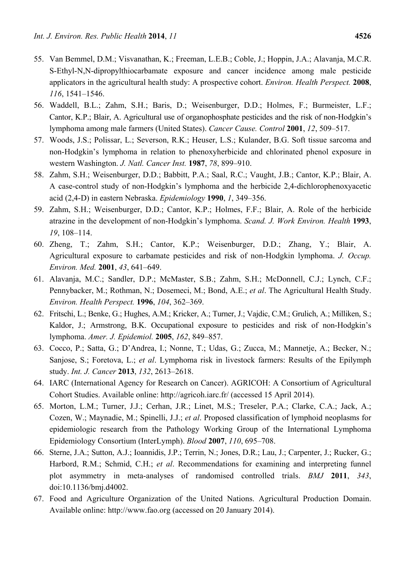- 55. Van Bemmel, D.M.; Visvanathan, K.; Freeman, L.E.B.; Coble, J.; Hoppin, J.A.; Alavanja, M.C.R. S-Ethyl-N,N-dipropylthiocarbamate exposure and cancer incidence among male pesticide applicators in the agricultural health study: A prospective cohort. *Environ. Health Perspect.* **2008**, *116*, 1541–1546.
- 56. Waddell, B.L.; Zahm, S.H.; Baris, D.; Weisenburger, D.D.; Holmes, F.; Burmeister, L.F.; Cantor, K.P.; Blair, A. Agricultural use of organophosphate pesticides and the risk of non-Hodgkin's lymphoma among male farmers (United States). *Cancer Cause. Control* **2001**, *12*, 509–517.
- 57. Woods, J.S.; Polissar, L.; Severson, R.K.; Heuser, L.S.; Kulander, B.G. Soft tissue sarcoma and non-Hodgkin's lymphoma in relation to phenoxyherbicide and chlorinated phenol exposure in western Washington. *J. Natl. Cancer Inst.* **1987**, *78*, 899–910.
- 58. Zahm, S.H.; Weisenburger, D.D.; Babbitt, P.A.; Saal, R.C.; Vaught, J.B.; Cantor, K.P.; Blair, A. A case-control study of non-Hodgkin's lymphoma and the herbicide 2,4-dichlorophenoxyacetic acid (2,4-D) in eastern Nebraska. *Epidemiology* **1990**, *1*, 349–356.
- 59. Zahm, S.H.; Weisenburger, D.D.; Cantor, K.P.; Holmes, F.F.; Blair, A. Role of the herbicide atrazine in the development of non-Hodgkin's lymphoma. *Scand. J. Work Environ. Health* **1993**, *19*, 108–114.
- 60. Zheng, T.; Zahm, S.H.; Cantor, K.P.; Weisenburger, D.D.; Zhang, Y.; Blair, A. Agricultural exposure to carbamate pesticides and risk of non-Hodgkin lymphoma. *J. Occup. Environ. Med.* **2001**, *43*, 641–649.
- 61. Alavanja, M.C.; Sandler, D.P.; McMaster, S.B.; Zahm, S.H.; McDonnell, C.J.; Lynch, C.F.; Pennybacker, M.; Rothman, N.; Dosemeci, M.; Bond, A.E.; *et al*. The Agricultural Health Study. *Environ. Health Perspect.* **1996**, *104*, 362–369.
- 62. Fritschi, L.; Benke, G.; Hughes, A.M.; Kricker, A.; Turner, J.; Vajdic, C.M.; Grulich, A.; Milliken, S.; Kaldor, J.; Armstrong, B.K. Occupational exposure to pesticides and risk of non-Hodgkin's lymphoma. *Amer. J. Epidemiol.* **2005**, *162*, 849–857.
- 63. Cocco, P.; Satta, G.; D'Andrea, I.; Nonne, T.; Udas, G.; Zucca, M.; Mannetje, A.; Becker, N.; Sanjose, S.; Foretova, L.; *et al*. Lymphoma risk in livestock farmers: Results of the Epilymph study. *Int. J. Cancer* **2013**, *132*, 2613–2618.
- 64. IARC (International Agency for Research on Cancer). AGRICOH: A Consortium of Agricultural Cohort Studies. Available online: http://agricoh.iarc.fr/ (accessed 15 April 2014).
- 65. Morton, L.M.; Turner, J.J.; Cerhan, J.R.; Linet, M.S.; Treseler, P.A.; Clarke, C.A.; Jack, A.; Cozen, W.; Maynadie, M.; Spinelli, J.J.; *et al*. Proposed classification of lymphoid neoplasms for epidemiologic research from the Pathology Working Group of the International Lymphoma Epidemiology Consortium (InterLymph). *Blood* **2007**, *110*, 695–708.
- 66. Sterne, J.A.; Sutton, A.J.; Ioannidis, J.P.; Terrin, N.; Jones, D.R.; Lau, J.; Carpenter, J.; Rucker, G.; Harbord, R.M.; Schmid, C.H.; *et al*. Recommendations for examining and interpreting funnel plot asymmetry in meta-analyses of randomised controlled trials. *BMJ* **2011**, *343*, doi:10.1136/bmj.d4002.
- 67. Food and Agriculture Organization of the United Nations. Agricultural Production Domain. Available online: http://www.fao.org (accessed on 20 January 2014).